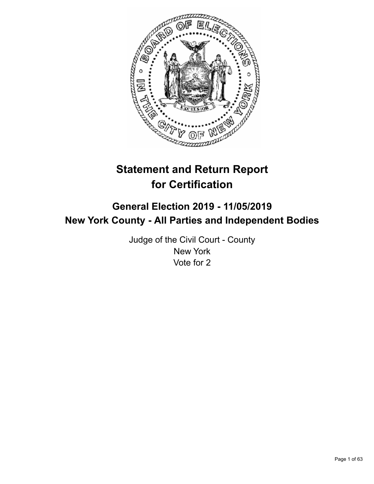

# **Statement and Return Report for Certification**

# **General Election 2019 - 11/05/2019 New York County - All Parties and Independent Bodies**

Judge of the Civil Court - County New York Vote for 2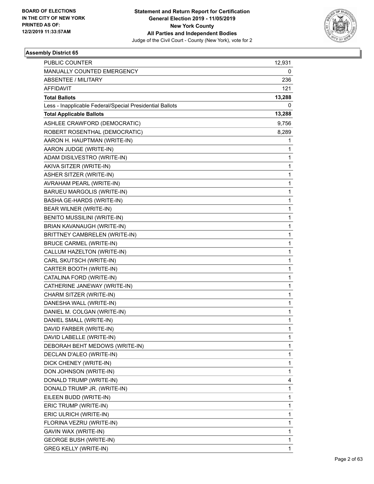

| <b>PUBLIC COUNTER</b>                                    | 12,931       |
|----------------------------------------------------------|--------------|
| MANUALLY COUNTED EMERGENCY                               | 0            |
| <b>ABSENTEE / MILITARY</b>                               | 236          |
| <b>AFFIDAVIT</b>                                         | 121          |
| <b>Total Ballots</b>                                     | 13,288       |
| Less - Inapplicable Federal/Special Presidential Ballots | 0            |
| <b>Total Applicable Ballots</b>                          | 13,288       |
| ASHLEE CRAWFORD (DEMOCRATIC)                             | 9,756        |
| ROBERT ROSENTHAL (DEMOCRATIC)                            | 8,289        |
| AARON H. HAUPTMAN (WRITE-IN)                             | 1            |
| AARON JUDGE (WRITE-IN)                                   | 1            |
| ADAM DISILVESTRO (WRITE-IN)                              | 1            |
| AKIVA SITZER (WRITE-IN)                                  | $\mathbf{1}$ |
| ASHER SITZER (WRITE-IN)                                  | 1            |
| AVRAHAM PEARL (WRITE-IN)                                 | 1            |
| BARUEU MARGOLIS (WRITE-IN)                               | 1            |
| <b>BASHA GE-HARDS (WRITE-IN)</b>                         | 1            |
| BEAR WILNER (WRITE-IN)                                   | 1            |
| BENITO MUSSILINI (WRITE-IN)                              | $\mathbf{1}$ |
| BRIAN KAVANAUGH (WRITE-IN)                               | 1            |
| BRITTNEY CAMBRELEN (WRITE-IN)                            | $\mathbf{1}$ |
| <b>BRUCE CARMEL (WRITE-IN)</b>                           | 1            |
| CALLUM HAZELTON (WRITE-IN)                               | 1            |
| CARL SKUTSCH (WRITE-IN)                                  | 1            |
| CARTER BOOTH (WRITE-IN)                                  | $\mathbf{1}$ |
| CATALINA FORD (WRITE-IN)                                 | 1            |
| CATHERINE JANEWAY (WRITE-IN)                             | 1            |
| CHARM SITZER (WRITE-IN)                                  | 1            |
| DANESHA WALL (WRITE-IN)                                  | 1            |
| DANIEL M. COLGAN (WRITE-IN)                              | 1            |
| DANIEL SMALL (WRITE-IN)                                  | $\mathbf{1}$ |
| DAVID FARBER (WRITE-IN)                                  | 1            |
| DAVID LABELLE (WRITE-IN)                                 | 1            |
| DEBORAH BEHT MEDOWS (WRITE-IN)                           | $\mathbf{1}$ |
| DECLAN D'ALEO (WRITE-IN)                                 | 1            |
| DICK CHENEY (WRITE-IN)                                   | 1            |
| DON JOHNSON (WRITE-IN)                                   | 1            |
| DONALD TRUMP (WRITE-IN)                                  | 4            |
| DONALD TRUMP JR. (WRITE-IN)                              | $\mathbf{1}$ |
| EILEEN BUDD (WRITE-IN)                                   | $\mathbf{1}$ |
| ERIC TRUMP (WRITE-IN)                                    | 1            |
| ERIC ULRICH (WRITE-IN)                                   | 1            |
| FLORINA VEZRU (WRITE-IN)                                 | 1            |
| GAVIN WAX (WRITE-IN)                                     | 1            |
| <b>GEORGE BUSH (WRITE-IN)</b>                            | 1            |
| <b>GREG KELLY (WRITE-IN)</b>                             | $\mathbf{1}$ |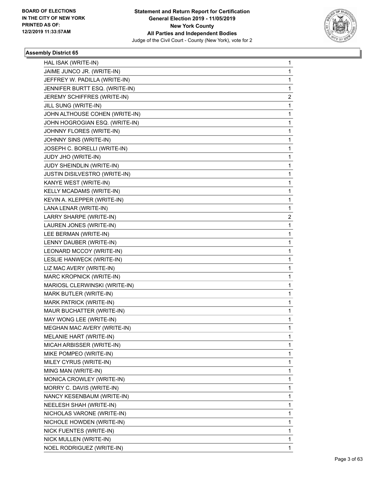

| HAL ISAK (WRITE-IN)                  | 1              |
|--------------------------------------|----------------|
| JAIME JUNCO JR. (WRITE-IN)           | $\mathbf{1}$   |
| JEFFREY W. PADILLA (WRITE-IN)        | 1              |
| JENNIFER BURTT ESQ. (WRITE-IN)       | $\mathbf{1}$   |
| JEREMY SCHIFFRES (WRITE-IN)          | 2              |
| JILL SUNG (WRITE-IN)                 | 1              |
| JOHN ALTHOUSE COHEN (WRITE-IN)       | $\mathbf{1}$   |
| JOHN HOGROGIAN ESQ. (WRITE-IN)       | 1              |
| JOHNNY FLORES (WRITE-IN)             | 1              |
| JOHNNY SINS (WRITE-IN)               | $\mathbf{1}$   |
| JOSEPH C. BORELLI (WRITE-IN)         | 1              |
| JUDY JHO (WRITE-IN)                  | 1              |
| JUDY SHEINDLIN (WRITE-IN)            | $\mathbf{1}$   |
| <b>JUSTIN DISILVESTRO (WRITE-IN)</b> | 1              |
| KANYE WEST (WRITE-IN)                | 1              |
| KELLY MCADAMS (WRITE-IN)             | $\mathbf{1}$   |
| KEVIN A. KLEPPER (WRITE-IN)          | 1              |
| LANA LENAR (WRITE-IN)                | 1              |
| LARRY SHARPE (WRITE-IN)              | $\overline{2}$ |
| LAUREN JONES (WRITE-IN)              | 1              |
| LEE BERMAN (WRITE-IN)                | 1              |
| LENNY DAUBER (WRITE-IN)              | $\mathbf{1}$   |
| LEONARD MCCOY (WRITE-IN)             | 1              |
| LESLIE HANWECK (WRITE-IN)            | 1              |
| LIZ MAC AVERY (WRITE-IN)             | $\mathbf{1}$   |
| MARC KROPNICK (WRITE-IN)             | 1              |
| MARIOSL CLERWINSKI (WRITE-IN)        | 1              |
| MARK BUTLER (WRITE-IN)               | $\mathbf{1}$   |
| MARK PATRICK (WRITE-IN)              | 1              |
| MAUR BUCHATTER (WRITE-IN)            | 1              |
| MAY WONG LEE (WRITE-IN)              | $\mathbf{1}$   |
| MEGHAN MAC AVERY (WRITE-IN)          | 1              |
| MELANIE HART (WRITE-IN)              | 1              |
| MICAH ARBISSER (WRITE-IN)            | $\mathbf{1}$   |
| MIKE POMPEO (WRITE-IN)               | $\mathbf{1}$   |
| MILEY CYRUS (WRITE-IN)               | 1              |
| MING MAN (WRITE-IN)                  | $\mathbf{1}$   |
| MONICA CROWLEY (WRITE-IN)            | 1              |
| MORRY C. DAVIS (WRITE-IN)            | 1              |
| NANCY KESENBAUM (WRITE-IN)           | $\mathbf{1}$   |
| NEELESH SHAH (WRITE-IN)              | $\mathbf{1}$   |
| NICHOLAS VARONE (WRITE-IN)           | 1              |
| NICHOLE HOWDEN (WRITE-IN)            | $\mathbf{1}$   |
| NICK FUENTES (WRITE-IN)              | 1              |
| NICK MULLEN (WRITE-IN)               | 1              |
| NOEL RODRIGUEZ (WRITE-IN)            | 1              |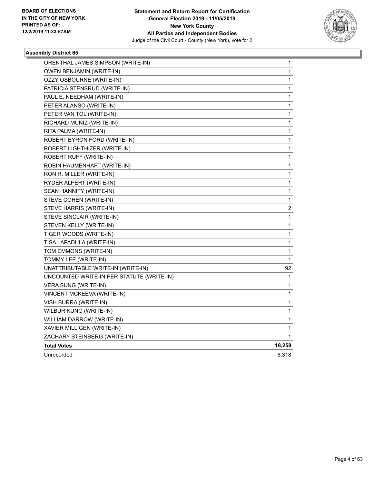

| ORENTHAL JAMES SIMPSON (WRITE-IN)         | 1                       |
|-------------------------------------------|-------------------------|
| OWEN BENJAMIN (WRITE-IN)                  | 1                       |
| OZZY OSBOURNE (WRITE-IN)                  | 1                       |
| PATRICIA STENSRUD (WRITE-IN)              | 1                       |
| PAUL E. NEEDHAM (WRITE-IN)                | $\mathbf 1$             |
| PETER ALANSO (WRITE-IN)                   | 1                       |
| PETER VAN TOL (WRITE-IN)                  | 1                       |
| RICHARD MUNIZ (WRITE-IN)                  | 1                       |
| RITA PALMA (WRITE-IN)                     | $\mathbf 1$             |
| ROBERT BYRON FORD (WRITE-IN)              | $\mathbf{1}$            |
| ROBERT LIGHTHIZER (WRITE-IN)              | 1                       |
| ROBERT RUFF (WRITE-IN)                    | 1                       |
| ROBIN HAUMENHAFT (WRITE-IN)               | 1                       |
| RON R. MILLER (WRITE-IN)                  | 1                       |
| RYDER ALPERT (WRITE-IN)                   | 1                       |
| SEAN HANNITY (WRITE-IN)                   | $\mathbf{1}$            |
| STEVE COHEN (WRITE-IN)                    | 1                       |
| STEVE HARRIS (WRITE-IN)                   | $\overline{\mathbf{c}}$ |
| STEVE SINCLAIR (WRITE-IN)                 | $\mathbf 1$             |
| STEVEN KELLY (WRITE-IN)                   | 1                       |
| TIGER WOODS (WRITE-IN)                    | $\mathbf 1$             |
| TISA LAPADULA (WRITE-IN)                  | 1                       |
| TOM EMMONS (WRITE-IN)                     | 1                       |
| TOMMY LEE (WRITE-IN)                      | 1                       |
| UNATTRIBUTABLE WRITE-IN (WRITE-IN)        | 92                      |
| UNCOUNTED WRITE-IN PER STATUTE (WRITE-IN) | 1                       |
| VERA SUNG (WRITE-IN)                      | 1                       |
| VINCENT MCKEEVA (WRITE-IN)                | 1                       |
| VISH BURRA (WRITE-IN)                     | 1                       |
| WILBUR KUNG (WRITE-IN)                    | 1                       |
| WILLIAM DARROW (WRITE-IN)                 | $\mathbf{1}$            |
| XAVIER MILLIGEN (WRITE-IN)                | 1                       |
| ZACHARY STEINBERG (WRITE-IN)              | 1                       |
| <b>Total Votes</b>                        | 18,258                  |
| Unrecorded                                | 8,318                   |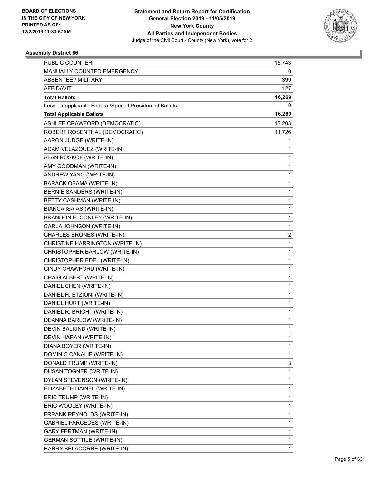

| PUBLIC COUNTER                                           | 15,743       |
|----------------------------------------------------------|--------------|
| MANUALLY COUNTED EMERGENCY                               | 0            |
| <b>ABSENTEE / MILITARY</b>                               | 399          |
| AFFIDAVIT                                                | 127          |
| <b>Total Ballots</b>                                     | 16,269       |
| Less - Inapplicable Federal/Special Presidential Ballots | 0            |
| <b>Total Applicable Ballots</b>                          | 16,269       |
| ASHLEE CRAWFORD (DEMOCRATIC)                             | 13,203       |
| ROBERT ROSENTHAL (DEMOCRATIC)                            | 11,726       |
| AARON JUDGE (WRITE-IN)                                   | 1            |
| ADAM VELAZQUEZ (WRITE-IN)                                | 1            |
| ALAN ROSKOF (WRITE-IN)                                   | 1            |
| AMY GOODMAN (WRITE-IN)                                   | $\mathbf 1$  |
| ANDREW YANG (WRITE-IN)                                   | $\mathbf{1}$ |
| <b>BARACK OBAMA (WRITE-IN)</b>                           | 1            |
| BERNIE SANDERS (WRITE-IN)                                | $\mathbf 1$  |
| BETTY CASHMAN (WRITE-IN)                                 | $\mathbf{1}$ |
| BIANCA ISAIAS (WRITE-IN)                                 | 1            |
| BRANDON E. CONLEY (WRITE-IN)                             | $\mathbf{1}$ |
| CARLA JOHNSON (WRITE-IN)                                 | $\mathbf{1}$ |
| CHARLES BRONES (WRITE-IN)                                | 2            |
| CHRISTINE HARRINGTON (WRITE-IN)                          | $\mathbf{1}$ |
| CHRISTOPHER BARLOW (WRITE-IN)                            | $\mathbf{1}$ |
| CHRISTOPHER EDEL (WRITE-IN)                              | 1            |
| CINDY CRAWFORD (WRITE-IN)                                | $\mathbf{1}$ |
| CRAIG ALBERT (WRITE-IN)                                  | $\mathbf{1}$ |
| DANIEL CHEN (WRITE-IN)                                   | 1            |
| DANIEL H. ETZIONI (WRITE-IN)                             | $\mathbf 1$  |
| DANIEL HURT (WRITE-IN)                                   | $\mathbf{1}$ |
| DANIEL R. BRIGHT (WRITE-IN)                              | 1            |
| DEANNA BARLOW (WRITE-IN)                                 | $\mathbf{1}$ |
| DEVIN BALKIND (WRITE-IN)                                 | 1            |
| DEVIN HARAN (WRITE-IN)                                   | 1            |
| DIANA BOYER (WRITE-IN)                                   | 1            |
| DOMINIC CANALIE (WRITE-IN)                               | 1            |
| DONALD TRUMP (WRITE-IN)                                  | 3            |
| DUSAN TOGNER (WRITE-IN)                                  | $\mathbf 1$  |
| DYLAN STEVENSON (WRITE-IN)                               | $\mathbf{1}$ |
| ELIZABETH DAINEL (WRITE-IN)                              | 1            |
| ERIC TRUMP (WRITE-IN)                                    | $\mathbf{1}$ |
| ERIC WOOLEY (WRITE-IN)                                   | 1            |
| FRRANK REYNOLDS (WRITE-IN)                               | 1            |
| GABRIEL PARCEDES (WRITE-IN)                              | $\mathbf 1$  |
| GARY FERTMAN (WRITE-IN)                                  | $\mathbf{1}$ |
| <b>GERMAN SOTTILE (WRITE-IN)</b>                         | 1            |
| HARRY BELACORRE (WRITE-IN)                               | $\mathbf{1}$ |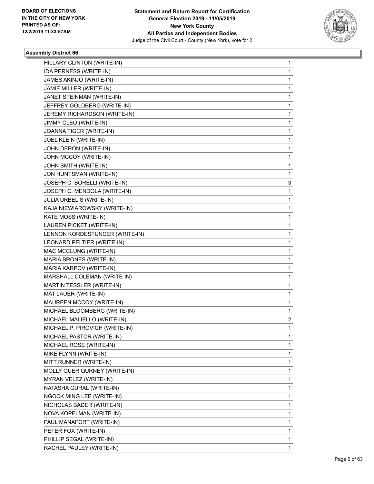

| HILLARY CLINTON (WRITE-IN)     | $\mathbf{1}$   |
|--------------------------------|----------------|
| IDA PERNESS (WRITE-IN)         | $\mathbf{1}$   |
| JAMES AKINJO (WRITE-IN)        | 1              |
| JAMIE MILLER (WRITE-IN)        | 1              |
| JANET STEINMAN (WRITE-IN)      | 1              |
| JEFFREY GOLDBERG (WRITE-IN)    | 1              |
| JEREMY RICHARDSON (WRITE-IN)   | $\mathbf{1}$   |
| JIMMY CLEO (WRITE-IN)          | $\mathbf{1}$   |
| JOANNA TIGER (WRITE-IN)        | 1              |
| JOEL KLEIN (WRITE-IN)          | 1              |
| JOHN DERON (WRITE-IN)          | 1              |
| JOHN MCCOY (WRITE-IN)          | 1              |
| JOHN SMITH (WRITE-IN)          | 1              |
| JON HUNTSMAN (WRITE-IN)        | 1              |
| JOSEPH C. BORELLI (WRITE-IN)   | 3              |
| JOSEPH C. MENDOLA (WRITE-IN)   | 1              |
| JULIA URBELIS (WRITE-IN)       | 1              |
| KAJA NIEWIAROWSKY (WRITE-IN)   | 1              |
| KATE MOSS (WRITE-IN)           | $\mathbf{1}$   |
| LAUREN PICKET (WRITE-IN)       | $\mathbf{1}$   |
| LENNON KORDESTUNCER (WRITE-IN) | 1              |
| LEONARD PELTIER (WRITE-IN)     | 1              |
| MAC MCCLUNG (WRITE-IN)         | 1              |
| MARIA BRONES (WRITE-IN)        | 1              |
| MARIA KARPOV (WRITE-IN)        | 1              |
| MARSHALL COLEMAN (WRITE-IN)    | $\mathbf{1}$   |
| MARTIN TESSLER (WRITE-IN)      | 1              |
| MAT LAUER (WRITE-IN)           | 1              |
| MAUREEN MCCOY (WRITE-IN)       | 1              |
| MICHAEL BLOOMBERG (WRITE-IN)   | $\mathbf{1}$   |
| MICHAEL MALIELLO (WRITE-IN)    | $\overline{c}$ |
| MICHAEL P. PIROVICH (WRITE-IN) | 1              |
| MICHAEL PASTOR (WRITE-IN)      | 1              |
| MICHAEL ROSE (WRITE-IN)        | 1              |
| MIKE FLYNN (WRITE-IN)          | 1              |
| MITT RUNNER (WRITE-IN)         | 1              |
| MOLLY QUER QURNEY (WRITE-IN)   | 1              |
| MYRAN VELEZ (WRITE-IN)         | 1              |
| NATASHA GURAL (WRITE-IN)       | 1              |
| NGOCK MING LEE (WRITE-IN)      | 1              |
| NICHOLAS BADER (WRITE-IN)      | 1              |
| NOVA KOPELMAN (WRITE-IN)       | 1              |
| PAUL MANAFORT (WRITE-IN)       | 1              |
| PETER FOX (WRITE-IN)           | 1              |
| PHILLIP SEGAL (WRITE-IN)       | $\mathbf{1}$   |
| RACHEL PAULEY (WRITE-IN)       | 1              |
|                                |                |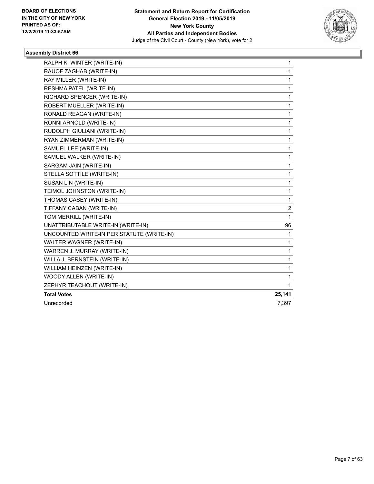

| RALPH K. WINTER (WRITE-IN)                | 1      |
|-------------------------------------------|--------|
| RAUOF ZAGHAB (WRITE-IN)                   | 1      |
| RAY MILLER (WRITE-IN)                     | 1      |
| RESHMA PATEL (WRITE-IN)                   | 1      |
| RICHARD SPENCER (WRITE-IN)                | 1      |
| ROBERT MUELLER (WRITE-IN)                 | 1      |
| RONALD REAGAN (WRITE-IN)                  | 1      |
| RONNI ARNOLD (WRITE-IN)                   | 1      |
| RUDOLPH GIULIANI (WRITE-IN)               | 1      |
| RYAN ZIMMERMAN (WRITE-IN)                 | 1      |
| SAMUEL LEE (WRITE-IN)                     | 1      |
| SAMUEL WALKER (WRITE-IN)                  | 1      |
| SARGAM JAIN (WRITE-IN)                    | 1      |
| STELLA SOTTILE (WRITE-IN)                 | 1      |
| SUSAN LIN (WRITE-IN)                      | 1      |
| TEIMOL JOHNSTON (WRITE-IN)                | 1      |
| THOMAS CASEY (WRITE-IN)                   | 1      |
| TIFFANY CABAN (WRITE-IN)                  | 2      |
| TOM MERRILL (WRITE-IN)                    | 1      |
| UNATTRIBUTABLE WRITE-IN (WRITE-IN)        | 96     |
| UNCOUNTED WRITE-IN PER STATUTE (WRITE-IN) | 1      |
| WALTER WAGNER (WRITE-IN)                  | 1      |
| WARREN J. MURRAY (WRITE-IN)               | 1      |
| WILLA J. BERNSTEIN (WRITE-IN)             | 1      |
| WILLIAM HEINZEN (WRITE-IN)                | 1      |
| WOODY ALLEN (WRITE-IN)                    | 1      |
| ZEPHYR TEACHOUT (WRITE-IN)                | 1      |
| <b>Total Votes</b>                        | 25,141 |
| Unrecorded                                | 7,397  |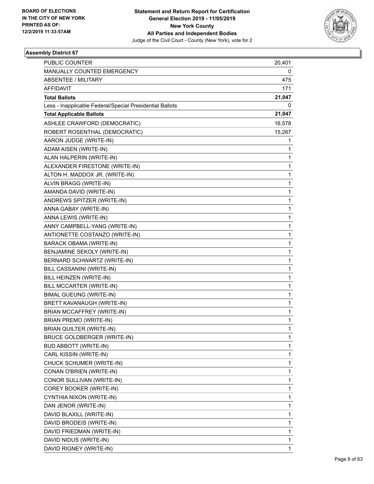

| PUBLIC COUNTER                                           | 20,401       |
|----------------------------------------------------------|--------------|
| MANUALLY COUNTED EMERGENCY                               | 0            |
| <b>ABSENTEE / MILITARY</b>                               | 475          |
| AFFIDAVIT                                                | 171          |
| <b>Total Ballots</b>                                     | 21,047       |
| Less - Inapplicable Federal/Special Presidential Ballots | 0            |
| <b>Total Applicable Ballots</b>                          | 21,047       |
| ASHLEE CRAWFORD (DEMOCRATIC)                             | 16,578       |
| ROBERT ROSENTHAL (DEMOCRATIC)                            | 15,267       |
| AARON JUDGE (WRITE-IN)                                   | 1            |
| ADAM AISEN (WRITE-IN)                                    | 1            |
| ALAN HALPERIN (WRITE-IN)                                 | 1            |
| ALEXANDER FIRESTONE (WRITE-IN)                           | $\mathbf{1}$ |
| ALTON H. MADDOX JR. (WRITE-IN)                           | $\mathbf{1}$ |
| ALVIN BRAGG (WRITE-IN)                                   | 1            |
| AMANDA DAVID (WRITE-IN)                                  | $\mathbf{1}$ |
| ANDREWS SPITZER (WRITE-IN)                               | $\mathbf{1}$ |
| ANNA GABAY (WRITE-IN)                                    | 1            |
| ANNA LEWIS (WRITE-IN)                                    | $\mathbf{1}$ |
| ANNY CAMPBELL-YANG (WRITE-IN)                            | $\mathbf{1}$ |
| ANTIONETTE COSTANZO (WRITE-IN)                           | 1            |
| <b>BARACK OBAMA (WRITE-IN)</b>                           | $\mathbf{1}$ |
| BENJAMINE SEKOLY (WRITE-IN)                              | $\mathbf{1}$ |
| BERNARD SCHWARTZ (WRITE-IN)                              | 1            |
| BILL CASSANINI (WRITE-IN)                                | $\mathbf{1}$ |
| BILL HEINZEN (WRITE-IN)                                  | $\mathbf{1}$ |
| BILL MCCARTER (WRITE-IN)                                 | 1            |
| <b>BIMAL GUEUNG (WRITE-IN)</b>                           | $\mathbf{1}$ |
| BRETT KAVANAUGH (WRITE-IN)                               | $\mathbf{1}$ |
| BRIAN MCCAFFREY (WRITE-IN)                               | 1            |
| <b>BRIAN PREMO (WRITE-IN)</b>                            | $\mathbf{1}$ |
| BRIAN QUILTER (WRITE-IN)                                 | 1            |
| BRUCE GOLDBERGER (WRITE-IN)                              | 1            |
| <b>BUD ABBOTT (WRITE-IN)</b>                             | $\mathbf{1}$ |
| CARL KISSIN (WRITE-IN)                                   | $\mathbf{1}$ |
| CHUCK SCHUMER (WRITE-IN)                                 | 1            |
| CONAN O'BRIEN (WRITE-IN)                                 | $\mathbf{1}$ |
| CONOR SULLIVAN (WRITE-IN)                                | $\mathbf{1}$ |
| COREY BOOKER (WRITE-IN)                                  | 1            |
| CYNTHIA NIXON (WRITE-IN)                                 | $\mathbf{1}$ |
| DAN JENOR (WRITE-IN)                                     | $\mathbf{1}$ |
| DAVID BLAXILL (WRITE-IN)                                 | 1            |
| DAVID BRODEIS (WRITE-IN)                                 | $\mathbf{1}$ |
| DAVID FRIEDMAN (WRITE-IN)                                | $\mathbf{1}$ |
| DAVID NIDUS (WRITE-IN)                                   | 1            |
| DAVID RIGNEY (WRITE-IN)                                  | $\mathbf{1}$ |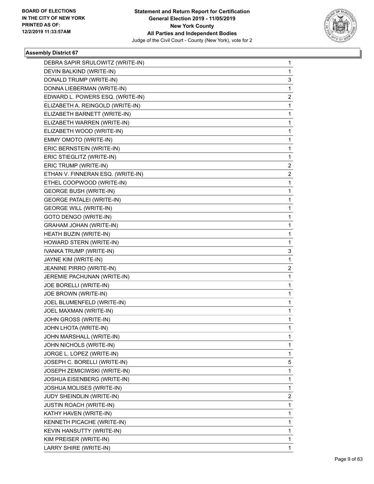

| DEBRA SAPIR SRULOWITZ (WRITE-IN)  | 1              |
|-----------------------------------|----------------|
| DEVIN BALKIND (WRITE-IN)          | 1              |
| DONALD TRUMP (WRITE-IN)           | 3              |
| DONNA LIEBERMAN (WRITE-IN)        | 1              |
| EDWARD L. POWERS ESQ. (WRITE-IN)  | 2              |
| ELIZABETH A. REINGOLD (WRITE-IN)  | 1              |
| ELIZABETH BARNETT (WRITE-IN)      | 1              |
| ELIZABETH WARREN (WRITE-IN)       | 1              |
| ELIZABETH WOOD (WRITE-IN)         | 1              |
| EMMY OMOTO (WRITE-IN)             | 1              |
| ERIC BERNSTEIN (WRITE-IN)         | 1              |
| ERIC STIEGLITZ (WRITE-IN)         | 1              |
| ERIC TRUMP (WRITE-IN)             | $\overline{2}$ |
| ETHAN V. FINNERAN ESQ. (WRITE-IN) | 2              |
| ETHEL COOPWOOD (WRITE-IN)         | 1              |
| <b>GEORGE BUSH (WRITE-IN)</b>     | 1              |
| <b>GEORGE PATALEI (WRITE-IN)</b>  | 1              |
| <b>GEORGE WILL (WRITE-IN)</b>     | 1              |
| GOTO DENGO (WRITE-IN)             | 1              |
| <b>GRAHAM JOHAN (WRITE-IN)</b>    | 1              |
| HEATH BUZIN (WRITE-IN)            | 1              |
| HOWARD STERN (WRITE-IN)           | 1              |
| IVANKA TRUMP (WRITE-IN)           | 3              |
| JAYNE KIM (WRITE-IN)              | 1              |
| JEANINE PIRRO (WRITE-IN)          | $\overline{2}$ |
| JEREMIE PACHUNAN (WRITE-IN)       | 1              |
| JOE BORELLI (WRITE-IN)            | 1              |
| JOE BROWN (WRITE-IN)              | 1              |
| JOEL BLUMENFELD (WRITE-IN)        | 1              |
| JOEL MAXMAN (WRITE-IN)            | 1              |
| JOHN GROSS (WRITE-IN)             | 1              |
| JOHN LHOTA (WRITE-IN)             | 1              |
| JOHN MARSHALL (WRITE-IN)          | 1              |
| JOHN NICHOLS (WRITE-IN)           | 1              |
| JORGE L. LOPEZ (WRITE-IN)         | 1              |
| JOSEPH C. BORELLI (WRITE-IN)      | 5              |
| JOSEPH ZEMICIWSKI (WRITE-IN)      | 1              |
| JOSHUA EISENBERG (WRITE-IN)       | 1              |
| JOSHUA MOLISES (WRITE-IN)         | 1              |
| JUDY SHEINDLIN (WRITE-IN)         | $\overline{2}$ |
| <b>JUSTIN ROACH (WRITE-IN)</b>    | 1              |
| KATHY HAVEN (WRITE-IN)            | 1              |
| KENNETH PICACHE (WRITE-IN)        | 1              |
| KEVIN HANSUTTY (WRITE-IN)         | 1              |
| KIM PREISER (WRITE-IN)            | 1              |
| LARRY SHIRE (WRITE-IN)            | 1              |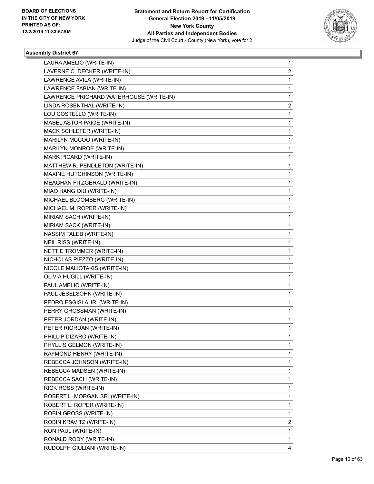

| LAURA AMELIO (WRITE-IN)                 | 1              |
|-----------------------------------------|----------------|
| LAVERNE C. DECKER (WRITE-IN)            | 2              |
| LAWRENCE AVILA (WRITE-IN)               | 1              |
| LAWRENCE FABIAN (WRITE-IN)              | $\mathbf{1}$   |
| LAWRENCE PRICHARD WATERHOUSE (WRITE-IN) | 1              |
| LINDA ROSENTHAL (WRITE-IN)              | 2              |
| LOU COSTELLO (WRITE-IN)                 | $\mathbf{1}$   |
| MABEL ASTOR PAIGE (WRITE-IN)            | 1              |
| MACK SCHLEFER (WRITE-IN)                | 1              |
| MARILYN MCCOO (WRITE-IN)                | $\mathbf{1}$   |
| MARILYN MONROE (WRITE-IN)               | 1              |
| MARK PICARD (WRITE-IN)                  | 1              |
| MATTHEW R. PENDLETON (WRITE-IN)         | $\mathbf{1}$   |
| MAXINE HUTCHINSON (WRITE-IN)            | 1              |
| MEAGHAN FITZGERALD (WRITE-IN)           | 1              |
| MIAO HANG QIU (WRITE-IN)                | $\mathbf{1}$   |
| MICHAEL BLOOMBERG (WRITE-IN)            | 1              |
| MICHAEL M. ROPER (WRITE-IN)             | 1              |
| MIRIAM SACH (WRITE-IN)                  | $\mathbf{1}$   |
| MIRIAM SACK (WRITE-IN)                  | 1              |
| NASSIM TALEB (WRITE-IN)                 | 1              |
| NEIL RISS (WRITE-IN)                    | $\mathbf{1}$   |
| NETTIE TROMMER (WRITE-IN)               | 1              |
| NICHOLAS PIEZZO (WRITE-IN)              | 1              |
| NICOLE MALIOTAKIS (WRITE-IN)            | $\mathbf{1}$   |
| OLIVIA HUGILL (WRITE-IN)                | 1              |
| PAUL AMELIO (WRITE-IN)                  | 1              |
| PAUL JESELSOHN (WRITE-IN)               | $\mathbf{1}$   |
| PEDRO ESGISLA JR. (WRITE-IN)            | 1              |
| PERRY GROSSMAN (WRITE-IN)               | 1              |
| PETER JORDAN (WRITE-IN)                 | $\mathbf{1}$   |
| PETER RIORDAN (WRITE-IN)                | 1              |
| PHILLIP DIZARO (WRITE-IN)               | 1              |
| PHYLLIS GELMON (WRITE-IN)               | $\mathbf{1}$   |
| RAYMOND HENRY (WRITE-IN)                | 1              |
| REBECCA JOHNSON (WRITE-IN)              | 1              |
| REBECCA MADSEN (WRITE-IN)               | $\mathbf{1}$   |
| REBECCA SACH (WRITE-IN)                 | 1              |
| RICK ROSS (WRITE-IN)                    | 1              |
| ROBERT L. MORGAN SR. (WRITE-IN)         | $\mathbf{1}$   |
| ROBERT L. ROPER (WRITE-IN)              | 1              |
| ROBIN GROSS (WRITE-IN)                  | 1              |
| ROBIN KRAVITZ (WRITE-IN)                | $\overline{2}$ |
| RON PAUL (WRITE-IN)                     | 1              |
| RONALD RODY (WRITE-IN)                  | 1              |
| RUDOLPH GIULIANI (WRITE-IN)             | 4              |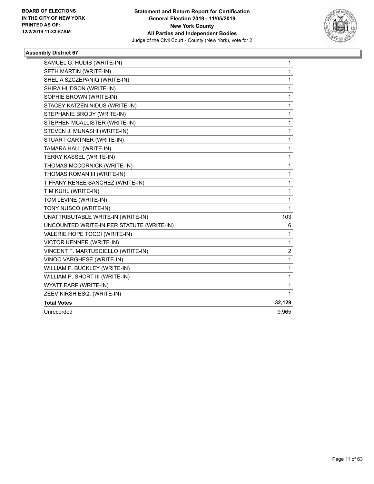

| SAMUEL G. HUDIS (WRITE-IN)                | 1                |
|-------------------------------------------|------------------|
| SETH MARTIN (WRITE-IN)                    | 1                |
| SHELIA SZCZEPANIQ (WRITE-IN)              | 1                |
| SHIRA HUDSON (WRITE-IN)                   | 1                |
| SOPHIE BROWN (WRITE-IN)                   | 1                |
| STACEY KATZEN NIDUS (WRITE-IN)            | 1                |
| STEPHANIE BRODY (WRITE-IN)                | 1                |
| STEPHEN MCALLISTER (WRITE-IN)             | 1                |
| STEVEN J. MUNASHI (WRITE-IN)              | 1                |
| STUART GARTNER (WRITE-IN)                 | 1                |
| TAMARA HALL (WRITE-IN)                    | 1                |
| TERRY KASSEL (WRITE-IN)                   | 1                |
| THOMAS MCCORNICK (WRITE-IN)               | 1                |
| THOMAS ROMAN III (WRITE-IN)               | 1                |
| TIFFANY RENEE SANCHEZ (WRITE-IN)          | $\mathbf{1}$     |
| TIM KUHL (WRITE-IN)                       | 1                |
| TOM LEVINE (WRITE-IN)                     | 1                |
| TONY NUSCO (WRITE-IN)                     | 1                |
| UNATTRIBUTABLE WRITE-IN (WRITE-IN)        | 103              |
| UNCOUNTED WRITE-IN PER STATUTE (WRITE-IN) | 6                |
| VALERIE HOPE TOCCI (WRITE-IN)             | 1                |
| <b>VICTOR KENNER (WRITE-IN)</b>           | 1                |
| VINCENT F. MARTUSCIELLO (WRITE-IN)        | $\boldsymbol{2}$ |
| VINOO VARGHESE (WRITE-IN)                 | 1                |
| WILLIAM F. BUCKLEY (WRITE-IN)             | 1                |
| WILLIAM P. SHORT III (WRITE-IN)           | 1                |
| WYATT EARP (WRITE-IN)                     | 1                |
| ZEEV KIRSH ESQ. (WRITE-IN)                | 1                |
| <b>Total Votes</b>                        | 32,129           |
| Unrecorded                                | 9,965            |
|                                           |                  |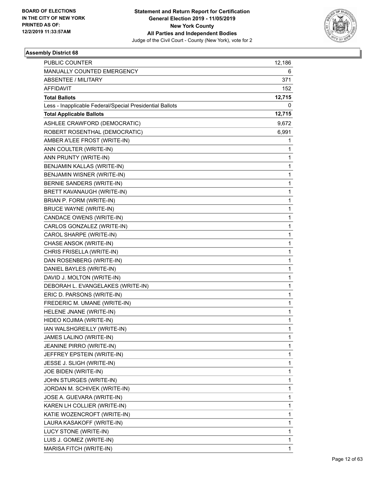

| PUBLIC COUNTER                                           | 12,186 |
|----------------------------------------------------------|--------|
| MANUALLY COUNTED EMERGENCY                               | 6      |
| <b>ABSENTEE / MILITARY</b>                               | 371    |
| <b>AFFIDAVIT</b>                                         | 152    |
| <b>Total Ballots</b>                                     | 12,715 |
| Less - Inapplicable Federal/Special Presidential Ballots | 0      |
| <b>Total Applicable Ballots</b>                          | 12,715 |
| ASHLEE CRAWFORD (DEMOCRATIC)                             | 9,672  |
| ROBERT ROSENTHAL (DEMOCRATIC)                            | 6,991  |
| AMBER A'LEE FROST (WRITE-IN)                             | 1      |
| ANN COULTER (WRITE-IN)                                   | 1      |
| ANN PRUNTY (WRITE-IN)                                    | 1      |
| BENJAMIN KALLAS (WRITE-IN)                               | 1      |
| BENJAMIN WISNER (WRITE-IN)                               | 1      |
| BERNIE SANDERS (WRITE-IN)                                | 1      |
| BRETT KAVANAUGH (WRITE-IN)                               | 1      |
| BRIAN P. FORM (WRITE-IN)                                 | 1      |
| <b>BRUCE WAYNE (WRITE-IN)</b>                            | 1      |
| CANDACE OWENS (WRITE-IN)                                 | 1      |
| CARLOS GONZALEZ (WRITE-IN)                               | 1      |
| CAROL SHARPE (WRITE-IN)                                  | 1      |
| CHASE ANSOK (WRITE-IN)                                   | 1      |
| CHRIS FRISELLA (WRITE-IN)                                | 1      |
| DAN ROSENBERG (WRITE-IN)                                 | 1      |
| DANIEL BAYLES (WRITE-IN)                                 | 1      |
| DAVID J. MOLTON (WRITE-IN)                               | 1      |
| DEBORAH L. EVANGELAKES (WRITE-IN)                        | 1      |
| ERIC D. PARSONS (WRITE-IN)                               | 1      |
| FREDERIC M. UMANE (WRITE-IN)                             | 1      |
| HELENE JNANE (WRITE-IN)                                  | 1      |
| HIDEO KOJIMA (WRITE-IN)                                  | 1      |
| IAN WALSHGREILLY (WRITE-IN)                              | 1      |
| JAMES LALINO (WRITE-IN)                                  | 1      |
| JEANINE PIRRO (WRITE-IN)                                 | 1      |
| JEFFREY EPSTEIN (WRITE-IN)                               | 1      |
| JESSE J. SLIGH (WRITE-IN)                                | 1      |
| JOE BIDEN (WRITE-IN)                                     | 1      |
| JOHN STURGES (WRITE-IN)                                  | 1      |
| JORDAN M. SCHIVEK (WRITE-IN)                             | 1      |
| JOSE A. GUEVARA (WRITE-IN)                               | 1      |
| KAREN LH COLLIER (WRITE-IN)                              | 1      |
| KATIE WOZENCROFT (WRITE-IN)                              | 1      |
| LAURA KASAKOFF (WRITE-IN)                                | 1      |
| LUCY STONE (WRITE-IN)                                    | 1      |
| LUIS J. GOMEZ (WRITE-IN)                                 | 1      |
| MARISA FITCH (WRITE-IN)                                  | 1      |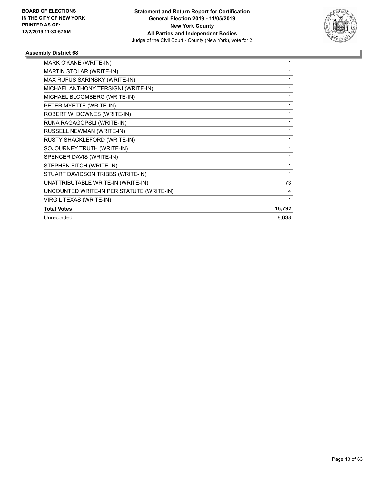

| MARK O'KANE (WRITE-IN)                    | 1      |
|-------------------------------------------|--------|
| MARTIN STOLAR (WRITE-IN)                  | 1      |
| MAX RUFUS SARINSKY (WRITE-IN)             | 1      |
| MICHAEL ANTHONY TERSIGNI (WRITE-IN)       | 1      |
| MICHAEL BLOOMBERG (WRITE-IN)              | 1      |
| PETER MYETTE (WRITE-IN)                   | 1      |
| ROBERT W. DOWNES (WRITE-IN)               | 1      |
| RUNA RAGAGOPSLI (WRITE-IN)                | 1      |
| RUSSELL NEWMAN (WRITE-IN)                 | 1      |
| RUSTY SHACKLEFORD (WRITE-IN)              | 1      |
| SOJOURNEY TRUTH (WRITE-IN)                | 1      |
| SPENCER DAVIS (WRITE-IN)                  | 1      |
| STEPHEN FITCH (WRITE-IN)                  | 1      |
| STUART DAVIDSON TRIBBS (WRITE-IN)         | 1      |
| UNATTRIBUTABLE WRITE-IN (WRITE-IN)        | 73     |
| UNCOUNTED WRITE-IN PER STATUTE (WRITE-IN) | 4      |
| VIRGIL TEXAS (WRITE-IN)                   | 1      |
| <b>Total Votes</b>                        | 16,792 |
| Unrecorded                                | 8,638  |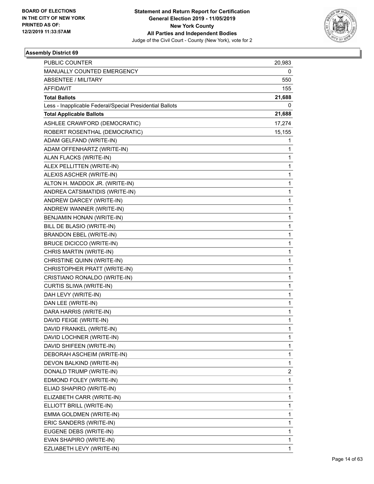

| PUBLIC COUNTER                                           | 20,983       |
|----------------------------------------------------------|--------------|
| MANUALLY COUNTED EMERGENCY                               | 0            |
| <b>ABSENTEE / MILITARY</b>                               | 550          |
| <b>AFFIDAVIT</b>                                         | 155          |
| <b>Total Ballots</b>                                     | 21,688       |
| Less - Inapplicable Federal/Special Presidential Ballots | 0            |
| <b>Total Applicable Ballots</b>                          | 21,688       |
| ASHLEE CRAWFORD (DEMOCRATIC)                             | 17,274       |
| ROBERT ROSENTHAL (DEMOCRATIC)                            | 15,155       |
| ADAM GELFAND (WRITE-IN)                                  | 1            |
| ADAM OFFENHARTZ (WRITE-IN)                               | 1            |
| ALAN FLACKS (WRITE-IN)                                   | 1            |
| ALEX PELLITTEN (WRITE-IN)                                | $\mathbf{1}$ |
| ALEXIS ASCHER (WRITE-IN)                                 | 1            |
| ALTON H. MADDOX JR. (WRITE-IN)                           | 1            |
| ANDREA CATSIMATIDIS (WRITE-IN)                           | 1            |
| ANDREW DARCEY (WRITE-IN)                                 | 1            |
| ANDREW WANNER (WRITE-IN)                                 | 1            |
| BENJAMIN HONAN (WRITE-IN)                                | $\mathbf{1}$ |
| BILL DE BLASIO (WRITE-IN)                                | 1            |
| <b>BRANDON EBEL (WRITE-IN)</b>                           | 1            |
| <b>BRUCE DICICCO (WRITE-IN)</b>                          | 1            |
| CHRIS MARTIN (WRITE-IN)                                  | 1            |
| CHRISTINE QUINN (WRITE-IN)                               | 1            |
| CHRISTOPHER PRATT (WRITE-IN)                             | $\mathbf{1}$ |
| CRISTIANO RONALDO (WRITE-IN)                             | 1            |
| CURTIS SLIWA (WRITE-IN)                                  | 1            |
| DAH LEVY (WRITE-IN)                                      | 1            |
| DAN LEE (WRITE-IN)                                       | 1            |
| DARA HARRIS (WRITE-IN)                                   | 1            |
| DAVID FEIGE (WRITE-IN)                                   | $\mathbf{1}$ |
| DAVID FRANKEL (WRITE-IN)                                 | 1            |
| DAVID LOCHNER (WRITE-IN)                                 | 1            |
| DAVID SHIFEEN (WRITE-IN)                                 | $\mathbf{1}$ |
| DEBORAH ASCHEIM (WRITE-IN)                               | 1            |
| DEVON BALKIND (WRITE-IN)                                 | 1            |
| DONALD TRUMP (WRITE-IN)                                  | 2            |
| EDMOND FOLEY (WRITE-IN)                                  | 1            |
| ELIAD SHAPIRO (WRITE-IN)                                 | 1            |
| ELIZABETH CARR (WRITE-IN)                                | $\mathbf{1}$ |
| ELLIOTT BRILL (WRITE-IN)                                 | 1            |
| EMMA GOLDMEN (WRITE-IN)                                  | 1            |
| ERIC SANDERS (WRITE-IN)                                  | 1            |
| EUGENE DEBS (WRITE-IN)                                   | 1            |
| EVAN SHAPIRO (WRITE-IN)                                  | 1            |
| EZLIABETH LEVY (WRITE-IN)                                | $\mathbf{1}$ |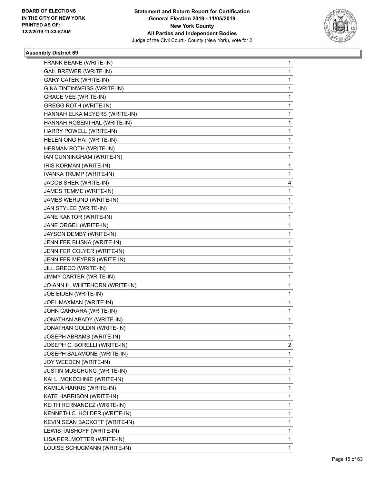

| FRANK BEANE (WRITE-IN)            | $\mathbf{1}$ |
|-----------------------------------|--------------|
| <b>GAIL BREWER (WRITE-IN)</b>     | 1            |
| <b>GARY CATER (WRITE-IN)</b>      | 1            |
| GINA TINTINWEISS (WRITE-IN)       | 1            |
| <b>GRACE VEE (WRITE-IN)</b>       | 1            |
| <b>GREGG ROTH (WRITE-IN)</b>      | 1            |
| HANNAH ELKA MEYERS (WRITE-IN)     | 1            |
| HANNAH ROSENTHAL (WRITE-IN)       | 1            |
| HARRY POWELL (WRITE-IN)           | 1            |
| HELEN ONG HAI (WRITE-IN)          | 1            |
| HERMAN ROTH (WRITE-IN)            | 1            |
| IAN CUNNINGHAM (WRITE-IN)         | 1            |
| IRIS KORMAN (WRITE-IN)            | 1            |
| IVANKA TRUMP (WRITE-IN)           | 1            |
| JACOB SHER (WRITE-IN)             | 4            |
| JAMES TEMME (WRITE-IN)            | 1            |
| JAMES WERUND (WRITE-IN)           | 1            |
| JAN STYLEE (WRITE-IN)             | 1            |
| JANE KANTOR (WRITE-IN)            | 1            |
| JANE ORGEL (WRITE-IN)             | 1            |
| JAYSON DEMBY (WRITE-IN)           | 1            |
| JENNIFER BLISKA (WRITE-IN)        | 1            |
| JENNIFER COLYER (WRITE-IN)        | 1            |
| JENNIFER MEYERS (WRITE-IN)        | 1            |
| JILL GRECO (WRITE-IN)             | 1            |
| JIMMY CARTER (WRITE-IN)           | $\mathbf 1$  |
| JO-ANN H. WHITEHORN (WRITE-IN)    | 1            |
| JOE BIDEN (WRITE-IN)              | 1            |
| JOEL MAXMAN (WRITE-IN)            | 1            |
| JOHN CARRARA (WRITE-IN)           | 1            |
| JONATHAN ABADY (WRITE-IN)         | $\mathbf 1$  |
| JONATHAN GOLDIN (WRITE-IN)        | 1            |
| JOSEPH ABRAMS (WRITE-IN)          | $\mathbf 1$  |
| JOSEPH C. BORELLI (WRITE-IN)      | 2            |
| JOSEPH SALAMONE (WRITE-IN)        | 1            |
| JOY WEEDEN (WRITE-IN)             | 1            |
| <b>JUSTIN MUSCHUNG (WRITE-IN)</b> | 1            |
| KAI L. MCKECHNIE (WRITE-IN)       | $\mathbf 1$  |
| KAMILA HARRIS (WRITE-IN)          | $\mathbf 1$  |
| KATE HARRISON (WRITE-IN)          | 1            |
| KEITH HERNANDEZ (WRITE-IN)        | 1            |
| KENNETH C. HOLDER (WRITE-IN)      | 1            |
| KEVIN SEAN BACKOFF (WRITE-IN)     | 1            |
| LEWIS TAISHOFF (WRITE-IN)         | $\mathbf 1$  |
| LISA PERLMOTTER (WRITE-IN)        | $\mathbf{1}$ |
| LOUISE SCHUCMANN (WRITE-IN)       | 1            |
|                                   |              |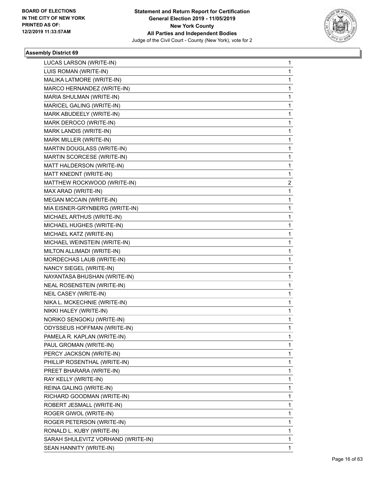

| LUCAS LARSON (WRITE-IN)            | 1 |
|------------------------------------|---|
| LUIS ROMAN (WRITE-IN)              | 1 |
| MALIKA LATMORE (WRITE-IN)          | 1 |
| MARCO HERNANDEZ (WRITE-IN)         | 1 |
| MARIA SHULMAN (WRITE-IN)           | 1 |
| MARICEL GALING (WRITE-IN)          | 1 |
| MARK ABUDEELY (WRITE-IN)           | 1 |
| MARK DEROCO (WRITE-IN)             | 1 |
| MARK LANDIS (WRITE-IN)             | 1 |
| MARK MILLER (WRITE-IN)             | 1 |
| MARTIN DOUGLASS (WRITE-IN)         | 1 |
| MARTIN SCORCESE (WRITE-IN)         | 1 |
| MATT HALDERSON (WRITE-IN)          | 1 |
| MATT KNEDNT (WRITE-IN)             | 1 |
| MATTHEW ROCKWOOD (WRITE-IN)        | 2 |
| MAX ARAD (WRITE-IN)                | 1 |
| <b>MEGAN MCCAIN (WRITE-IN)</b>     | 1 |
| MIA EISNER-GRYNBERG (WRITE-IN)     | 1 |
| MICHAEL ARTHUS (WRITE-IN)          | 1 |
| MICHAEL HUGHES (WRITE-IN)          | 1 |
| MICHAEL KATZ (WRITE-IN)            | 1 |
| MICHAEL WEINSTEIN (WRITE-IN)       | 1 |
| MILTON ALLIMADI (WRITE-IN)         | 1 |
| MORDECHAS LAUB (WRITE-IN)          | 1 |
| NANCY SIEGEL (WRITE-IN)            | 1 |
| NAYANTASA BHUSHAN (WRITE-IN)       | 1 |
| <b>NEAL ROSENSTEIN (WRITE-IN)</b>  | 1 |
| NEIL CASEY (WRITE-IN)              | 1 |
| NIKA L. MCKECHNIE (WRITE-IN)       | 1 |
| NIKKI HALEY (WRITE-IN)             | 1 |
| NORIKO SENGOKU (WRITE-IN)          | 1 |
| <b>ODYSSEUS HOFFMAN (WRITE-IN)</b> | 1 |
| PAMELA R. KAPLAN (WRITE-IN)        | 1 |
| PAUL GROMAN (WRITE-IN)             | 1 |
| PERCY JACKSON (WRITE-IN)           | 1 |
| PHILLIP ROSENTHAL (WRITE-IN)       | 1 |
| PREET BHARARA (WRITE-IN)           | 1 |
| RAY KELLY (WRITE-IN)               | 1 |
| REINA GALING (WRITE-IN)            | 1 |
| RICHARD GOODMAN (WRITE-IN)         | 1 |
| ROBERT JESMALL (WRITE-IN)          | 1 |
| ROGER GIWOL (WRITE-IN)             | 1 |
| ROGER PETERSON (WRITE-IN)          | 1 |
| RONALD L. KUBY (WRITE-IN)          | 1 |
| SARAH SHULEVITZ VORHAND (WRITE-IN) | 1 |
| SEAN HANNITY (WRITE-IN)            | 1 |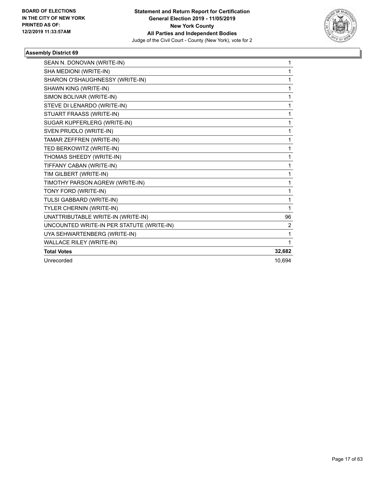

| SEAN N. DONOVAN (WRITE-IN)                | 1              |
|-------------------------------------------|----------------|
| SHA MEDIONI (WRITE-IN)                    | 1              |
| SHARON O'SHAUGHNESSY (WRITE-IN)           | 1              |
| SHAWN KING (WRITE-IN)                     | 1              |
| SIMON BOLIVAR (WRITE-IN)                  | 1              |
| STEVE DI LENARDO (WRITE-IN)               | 1              |
| STUART FRAASS (WRITE-IN)                  | 1              |
| SUGAR KUPFERLERG (WRITE-IN)               | 1              |
| SVEN PRUDLO (WRITE-IN)                    | 1              |
| TAMAR ZEFFREN (WRITE-IN)                  | 1              |
| TED BERKOWITZ (WRITE-IN)                  | 1              |
| THOMAS SHEEDY (WRITE-IN)                  | 1              |
| TIFFANY CABAN (WRITE-IN)                  | 1              |
| TIM GILBERT (WRITE-IN)                    | 1              |
| TIMOTHY PARSON AGREW (WRITE-IN)           | 1              |
| TONY FORD (WRITE-IN)                      | 1              |
| TULSI GABBARD (WRITE-IN)                  | 1              |
| TYLER CHERNIN (WRITE-IN)                  | 1              |
| UNATTRIBUTABLE WRITE-IN (WRITE-IN)        | 96             |
| UNCOUNTED WRITE-IN PER STATUTE (WRITE-IN) | $\overline{c}$ |
| UYA SEHWARTENBERG (WRITE-IN)              | 1              |
| WALLACE RILEY (WRITE-IN)                  | 1              |
| <b>Total Votes</b>                        | 32,682         |
| Unrecorded                                | 10.694         |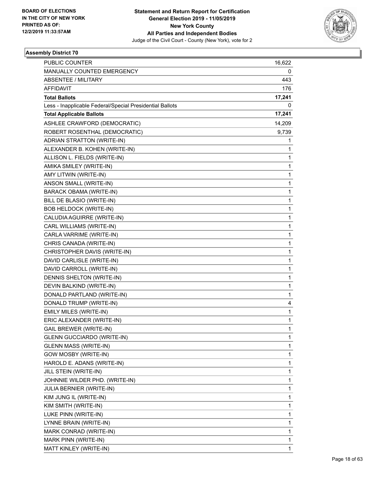

| <b>PUBLIC COUNTER</b>                                    | 16,622 |
|----------------------------------------------------------|--------|
| MANUALLY COUNTED EMERGENCY                               | 0      |
| <b>ABSENTEE / MILITARY</b>                               | 443    |
| <b>AFFIDAVIT</b>                                         | 176    |
| <b>Total Ballots</b>                                     | 17,241 |
| Less - Inapplicable Federal/Special Presidential Ballots | 0      |
| <b>Total Applicable Ballots</b>                          | 17,241 |
| ASHLEE CRAWFORD (DEMOCRATIC)                             | 14,209 |
| ROBERT ROSENTHAL (DEMOCRATIC)                            | 9,739  |
| ADRIAN STRATTON (WRITE-IN)                               | 1      |
| ALEXANDER B. KOHEN (WRITE-IN)                            | 1      |
| ALLISON L. FIELDS (WRITE-IN)                             | 1      |
| AMIKA SMILEY (WRITE-IN)                                  | 1      |
| AMY LITWIN (WRITE-IN)                                    | 1      |
| ANSON SMALL (WRITE-IN)                                   | 1      |
| BARACK OBAMA (WRITE-IN)                                  | 1      |
| BILL DE BLASIO (WRITE-IN)                                | 1      |
| <b>BOB HELDOCK (WRITE-IN)</b>                            | 1      |
| CALUDIA AGUIRRE (WRITE-IN)                               | 1      |
| CARL WILLIAMS (WRITE-IN)                                 | 1      |
| CARLA VARRIME (WRITE-IN)                                 | 1      |
| CHRIS CANADA (WRITE-IN)                                  | 1      |
| CHRISTOPHER DAVIS (WRITE-IN)                             | 1      |
| DAVID CARLISLE (WRITE-IN)                                | 1      |
| DAVID CARROLL (WRITE-IN)                                 | 1      |
| DENNIS SHELTON (WRITE-IN)                                | 1      |
| DEVIN BALKIND (WRITE-IN)                                 | 1      |
| DONALD PARTLAND (WRITE-IN)                               | 1      |
| DONALD TRUMP (WRITE-IN)                                  | 4      |
| EMILY MILES (WRITE-IN)                                   | 1      |
| ERIC ALEXANDER (WRITE-IN)                                | 1      |
| <b>GAIL BREWER (WRITE-IN)</b>                            | 1      |
| <b>GLENN GUCCIARDO (WRITE-IN)</b>                        | 1      |
| <b>GLENN MASS (WRITE-IN)</b>                             | 1      |
| GOW MOSBY (WRITE-IN)                                     | 1      |
| HAROLD E. ADANS (WRITE-IN)                               | 1      |
| JILL STEIN (WRITE-IN)                                    | 1      |
| JOHNNIE WILDER PHD. (WRITE-IN)                           | 1      |
| <b>JULIA BERNIER (WRITE-IN)</b>                          | 1      |
| KIM JUNG IL (WRITE-IN)                                   | 1      |
| KIM SMITH (WRITE-IN)                                     | 1      |
| LUKE PINN (WRITE-IN)                                     | 1      |
| LYNNE BRAIN (WRITE-IN)                                   | 1      |
| MARK CONRAD (WRITE-IN)                                   | 1      |
| MARK PINN (WRITE-IN)                                     | 1      |
| MATT KINLEY (WRITE-IN)                                   | 1      |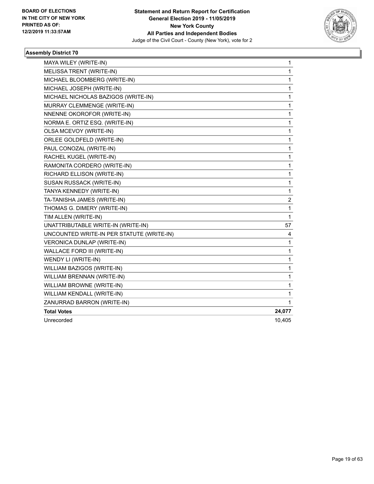

| MAYA WILEY (WRITE-IN)                     | 1              |
|-------------------------------------------|----------------|
| MELISSA TRENT (WRITE-IN)                  | 1              |
| MICHAEL BLOOMBERG (WRITE-IN)              | 1              |
| MICHAEL JOSEPH (WRITE-IN)                 | 1              |
| MICHAEL NICHOLAS BAZIGOS (WRITE-IN)       | $\mathbf{1}$   |
| MURRAY CLEMMENGE (WRITE-IN)               | 1              |
| NNENNE OKOROFOR (WRITE-IN)                | 1              |
| NORMA E. ORTIZ ESQ. (WRITE-IN)            | 1              |
| OLSA MCEVOY (WRITE-IN)                    | 1              |
| ORLEE GOLDFELD (WRITE-IN)                 | 1              |
| PAUL CONOZAL (WRITE-IN)                   | 1              |
| RACHEL KUGEL (WRITE-IN)                   | 1              |
| RAMONITA CORDERO (WRITE-IN)               | 1              |
| RICHARD ELLISON (WRITE-IN)                | 1              |
| SUSAN RUSSACK (WRITE-IN)                  | $\mathbf{1}$   |
| TANYA KENNEDY (WRITE-IN)                  | 1              |
| TA-TANISHA JAMES (WRITE-IN)               | $\overline{c}$ |
| THOMAS G. DIMERY (WRITE-IN)               | 1              |
| TIM ALLEN (WRITE-IN)                      | 1              |
| UNATTRIBUTABLE WRITE-IN (WRITE-IN)        | 57             |
| UNCOUNTED WRITE-IN PER STATUTE (WRITE-IN) | 4              |
| VERONICA DUNLAP (WRITE-IN)                | 1              |
| WALLACE FORD III (WRITE-IN)               | 1              |
| WENDY LI (WRITE-IN)                       | 1              |
| WILLIAM BAZIGOS (WRITE-IN)                | 1              |
| WILLIAM BRENNAN (WRITE-IN)                | 1              |
| WILLIAM BROWNE (WRITE-IN)                 | 1              |
| WILLIAM KENDALL (WRITE-IN)                | 1              |
| ZANURRAD BARRON (WRITE-IN)                | 1              |
| <b>Total Votes</b>                        | 24,077         |
| Unrecorded                                | 10,405         |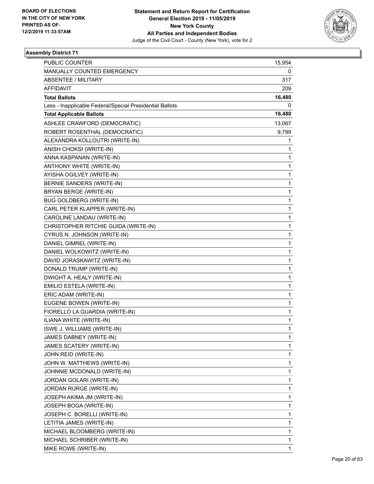

| <b>PUBLIC COUNTER</b>                                    | 15,954 |
|----------------------------------------------------------|--------|
| MANUALLY COUNTED EMERGENCY                               | 0      |
| <b>ABSENTEE / MILITARY</b>                               | 317    |
| AFFIDAVIT                                                | 209    |
| <b>Total Ballots</b>                                     | 16,480 |
| Less - Inapplicable Federal/Special Presidential Ballots | 0      |
| <b>Total Applicable Ballots</b>                          | 16,480 |
| ASHLEE CRAWFORD (DEMOCRATIC)                             | 13,067 |
| ROBERT ROSENTHAL (DEMOCRATIC)                            | 9,799  |
| ALEXANDRA KOLLOUTRI (WRITE-IN)                           | 1      |
| ANISH CHOKSI (WRITE-IN)                                  | 1      |
| ANNA KASPANAN (WRITE-IN)                                 | 1      |
| ANTHONY WHITE (WRITE-IN)                                 | 1      |
| AYISHA OGILVEY (WRITE-IN)                                | 1      |
| BERNIE SANDERS (WRITE-IN)                                | 1      |
| BRYAN BERGE (WRITE-IN)                                   | 1      |
| <b>BUG GOLDBERG (WRITE-IN)</b>                           | 1      |
| CARL PETER KLAPPER (WRITE-IN)                            | 1      |
| CAROLINE LANDAU (WRITE-IN)                               | 1      |
| CHRISTOPHER RITCHIE GUIDA (WRITE-IN)                     | 1      |
| CYRUS N. JOHNSON (WRITE-IN)                              | 1      |
| DANIEL GIMREL (WRITE-IN)                                 | 1      |
| DANIEL WOLKOWITZ (WRITE-IN)                              | 1      |
| DAVID JORASKAWITZ (WRITE-IN)                             | 1      |
| DONALD TRUMP (WRITE-IN)                                  | 1      |
| DWIGHT A. HEALY (WRITE-IN)                               | 1      |
| EMILIO ESTELA (WRITE-IN)                                 | 1      |
| ERIC ADAM (WRITE-IN)                                     | 1      |
| EUGENE BOWEN (WRITE-IN)                                  | 1      |
| FIORELLO LA GUARDIA (WRITE-IN)                           | 1      |
| ILIANA WHITE (WRITE-IN)                                  | 1      |
| ISWE J. WILLIAMS (WRITE-IN)                              | 1      |
| JAMES DABNEY (WRITE-IN)                                  | 1      |
| JAMES SCATERY (WRITE-IN)                                 | 1      |
| JOHN REID (WRITE-IN)                                     | 1      |
| JOHN W. MATTHEWS (WRITE-IN)                              | 1      |
| JOHNNIE MCDONALD (WRITE-IN)                              | 1      |
| JORDAN GOLARI (WRITE-IN)                                 | 1      |
| JORDAN RURGE (WRITE-IN)                                  | 1      |
| JOSEPH AKIMA JM (WRITE-IN)                               | 1      |
| JOSEPH BOGA (WRITE-IN)                                   | 1      |
| JOSEPH C. BORELLI (WRITE-IN)                             | 1      |
| LETITIA JAMES (WRITE-IN)                                 | 1      |
| MICHAEL BLOOMBERG (WRITE-IN)                             | 1      |
| MICHAEL SCHRIBER (WRITE-IN)                              | 1      |
| MIKE ROWE (WRITE-IN)                                     | 1      |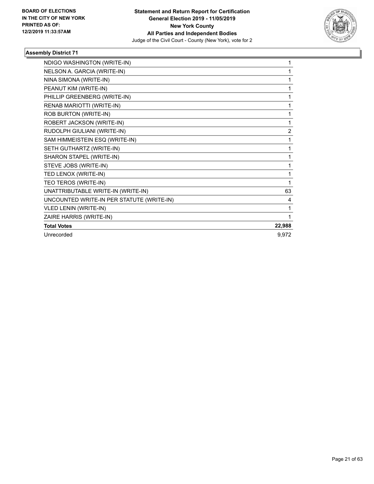

| NDIGO WASHINGTON (WRITE-IN)               | 1              |
|-------------------------------------------|----------------|
| NELSON A. GARCIA (WRITE-IN)               | 1              |
| NINA SIMONA (WRITE-IN)                    |                |
| PEANUT KIM (WRITE-IN)                     | 1              |
| PHILLIP GREENBERG (WRITE-IN)              | 1              |
| RENAB MARIOTTI (WRITE-IN)                 | 1              |
| ROB BURTON (WRITE-IN)                     | 1              |
| ROBERT JACKSON (WRITE-IN)                 | 1              |
| RUDOLPH GIULIANI (WRITE-IN)               | $\overline{2}$ |
| SAM HIMMEISTEIN ESQ (WRITE-IN)            | 1              |
| SETH GUTHARTZ (WRITE-IN)                  | 1              |
| SHARON STAPEL (WRITE-IN)                  | 1              |
| STEVE JOBS (WRITE-IN)                     | 1              |
| TED LENOX (WRITE-IN)                      | 1              |
| TEO TEROS (WRITE-IN)                      | 1              |
| UNATTRIBUTABLE WRITE-IN (WRITE-IN)        | 63             |
| UNCOUNTED WRITE-IN PER STATUTE (WRITE-IN) | 4              |
| VLED LENIN (WRITE-IN)                     | 1              |
| ZAIRE HARRIS (WRITE-IN)                   | 1              |
| <b>Total Votes</b>                        | 22,988         |
| Unrecorded                                | 9,972          |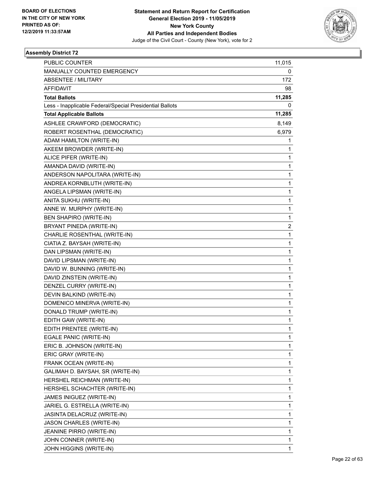

| <b>PUBLIC COUNTER</b>                                    | 11,015 |
|----------------------------------------------------------|--------|
| MANUALLY COUNTED EMERGENCY                               | 0      |
| <b>ABSENTEE / MILITARY</b>                               | 172    |
| <b>AFFIDAVIT</b>                                         | 98     |
| <b>Total Ballots</b>                                     | 11,285 |
| Less - Inapplicable Federal/Special Presidential Ballots | 0      |
| <b>Total Applicable Ballots</b>                          | 11,285 |
| ASHLEE CRAWFORD (DEMOCRATIC)                             | 8,149  |
| ROBERT ROSENTHAL (DEMOCRATIC)                            | 6,979  |
| ADAM HAMILTON (WRITE-IN)                                 | 1      |
| AKEEM BROWDER (WRITE-IN)                                 | 1      |
| ALICE PIFER (WRITE-IN)                                   | 1      |
| AMANDA DAVID (WRITE-IN)                                  | 1      |
| ANDERSON NAPOLITARA (WRITE-IN)                           | 1      |
| ANDREA KORNBLUTH (WRITE-IN)                              | 1      |
| ANGELA LIPSMAN (WRITE-IN)                                | 1      |
| ANITA SUKHU (WRITE-IN)                                   | 1      |
| ANNE W. MURPHY (WRITE-IN)                                | 1      |
| <b>BEN SHAPIRO (WRITE-IN)</b>                            | 1      |
| BRYANT PINEDA (WRITE-IN)                                 | 2      |
| CHARLIE ROSENTHAL (WRITE-IN)                             | 1      |
| CIATIA Z. BAYSAH (WRITE-IN)                              | 1      |
| DAN LIPSMAN (WRITE-IN)                                   | 1      |
| DAVID LIPSMAN (WRITE-IN)                                 | 1      |
| DAVID W. BUNNING (WRITE-IN)                              | 1      |
| DAVID ZINSTEIN (WRITE-IN)                                | 1      |
| DENZEL CURRY (WRITE-IN)                                  | 1      |
| DEVIN BALKIND (WRITE-IN)                                 | 1      |
| DOMENICO MINERVA (WRITE-IN)                              | 1      |
| DONALD TRUMP (WRITE-IN)                                  | 1      |
| EDITH GAW (WRITE-IN)                                     | 1      |
| EDITH PRENTEE (WRITE-IN)                                 | 1      |
| EGALE PANIC (WRITE-IN)                                   | 1      |
| ERIC B. JOHNSON (WRITE-IN)                               | 1      |
| ERIC GRAY (WRITE-IN)                                     | 1      |
| FRANK OCEAN (WRITE-IN)                                   | 1      |
| GALIMAH D. BAYSAH, SR (WRITE-IN)                         | 1      |
| HERSHEL REICHMAN (WRITE-IN)                              | 1      |
| HERSHEL SCHACHTER (WRITE-IN)                             | 1      |
| JAMES INIGUEZ (WRITE-IN)                                 | 1      |
| JARIEL G. ESTRELLA (WRITE-IN)                            | 1      |
| JASINTA DELACRUZ (WRITE-IN)                              | 1      |
| JASON CHARLES (WRITE-IN)                                 | 1      |
| JEANINE PIRRO (WRITE-IN)                                 | 1      |
| JOHN CONNER (WRITE-IN)                                   | 1      |
| JOHN HIGGINS (WRITE-IN)                                  | 1      |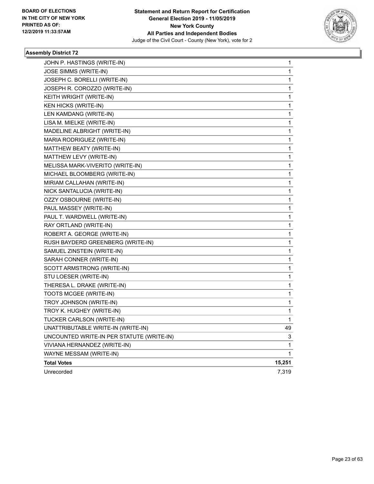

| JOHN P. HASTINGS (WRITE-IN)               | 1      |
|-------------------------------------------|--------|
| JOSE SIMMS (WRITE-IN)                     | 1      |
| JOSEPH C. BORELLI (WRITE-IN)              | 1      |
| JOSEPH R. COROZZO (WRITE-IN)              | 1      |
| KEITH WRIGHT (WRITE-IN)                   | 1      |
| KEN HICKS (WRITE-IN)                      | 1      |
| LEN KAMDANG (WRITE-IN)                    | 1      |
| LISA M. MIELKE (WRITE-IN)                 | 1      |
| MADELINE ALBRIGHT (WRITE-IN)              | 1      |
| MARIA RODRIGUEZ (WRITE-IN)                | 1      |
| MATTHEW BEATY (WRITE-IN)                  | 1      |
| MATTHEW LEVY (WRITE-IN)                   | 1      |
| MELISSA MARK-VIVERITO (WRITE-IN)          | 1      |
| MICHAEL BLOOMBERG (WRITE-IN)              | 1      |
| MIRIAM CALLAHAN (WRITE-IN)                | 1      |
| NICK SANTALUCIA (WRITE-IN)                | 1      |
| OZZY OSBOURNE (WRITE-IN)                  | 1      |
| PAUL MASSEY (WRITE-IN)                    | 1      |
| PAUL T. WARDWELL (WRITE-IN)               | 1      |
| RAY ORTLAND (WRITE-IN)                    | 1      |
| ROBERT A. GEORGE (WRITE-IN)               | 1      |
| RUSH BAYDERD GREENBERG (WRITE-IN)         | 1      |
| SAMUEL ZINSTEIN (WRITE-IN)                | 1      |
| SARAH CONNER (WRITE-IN)                   | 1      |
| SCOTT ARMSTRONG (WRITE-IN)                | 1      |
| STU LOESER (WRITE-IN)                     | 1      |
| THERESA L. DRAKE (WRITE-IN)               | 1      |
| TOOTS MCGEE (WRITE-IN)                    | 1      |
| TROY JOHNSON (WRITE-IN)                   | 1      |
| TROY K. HUGHEY (WRITE-IN)                 | 1      |
| TUCKER CARLSON (WRITE-IN)                 | 1      |
| UNATTRIBUTABLE WRITE-IN (WRITE-IN)        | 49     |
| UNCOUNTED WRITE-IN PER STATUTE (WRITE-IN) | 3      |
| VIVIANA HERNANDEZ (WRITE-IN)              | 1      |
| WAYNE MESSAM (WRITE-IN)                   | 1      |
| <b>Total Votes</b>                        | 15,251 |
| Unrecorded                                | 7,319  |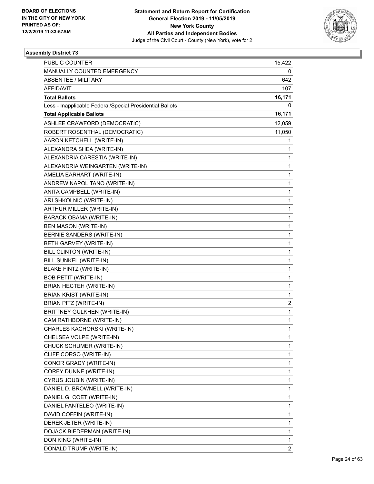

| <b>PUBLIC COUNTER</b>                                    | 15,422         |
|----------------------------------------------------------|----------------|
| MANUALLY COUNTED EMERGENCY                               | 0              |
| <b>ABSENTEE / MILITARY</b>                               | 642            |
| <b>AFFIDAVIT</b>                                         | 107            |
| <b>Total Ballots</b>                                     | 16,171         |
| Less - Inapplicable Federal/Special Presidential Ballots | 0              |
| <b>Total Applicable Ballots</b>                          | 16,171         |
| ASHLEE CRAWFORD (DEMOCRATIC)                             | 12,059         |
| ROBERT ROSENTHAL (DEMOCRATIC)                            | 11,050         |
| AARON KETCHELL (WRITE-IN)                                | 1              |
| ALEXANDRA SHEA (WRITE-IN)                                | 1              |
| ALEXANDRIA CARESTIA (WRITE-IN)                           | 1              |
| ALEXANDRIA WEINGARTEN (WRITE-IN)                         | 1              |
| AMELIA EARHART (WRITE-IN)                                | 1              |
| ANDREW NAPOLITANO (WRITE-IN)                             | 1              |
| ANITA CAMPBELL (WRITE-IN)                                | 1              |
| ARI SHKOLNIC (WRITE-IN)                                  | 1              |
| ARTHUR MILLER (WRITE-IN)                                 | 1              |
| <b>BARACK OBAMA (WRITE-IN)</b>                           | 1              |
| BEN MASON (WRITE-IN)                                     | 1              |
| BERNIE SANDERS (WRITE-IN)                                | 1              |
| BETH GARVEY (WRITE-IN)                                   | 1              |
| BILL CLINTON (WRITE-IN)                                  | 1              |
| BILL SUNKEL (WRITE-IN)                                   | 1              |
| <b>BLAKE FINTZ (WRITE-IN)</b>                            | 1              |
| <b>BOB PETIT (WRITE-IN)</b>                              | 1              |
| BRIAN HECTEH (WRITE-IN)                                  | 1              |
| <b>BRIAN KRIST (WRITE-IN)</b>                            | 1              |
| BRIAN PITZ (WRITE-IN)                                    | 2              |
| <b>BRITTNEY GULKHEN (WRITE-IN)</b>                       | 1              |
| CAM RATHBORNE (WRITE-IN)                                 | 1              |
| CHARLES KACHORSKI (WRITE-IN)                             | 1              |
| CHELSEA VOLPE (WRITE-IN)                                 | 1              |
| CHUCK SCHUMER (WRITE-IN)                                 | 1              |
| CLIFF CORSO (WRITE-IN)                                   | 1              |
| CONOR GRADY (WRITE-IN)                                   | 1              |
| COREY DUNNE (WRITE-IN)                                   | 1              |
| CYRUS JOUBIN (WRITE-IN)                                  | 1              |
| DANIEL D. BROWNELL (WRITE-IN)                            | 1              |
| DANIEL G. COET (WRITE-IN)                                | 1              |
| DANIEL PANTELEO (WRITE-IN)                               | 1              |
| DAVID COFFIN (WRITE-IN)                                  | 1              |
| DEREK JETER (WRITE-IN)                                   | 1              |
| DOJACK BIEDERMAN (WRITE-IN)                              | 1              |
| DON KING (WRITE-IN)                                      | 1              |
| DONALD TRUMP (WRITE-IN)                                  | $\overline{2}$ |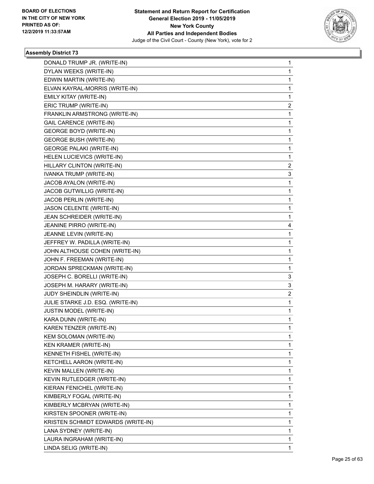

| DONALD TRUMP JR. (WRITE-IN)        | 1              |
|------------------------------------|----------------|
| DYLAN WEEKS (WRITE-IN)             | $\mathbf{1}$   |
| EDWIN MARTIN (WRITE-IN)            | 1              |
| ELVAN KAYRAL-MORRIS (WRITE-IN)     | $\mathbf{1}$   |
| EMILY KITAY (WRITE-IN)             | 1              |
| ERIC TRUMP (WRITE-IN)              | 2              |
| FRANKLIN ARMSTRONG (WRITE-IN)      | $\mathbf{1}$   |
| <b>GAIL CARENCE (WRITE-IN)</b>     | 1              |
| <b>GEORGE BOYD (WRITE-IN)</b>      | 1              |
| <b>GEORGE BUSH (WRITE-IN)</b>      | $\mathbf{1}$   |
| <b>GEORGE PALAKI (WRITE-IN)</b>    | 1              |
| HELEN LUCIEVICS (WRITE-IN)         | 1              |
| HILLARY CLINTON (WRITE-IN)         | $\overline{2}$ |
| IVANKA TRUMP (WRITE-IN)            | 3              |
| JACOB AYALON (WRITE-IN)            | 1              |
| JACOB GUTWILLIG (WRITE-IN)         | $\mathbf{1}$   |
| JACOB PERLIN (WRITE-IN)            | 1              |
| JASON CELENTE (WRITE-IN)           | 1              |
| JEAN SCHREIDER (WRITE-IN)          | $\mathbf{1}$   |
| JEANINE PIRRO (WRITE-IN)           | 4              |
| JEANNE LEVIN (WRITE-IN)            | 1              |
| JEFFREY W. PADILLA (WRITE-IN)      | $\mathbf{1}$   |
| JOHN ALTHOUSE COHEN (WRITE-IN)     | 1              |
| JOHN F. FREEMAN (WRITE-IN)         | 1              |
| JORDAN SPRECKMAN (WRITE-IN)        | $\mathbf{1}$   |
| JOSEPH C. BORELLI (WRITE-IN)       | 3              |
| JOSEPH M. HARARY (WRITE-IN)        | 3              |
| JUDY SHEINDLIN (WRITE-IN)          | 2              |
| JULIE STARKE J.D. ESQ. (WRITE-IN)  | 1              |
| JUSTIN MODEL (WRITE-IN)            | 1              |
| KARA DUNN (WRITE-IN)               | $\mathbf{1}$   |
| KAREN TENZER (WRITE-IN)            | 1              |
| <b>KEM SOLOMAN (WRITE-IN)</b>      | 1              |
| KEN KRAMER (WRITE-IN)              | $\mathbf{1}$   |
| KENNETH FISHEL (WRITE-IN)          | 1              |
| KETCHELL AARON (WRITE-IN)          | 1              |
| KEVIN MALLEN (WRITE-IN)            | $\mathbf{1}$   |
| KEVIN RUTLEDGER (WRITE-IN)         | 1              |
| KIERAN FENICHEL (WRITE-IN)         | 1              |
| KIMBERLY FOGAL (WRITE-IN)          | $\mathbf{1}$   |
| KIMBERLY MCBRYAN (WRITE-IN)        | $\mathbf{1}$   |
| KIRSTEN SPOONER (WRITE-IN)         | 1              |
| KRISTEN SCHMIDT EDWARDS (WRITE-IN) | $\mathbf{1}$   |
| LANA SYDNEY (WRITE-IN)             | 1              |
| LAURA INGRAHAM (WRITE-IN)          | 1              |
| LINDA SELIG (WRITE-IN)             | 1              |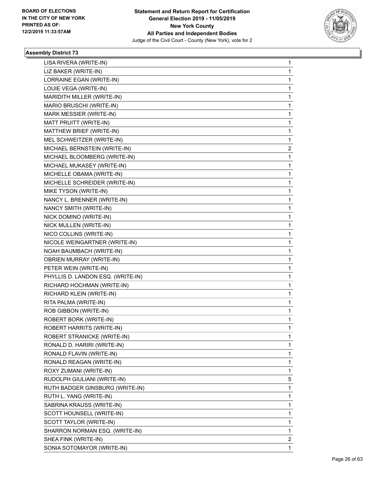

| LISA RIVERA (WRITE-IN)            | 1 |
|-----------------------------------|---|
| LIZ BAKER (WRITE-IN)              | 1 |
| LORRAINE EGAN (WRITE-IN)          | 1 |
| LOUIE VEGA (WRITE-IN)             | 1 |
| MARIDITH MILLER (WRITE-IN)        | 1 |
| MARIO BRUSCHI (WRITE-IN)          | 1 |
| MARK MESSIER (WRITE-IN)           | 1 |
| MATT PRUITT (WRITE-IN)            | 1 |
| MATTHEW BRIEF (WRITE-IN)          | 1 |
| MEL SCHWEITZER (WRITE-IN)         | 1 |
| MICHAEL BERNSTEIN (WRITE-IN)      | 2 |
| MICHAEL BLOOMBERG (WRITE-IN)      | 1 |
| MICHAEL MUKASEY (WRITE-IN)        | 1 |
| MICHELLE OBAMA (WRITE-IN)         | 1 |
| MICHELLE SCHREIDER (WRITE-IN)     | 1 |
| MIKE TYSON (WRITE-IN)             | 1 |
| NANCY L. BRENNER (WRITE-IN)       | 1 |
| NANCY SMITH (WRITE-IN)            | 1 |
| NICK DOMINO (WRITE-IN)            | 1 |
| NICK MULLEN (WRITE-IN)            | 1 |
| NICO COLLINS (WRITE-IN)           | 1 |
| NICOLE WEINGARTNER (WRITE-IN)     | 1 |
| NOAH BAUMBACH (WRITE-IN)          | 1 |
| <b>OBRIEN MURRAY (WRITE-IN)</b>   | 1 |
| PETER WEIN (WRITE-IN)             | 1 |
| PHYLLIS D. LANDON ESQ. (WRITE-IN) | 1 |
| RICHARD HOCHMAN (WRITE-IN)        | 1 |
| RICHARD KLEIN (WRITE-IN)          | 1 |
| RITA PALMA (WRITE-IN)             | 1 |
| ROB GIBBON (WRITE-IN)             | 1 |
| ROBERT BORK (WRITE-IN)            | 1 |
| ROBERT HARRITS (WRITE-IN)         | 1 |
| ROBERT STRANICKE (WRITE-IN)       | 1 |
| RONALD D. HARIRI (WRITE-IN)       | 1 |
| RONALD FLAVIN (WRITE-IN)          | 1 |
| RONALD REAGAN (WRITE-IN)          | 1 |
| ROXY ZUMANI (WRITE-IN)            | 1 |
| RUDOLPH GIULIANI (WRITE-IN)       | 5 |
| RUTH BADGER GINSBURG (WRITE-IN)   | 1 |
| RUTH L. YANG (WRITE-IN)           | 1 |
| SABRINA KRAUSS (WRITE-IN)         | 1 |
| SCOTT HOUNSELL (WRITE-IN)         | 1 |
| SCOTT TAYLOR (WRITE-IN)           | 1 |
| SHARRON NORMAN ESQ. (WRITE-IN)    | 1 |
| SHEA FINK (WRITE-IN)              | 2 |
| SONIA SOTOMAYOR (WRITE-IN)        | 1 |
|                                   |   |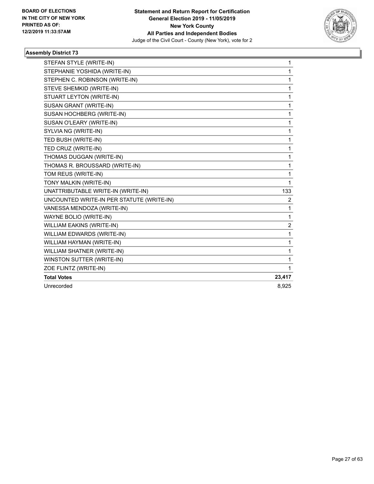

| STEFAN STYLE (WRITE-IN)                   | $\mathbf{1}$   |
|-------------------------------------------|----------------|
| STEPHANIE YOSHIDA (WRITE-IN)              | 1              |
| STEPHEN C. ROBINSON (WRITE-IN)            | 1              |
| STEVE SHEMKID (WRITE-IN)                  | 1              |
| STUART LEYTON (WRITE-IN)                  | 1              |
| SUSAN GRANT (WRITE-IN)                    | 1              |
| SUSAN HOCHBERG (WRITE-IN)                 | 1              |
| SUSAN O'LEARY (WRITE-IN)                  | 1              |
| SYLVIA NG (WRITE-IN)                      | 1              |
| TED BUSH (WRITE-IN)                       | 1              |
| TED CRUZ (WRITE-IN)                       | 1              |
| THOMAS DUGGAN (WRITE-IN)                  | 1              |
| THOMAS R. BROUSSARD (WRITE-IN)            | 1              |
| TOM REUS (WRITE-IN)                       | 1              |
| TONY MALKIN (WRITE-IN)                    | 1              |
| UNATTRIBUTABLE WRITE-IN (WRITE-IN)        | 133            |
| UNCOUNTED WRITE-IN PER STATUTE (WRITE-IN) | 2              |
| VANESSA MENDOZA (WRITE-IN)                | 1              |
| WAYNE BOLIO (WRITE-IN)                    | 1              |
| <b>WILLIAM EAKINS (WRITE-IN)</b>          | $\overline{2}$ |
| WILLIAM EDWARDS (WRITE-IN)                | 1              |
| WILLIAM HAYMAN (WRITE-IN)                 | 1              |
| WILLIAM SHATNER (WRITE-IN)                | 1              |
| WINSTON SUTTER (WRITE-IN)                 | 1              |
| ZOE FLINTZ (WRITE-IN)                     | 1              |
| <b>Total Votes</b>                        | 23,417         |
| Unrecorded                                | 8,925          |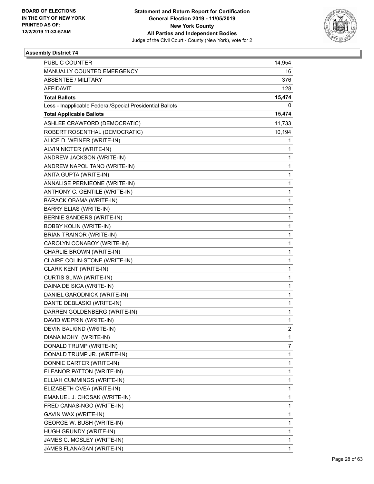

| <b>PUBLIC COUNTER</b>                                    | 14,954         |
|----------------------------------------------------------|----------------|
| MANUALLY COUNTED EMERGENCY                               | 16             |
| <b>ABSENTEE / MILITARY</b>                               | 376            |
| <b>AFFIDAVIT</b>                                         | 128            |
| <b>Total Ballots</b>                                     | 15,474         |
| Less - Inapplicable Federal/Special Presidential Ballots | 0              |
| <b>Total Applicable Ballots</b>                          | 15,474         |
| ASHLEE CRAWFORD (DEMOCRATIC)                             | 11,733         |
| ROBERT ROSENTHAL (DEMOCRATIC)                            | 10,194         |
| ALICE D. WEINER (WRITE-IN)                               | 1              |
| ALVIN NICTER (WRITE-IN)                                  | 1              |
| ANDREW JACKSON (WRITE-IN)                                | 1              |
| ANDREW NAPOLITANO (WRITE-IN)                             | 1              |
| ANITA GUPTA (WRITE-IN)                                   | 1              |
| ANNALISE PERNIEONE (WRITE-IN)                            | 1              |
| ANTHONY C. GENTILE (WRITE-IN)                            | 1              |
| <b>BARACK OBAMA (WRITE-IN)</b>                           | 1              |
| <b>BARRY ELIAS (WRITE-IN)</b>                            | 1              |
| <b>BERNIE SANDERS (WRITE-IN)</b>                         | 1              |
| <b>BOBBY KOLIN (WRITE-IN)</b>                            | 1              |
| BRIAN TRAINOR (WRITE-IN)                                 | 1              |
| CAROLYN CONABOY (WRITE-IN)                               | 1              |
| CHARLIE BROWN (WRITE-IN)                                 | 1              |
| CLAIRE COLIN-STONE (WRITE-IN)                            | 1              |
| CLARK KENT (WRITE-IN)                                    | 1              |
| CURTIS SLIWA (WRITE-IN)                                  | 1              |
| DAINA DE SICA (WRITE-IN)                                 | 1              |
| DANIEL GARODNICK (WRITE-IN)                              | 1              |
| DANTE DEBLASIO (WRITE-IN)                                | 1              |
| DARREN GOLDENBERG (WRITE-IN)                             | 1              |
| DAVID WEPRIN (WRITE-IN)                                  | 1              |
| DEVIN BALKIND (WRITE-IN)                                 | $\overline{c}$ |
| DIANA MOHYI (WRITE-IN)                                   | 1              |
| DONALD TRUMP (WRITE-IN)                                  | 7              |
| DONALD TRUMP JR. (WRITE-IN)                              | 1              |
| DONNIE CARTER (WRITE-IN)                                 | 1              |
| ELEANOR PATTON (WRITE-IN)                                | 1              |
| ELIJAH CUMMINGS (WRITE-IN)                               | 1              |
| ELIZABETH OVEA (WRITE-IN)                                | 1              |
| EMANUEL J. CHOSAK (WRITE-IN)                             | 1              |
| FRED CANAS-NGO (WRITE-IN)                                | 1              |
| GAVIN WAX (WRITE-IN)                                     | 1              |
| GEORGE W. BUSH (WRITE-IN)                                | 1              |
| HUGH GRUNDY (WRITE-IN)                                   | 1              |
| JAMES C. MOSLEY (WRITE-IN)                               | 1              |
| JAMES FLANAGAN (WRITE-IN)                                | 1              |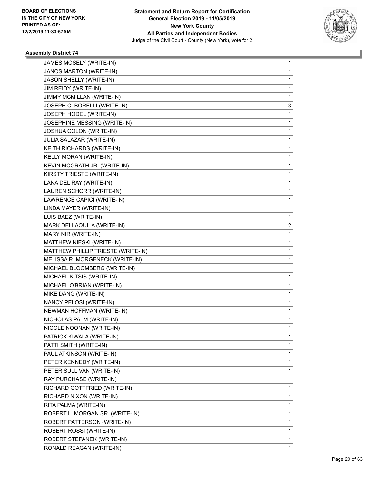

| JAMES MOSELY (WRITE-IN)            | 1 |
|------------------------------------|---|
| JANOS MARTON (WRITE-IN)            | 1 |
| JASON SHELLY (WRITE-IN)            | 1 |
| JIM REIDY (WRITE-IN)               | 1 |
| JIMMY MCMILLAN (WRITE-IN)          | 1 |
| JOSEPH C. BORELLI (WRITE-IN)       | 3 |
| JOSEPH HODEL (WRITE-IN)            | 1 |
| JOSEPHINE MESSING (WRITE-IN)       | 1 |
| JOSHUA COLON (WRITE-IN)            | 1 |
| JULIA SALAZAR (WRITE-IN)           | 1 |
| KEITH RICHARDS (WRITE-IN)          | 1 |
| KELLY MORAN (WRITE-IN)             | 1 |
| KEVIN MCGRATH JR. (WRITE-IN)       | 1 |
| KIRSTY TRIESTE (WRITE-IN)          | 1 |
| LANA DEL RAY (WRITE-IN)            | 1 |
| LAUREN SCHORR (WRITE-IN)           | 1 |
| LAWRENCE CAPICI (WRITE-IN)         | 1 |
| LINDA MAYER (WRITE-IN)             | 1 |
| LUIS BAEZ (WRITE-IN)               | 1 |
| MARK DELLAQUILA (WRITE-IN)         | 2 |
| MARY NIR (WRITE-IN)                | 1 |
| MATTHEW NIESKI (WRITE-IN)          | 1 |
| MATTHEW PHILLIP TRIESTE (WRITE-IN) | 1 |
| MELISSA R. MORGENECK (WRITE-IN)    | 1 |
| MICHAEL BLOOMBERG (WRITE-IN)       | 1 |
| MICHAEL KITSIS (WRITE-IN)          | 1 |
| MICHAEL O'BRIAN (WRITE-IN)         | 1 |
| MIKE DANG (WRITE-IN)               | 1 |
| NANCY PELOSI (WRITE-IN)            | 1 |
| NEWMAN HOFFMAN (WRITE-IN)          | 1 |
| NICHOLAS PALM (WRITE-IN)           | 1 |
| NICOLE NOONAN (WRITE-IN)           | 1 |
| PATRICK KIWALA (WRITE-IN)          | 1 |
| PATTI SMITH (WRITE-IN)             | 1 |
| PAUL ATKINSON (WRITE-IN)           | 1 |
| PETER KENNEDY (WRITE-IN)           | 1 |
| PETER SULLIVAN (WRITE-IN)          | 1 |
| RAY PURCHASE (WRITE-IN)            | 1 |
| RICHARD GOTTFRIED (WRITE-IN)       | 1 |
| RICHARD NIXON (WRITE-IN)           | 1 |
| RITA PALMA (WRITE-IN)              | 1 |
| ROBERT L. MORGAN SR. (WRITE-IN)    | 1 |
| ROBERT PATTERSON (WRITE-IN)        | 1 |
| ROBERT ROSSI (WRITE-IN)            | 1 |
| ROBERT STEPANEK (WRITE-IN)         | 1 |
| RONALD REAGAN (WRITE-IN)           | 1 |
|                                    |   |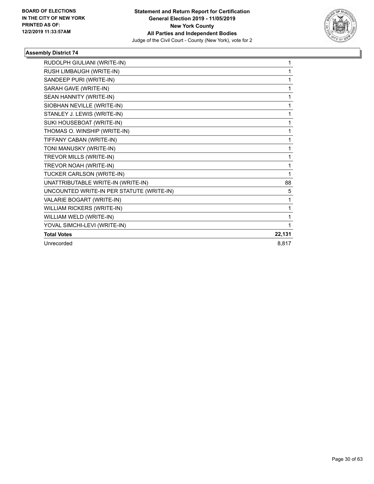

| RUDOLPH GIULIANI (WRITE-IN)               | 1      |
|-------------------------------------------|--------|
| RUSH LIMBAUGH (WRITE-IN)                  | 1      |
| SANDEEP PURI (WRITE-IN)                   | 1      |
| SARAH GAVE (WRITE-IN)                     | 1      |
| SEAN HANNITY (WRITE-IN)                   | 1      |
| SIOBHAN NEVILLE (WRITE-IN)                | 1      |
| STANLEY J. LEWIS (WRITE-IN)               | 1      |
| SUKI HOUSEBOAT (WRITE-IN)                 | 1      |
| THOMAS O. WINSHIP (WRITE-IN)              | 1      |
| TIFFANY CABAN (WRITE-IN)                  | 1      |
| TONI MANUSKY (WRITE-IN)                   | 1      |
| TREVOR MILLS (WRITE-IN)                   | 1      |
| TREVOR NOAH (WRITE-IN)                    | 1      |
| TUCKER CARLSON (WRITE-IN)                 | 1      |
| UNATTRIBUTABLE WRITE-IN (WRITE-IN)        | 88     |
| UNCOUNTED WRITE-IN PER STATUTE (WRITE-IN) | 5      |
| VALARIE BOGART (WRITE-IN)                 | 1      |
| <b>WILLIAM RICKERS (WRITE-IN)</b>         | 1      |
| WILLIAM WELD (WRITE-IN)                   | 1      |
| YOVAL SIMCHI-LEVI (WRITE-IN)              | 1      |
| <b>Total Votes</b>                        | 22,131 |
| Unrecorded                                | 8,817  |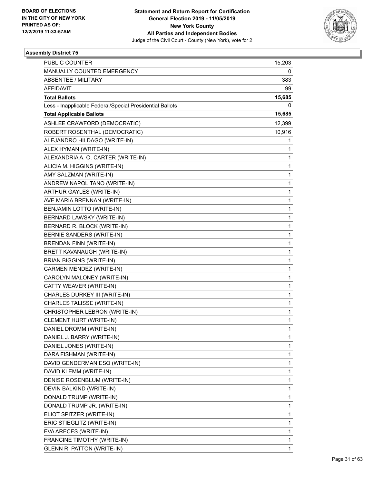

| <b>PUBLIC COUNTER</b>                                    | 15,203 |
|----------------------------------------------------------|--------|
| MANUALLY COUNTED EMERGENCY                               | 0      |
| <b>ABSENTEE / MILITARY</b>                               | 383    |
| <b>AFFIDAVIT</b>                                         | 99     |
| <b>Total Ballots</b>                                     | 15,685 |
| Less - Inapplicable Federal/Special Presidential Ballots | 0      |
| <b>Total Applicable Ballots</b>                          | 15,685 |
| ASHLEE CRAWFORD (DEMOCRATIC)                             | 12,399 |
| ROBERT ROSENTHAL (DEMOCRATIC)                            | 10,916 |
| ALEJANDRO HILDAGO (WRITE-IN)                             | 1      |
| ALEX HYMAN (WRITE-IN)                                    | 1      |
| ALEXANDRIA A. O. CARTER (WRITE-IN)                       | 1      |
| ALICIA M. HIGGINS (WRITE-IN)                             | 1      |
| AMY SALZMAN (WRITE-IN)                                   | 1      |
| ANDREW NAPOLITANO (WRITE-IN)                             | 1      |
| ARTHUR GAYLES (WRITE-IN)                                 | 1      |
| AVE MARIA BRENNAN (WRITE-IN)                             | 1      |
| BENJAMIN LOTTO (WRITE-IN)                                | 1      |
| BERNARD LAWSKY (WRITE-IN)                                | 1      |
| BERNARD R. BLOCK (WRITE-IN)                              | 1      |
| BERNIE SANDERS (WRITE-IN)                                | 1      |
| <b>BRENDAN FINN (WRITE-IN)</b>                           | 1      |
| BRETT KAVANAUGH (WRITE-IN)                               | 1      |
| <b>BRIAN BIGGINS (WRITE-IN)</b>                          | 1      |
| CARMEN MENDEZ (WRITE-IN)                                 | 1      |
| CAROLYN MALONEY (WRITE-IN)                               | 1      |
| CATTY WEAVER (WRITE-IN)                                  | 1      |
| CHARLES DURKEY III (WRITE-IN)                            | 1      |
| CHARLES TALISSE (WRITE-IN)                               | 1      |
| CHRISTOPHER LEBRON (WRITE-IN)                            | 1      |
| CLEMENT HURT (WRITE-IN)                                  | 1      |
| DANIEL DROMM (WRITE-IN)                                  | 1      |
| DANIEL J. BARRY (WRITE-IN)                               | 1      |
| DANIEL JONES (WRITE-IN)                                  | 1      |
| DARA FISHMAN (WRITE-IN)                                  | 1      |
| DAVID GENDERMAN ESQ (WRITE-IN)                           | 1      |
| DAVID KLEMM (WRITE-IN)                                   | 1      |
| DENISE ROSENBLUM (WRITE-IN)                              | 1      |
| DEVIN BALKIND (WRITE-IN)                                 | 1      |
| DONALD TRUMP (WRITE-IN)                                  | 1      |
| DONALD TRUMP JR. (WRITE-IN)                              | 1      |
| ELIOT SPITZER (WRITE-IN)                                 | 1      |
| ERIC STIEGLITZ (WRITE-IN)                                | 1      |
| EVA ARECES (WRITE-IN)                                    | 1      |
| FRANCINE TIMOTHY (WRITE-IN)                              | 1      |
| <b>GLENN R. PATTON (WRITE-IN)</b>                        | 1      |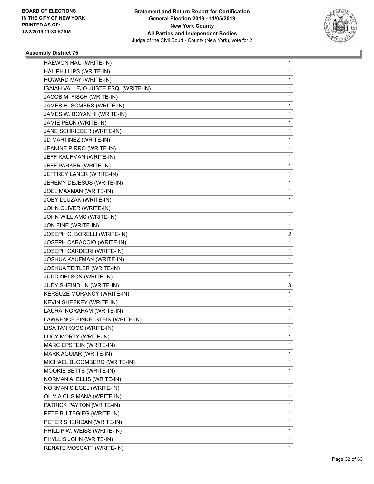

| HAEWON HAU (WRITE-IN)                | 1            |
|--------------------------------------|--------------|
| HAL PHILLIPS (WRITE-IN)              | $\mathbf{1}$ |
| HOWARD MAY (WRITE-IN)                | 1            |
| ISAIAH VALLEJO-JUSTE ESQ. (WRITE-IN) | $\mathbf{1}$ |
| JACOB M. FISCH (WRITE-IN)            | 1            |
| JAMES H. SOMERS (WRITE-IN)           | 1            |
| JAMES W. BOYAN III (WRITE-IN)        | $\mathbf{1}$ |
| JAMIE PECK (WRITE-IN)                | 1            |
| JANE SCHRIEBER (WRITE-IN)            | 1            |
| JD MARTINEZ (WRITE-IN)               | $\mathbf{1}$ |
| JEANINE PIRRO (WRITE-IN)             | 1            |
| JEFF KAUFMAN (WRITE-IN)              | 1            |
| JEFF PARKER (WRITE-IN)               | $\mathbf{1}$ |
| JEFFREY LANER (WRITE-IN)             | 1            |
| JEREMY DEJESUS (WRITE-IN)            | 1            |
| JOEL MAXMAN (WRITE-IN)               | $\mathbf{1}$ |
| JOEY DLUZAK (WRITE-IN)               | 1            |
| JOHN OLIVER (WRITE-IN)               | 1            |
| JOHN WILLIAMS (WRITE-IN)             | $\mathbf{1}$ |
| JON FINE (WRITE-IN)                  | 1            |
| JOSEPH C. BORELLI (WRITE-IN)         | 2            |
| JOSEPH CARACCIO (WRITE-IN)           | $\mathbf{1}$ |
| JOSEPH CARDIERI (WRITE-IN)           | 1            |
| JOSHUA KAUFMAN (WRITE-IN)            | 1            |
| JOSHUA TEITLER (WRITE-IN)            | $\mathbf{1}$ |
| JUDD NELSON (WRITE-IN)               | 1            |
| JUDY SHEINDLIN (WRITE-IN)            | 3            |
| KERSUZE MORANCY (WRITE-IN)           | $\mathbf{1}$ |
| KEVIN SHEEKEY (WRITE-IN)             | 1            |
| LAURA INGRAHAM (WRITE-IN)            | 1            |
| LAWRENCE FINKELSTEIN (WRITE-IN)      | $\mathbf{1}$ |
| LISA TANKOOS (WRITE-IN)              | 1            |
| LUCY MORTY (WRITE-IN)                | 1            |
| MARC EPSTEIN (WRITE-IN)              | $\mathbf{1}$ |
| MARK AGUIAR (WRITE-IN)               | $\mathbf{1}$ |
| MICHAEL BLOOMBERG (WRITE-IN)         | 1            |
| MOOKIE BETTS (WRITE-IN)              | $\mathbf{1}$ |
| NORMAN A. ELLIS (WRITE-IN)           | 1            |
| NORMAN SIEGEL (WRITE-IN)             | 1            |
| OLIVIA CUSIMANA (WRITE-IN)           | $\mathbf{1}$ |
| PATRICK PAYTON (WRITE-IN)            | $\mathbf{1}$ |
| PETE BUITEGIEG (WRITE-IN)            | 1            |
| PETER SHERIDAN (WRITE-IN)            | $\mathbf{1}$ |
| PHILLIP W. WEISS (WRITE-IN)          | 1            |
| PHYLLIS JOHN (WRITE-IN)              | 1            |
| RENATE MOSCATT (WRITE-IN)            | 1            |
|                                      |              |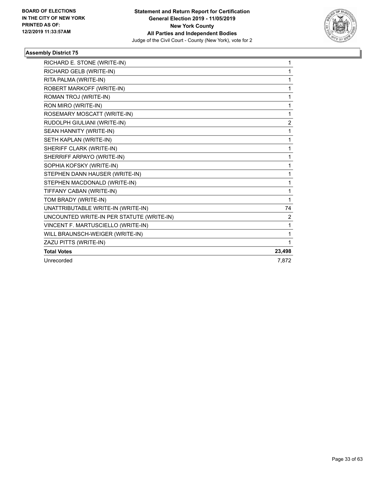

| RICHARD E. STONE (WRITE-IN)               | 1              |
|-------------------------------------------|----------------|
| RICHARD GELB (WRITE-IN)                   | 1              |
| RITA PALMA (WRITE-IN)                     | 1              |
| ROBERT MARKOFF (WRITE-IN)                 | 1              |
| ROMAN TROJ (WRITE-IN)                     | 1              |
| RON MIRO (WRITE-IN)                       | 1              |
| ROSEMARY MOSCATT (WRITE-IN)               | 1              |
| RUDOLPH GIULIANI (WRITE-IN)               | $\overline{c}$ |
| SEAN HANNITY (WRITE-IN)                   | 1              |
| SETH KAPLAN (WRITE-IN)                    | 1              |
| SHERIFF CLARK (WRITE-IN)                  | 1              |
| SHERRIFF ARPAYO (WRITE-IN)                | 1              |
| SOPHIA KOFSKY (WRITE-IN)                  | 1              |
| STEPHEN DANN HAUSER (WRITE-IN)            | 1              |
| STEPHEN MACDONALD (WRITE-IN)              | 1              |
| TIFFANY CABAN (WRITE-IN)                  | 1              |
| TOM BRADY (WRITE-IN)                      | 1              |
| UNATTRIBUTABLE WRITE-IN (WRITE-IN)        | 74             |
| UNCOUNTED WRITE-IN PER STATUTE (WRITE-IN) | $\overline{2}$ |
| VINCENT F. MARTUSCIELLO (WRITE-IN)        | 1              |
| WILL BRAUNSCH-WEIGER (WRITE-IN)           | 1              |
| ZAZU PITTS (WRITE-IN)                     | 1              |
| <b>Total Votes</b>                        | 23,498         |
| Unrecorded                                | 7.872          |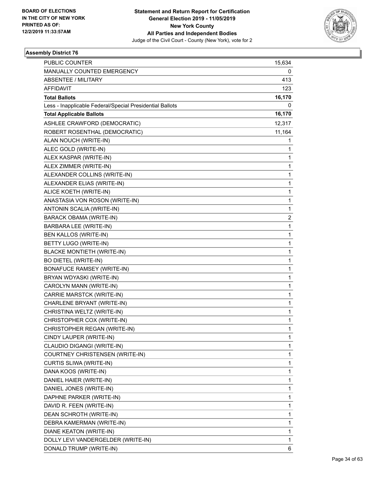

| PUBLIC COUNTER                                           | 15,634       |
|----------------------------------------------------------|--------------|
| MANUALLY COUNTED EMERGENCY                               | 0            |
| <b>ABSENTEE / MILITARY</b>                               | 413          |
| <b>AFFIDAVIT</b>                                         | 123          |
| <b>Total Ballots</b>                                     | 16,170       |
| Less - Inapplicable Federal/Special Presidential Ballots | 0            |
| <b>Total Applicable Ballots</b>                          | 16,170       |
| ASHLEE CRAWFORD (DEMOCRATIC)                             | 12,317       |
| ROBERT ROSENTHAL (DEMOCRATIC)                            | 11,164       |
| ALAN NOUCH (WRITE-IN)                                    | 1            |
| ALEC GOLD (WRITE-IN)                                     | 1            |
| ALEX KASPAR (WRITE-IN)                                   | 1            |
| ALEX ZIMMER (WRITE-IN)                                   | 1            |
| ALEXANDER COLLINS (WRITE-IN)                             | $\mathbf{1}$ |
| ALEXANDER ELIAS (WRITE-IN)                               | $\mathbf{1}$ |
| ALICE KOETH (WRITE-IN)                                   | 1            |
| ANASTASIA VON ROSON (WRITE-IN)                           | 1            |
| ANTONIN SCALIA (WRITE-IN)                                | $\mathbf{1}$ |
| BARACK OBAMA (WRITE-IN)                                  | 2            |
| BARBARA LEE (WRITE-IN)                                   | $\mathbf{1}$ |
| <b>BEN KALLOS (WRITE-IN)</b>                             | $\mathbf{1}$ |
| BETTY LUGO (WRITE-IN)                                    | 1            |
| <b>BLACKE MONTIETH (WRITE-IN)</b>                        | $\mathbf{1}$ |
| <b>BO DIETEL (WRITE-IN)</b>                              | $\mathbf{1}$ |
| <b>BONAFUCE RAMSEY (WRITE-IN)</b>                        | 1            |
| BRYAN WDYASKI (WRITE-IN)                                 | $\mathbf{1}$ |
| CAROLYN MANN (WRITE-IN)                                  | $\mathbf{1}$ |
| CARRIE MARSTCK (WRITE-IN)                                | 1            |
| CHARLENE BRYANT (WRITE-IN)                               | $\mathbf{1}$ |
| CHRISTINA WELTZ (WRITE-IN)                               | 1            |
| CHRISTOPHER COX (WRITE-IN)                               | 1            |
| CHRISTOPHER REGAN (WRITE-IN)                             | $\mathbf{1}$ |
| CINDY LAUPER (WRITE-IN)                                  | 1            |
| CLAUDIO DIGANGI (WRITE-IN)                               | 1            |
| COURTNEY CHRISTENSEN (WRITE-IN)                          | $\mathbf{1}$ |
| CURTIS SLIWA (WRITE-IN)                                  | 1            |
| DANA KOOS (WRITE-IN)                                     | 1            |
| DANIEL HAIER (WRITE-IN)                                  | 1            |
| DANIEL JONES (WRITE-IN)                                  | 1            |
| DAPHNE PARKER (WRITE-IN)                                 | 1            |
| DAVID R. FEEN (WRITE-IN)                                 | $\mathbf{1}$ |
| DEAN SCHROTH (WRITE-IN)                                  | 1            |
| DEBRA KAMERMAN (WRITE-IN)                                | 1            |
| DIANE KEATON (WRITE-IN)                                  | 1            |
| DOLLY LEVI VANDERGELDER (WRITE-IN)                       | 1            |
| DONALD TRUMP (WRITE-IN)                                  | 6            |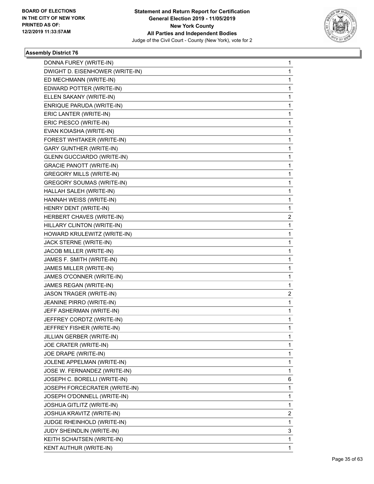

| DONNA FUREY (WRITE-IN)            | 1              |
|-----------------------------------|----------------|
| DWIGHT D. EISENHOWER (WRITE-IN)   | 1              |
| ED MECHMANN (WRITE-IN)            | 1              |
| EDWARD POTTER (WRITE-IN)          | 1              |
| ELLEN SAKANY (WRITE-IN)           | 1              |
| ENRIQUE PARUDA (WRITE-IN)         | 1              |
| ERIC LANTER (WRITE-IN)            | 1              |
| ERIC PIESCO (WRITE-IN)            | 1              |
| EVAN KOIASHA (WRITE-IN)           | 1              |
| FOREST WHITAKER (WRITE-IN)        | 1              |
| <b>GARY GUNTHER (WRITE-IN)</b>    | 1              |
| <b>GLENN GUCCIARDO (WRITE-IN)</b> | 1              |
| <b>GRACIE PANOTT (WRITE-IN)</b>   | 1              |
| <b>GREGORY MILLS (WRITE-IN)</b>   | 1              |
| <b>GREGORY SOUMAS (WRITE-IN)</b>  | 1              |
| HALLAH SALEH (WRITE-IN)           | 1              |
| HANNAH WEISS (WRITE-IN)           | 1              |
| HENRY DENT (WRITE-IN)             | 1              |
| HERBERT CHAVES (WRITE-IN)         | $\overline{2}$ |
| HILLARY CLINTON (WRITE-IN)        | 1              |
| HOWARD KRULEWITZ (WRITE-IN)       | 1              |
| JACK STERNE (WRITE-IN)            | 1              |
| JACOB MILLER (WRITE-IN)           | 1              |
| JAMES F. SMITH (WRITE-IN)         | 1              |
| JAMES MILLER (WRITE-IN)           | 1              |
| JAMES O'CONNER (WRITE-IN)         | 1              |
| JAMES REGAN (WRITE-IN)            | 1              |
| JASON TRAGER (WRITE-IN)           | 2              |
| JEANINE PIRRO (WRITE-IN)          | 1              |
| JEFF ASHERMAN (WRITE-IN)          | 1              |
| JEFFREY CORDTZ (WRITE-IN)         | 1              |
| JEFFREY FISHER (WRITE-IN)         | 1              |
| JILLIAN GERBER (WRITE-IN)         | 1              |
| JOE CRATER (WRITE-IN)             | 1              |
| JOE DRAPE (WRITE-IN)              | 1              |
| JOLENE APPELMAN (WRITE-IN)        | 1              |
| JOSE W. FERNANDEZ (WRITE-IN)      | 1              |
| JOSEPH C. BORELLI (WRITE-IN)      | 6              |
| JOSEPH FORCECRATER (WRITE-IN)     | 1              |
| JOSEPH O'DONNELL (WRITE-IN)       | 1              |
| JOSHUA GITLITZ (WRITE-IN)         | 1              |
| JOSHUA KRAVITZ (WRITE-IN)         | 2              |
| JUDGE RHEINHOLD (WRITE-IN)        | 1              |
| JUDY SHEINDLIN (WRITE-IN)         | 3              |
| KEITH SCHAITSEN (WRITE-IN)        | 1              |
| KENT AUTHUR (WRITE-IN)            | 1              |
|                                   |                |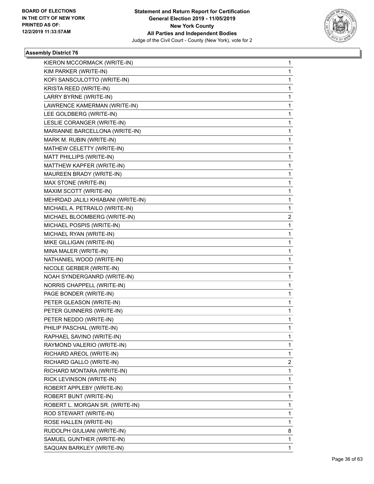

| KIERON MCCORMACK (WRITE-IN)        | $\mathbf{1}$ |
|------------------------------------|--------------|
| KIM PARKER (WRITE-IN)              | $\mathbf{1}$ |
| KOFI SANSCULOTTO (WRITE-IN)        | $\mathbf{1}$ |
| KRISTA REED (WRITE-IN)             | 1            |
| LARRY BYRNE (WRITE-IN)             | 1            |
| LAWRENCE KAMERMAN (WRITE-IN)       | 1            |
| LEE GOLDBERG (WRITE-IN)            | 1            |
| LESLIE CORANGER (WRITE-IN)         | $\mathbf{1}$ |
| MARIANNE BARCELLONA (WRITE-IN)     | 1            |
| MARK M. RUBIN (WRITE-IN)           | 1            |
| MATHEW CELETTY (WRITE-IN)          | 1            |
| MATT PHILLIPS (WRITE-IN)           | 1            |
| MATTHEW KAPFER (WRITE-IN)          | 1            |
| MAUREEN BRADY (WRITE-IN)           | $\mathbf{1}$ |
| MAX STONE (WRITE-IN)               | 1            |
| MAXIM SCOTT (WRITE-IN)             | 1            |
| MEHRDAD JALILI KHIABANI (WRITE-IN) | 1            |
| MICHAEL A. PETRAILO (WRITE-IN)     | $\mathbf{1}$ |
| MICHAEL BLOOMBERG (WRITE-IN)       | 2            |
| MICHAEL POSPIS (WRITE-IN)          | $\mathbf{1}$ |
| MICHAEL RYAN (WRITE-IN)            | 1            |
| MIKE GILLIGAN (WRITE-IN)           | 1            |
| MINA MALER (WRITE-IN)              | 1            |
| NATHANIEL WOOD (WRITE-IN)          | 1            |
| NICOLE GERBER (WRITE-IN)           | 1            |
| NOAH SYNDERGANRD (WRITE-IN)        | $\mathbf{1}$ |
| NORRIS CHAPPELL (WRITE-IN)         | 1            |
| PAGE BONDER (WRITE-IN)             | 1            |
| PETER GLEASON (WRITE-IN)           | 1            |
| PETER GUINNERS (WRITE-IN)          | 1            |
| PETER NEDDO (WRITE-IN)             | 1            |
| PHILIP PASCHAL (WRITE-IN)          | $\mathbf{1}$ |
| RAPHAEL SAVINO (WRITE-IN)          | 1            |
| RAYMOND VALERIO (WRITE-IN)         | 1            |
| RICHARD AREOL (WRITE-IN)           | $\mathbf{1}$ |
| RICHARD GALLO (WRITE-IN)           | 2            |
| RICHARD MONTARA (WRITE-IN)         | 1            |
| RICK LEVINSON (WRITE-IN)           | $\mathbf 1$  |
| ROBERT APPLEBY (WRITE-IN)          | 1            |
| ROBERT BUNT (WRITE-IN)             | 1            |
| ROBERT L. MORGAN SR. (WRITE-IN)    | $\mathbf 1$  |
| ROD STEWART (WRITE-IN)             | 1            |
| ROSE HALLEN (WRITE-IN)             | 1            |
| RUDOLPH GIULIANI (WRITE-IN)        | 8            |
| SAMUEL GUNTHER (WRITE-IN)          | $\mathbf{1}$ |
| SAQUAN BARKLEY (WRITE-IN)          | 1            |
|                                    |              |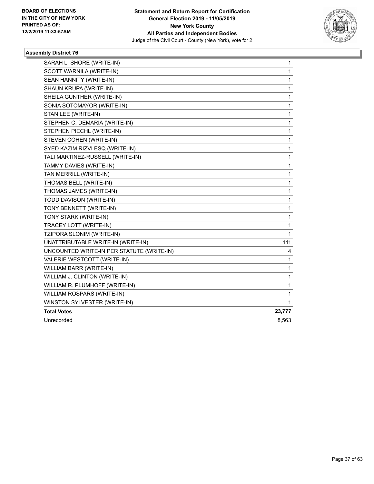

| SARAH L. SHORE (WRITE-IN)                 | 1      |
|-------------------------------------------|--------|
| SCOTT WARNILA (WRITE-IN)                  | 1      |
| SEAN HANNITY (WRITE-IN)                   | 1      |
| SHAUN KRUPA (WRITE-IN)                    | 1      |
| SHEILA GUNTHER (WRITE-IN)                 | 1      |
| SONIA SOTOMAYOR (WRITE-IN)                | 1      |
| STAN LEE (WRITE-IN)                       | 1      |
| STEPHEN C. DEMARIA (WRITE-IN)             | 1      |
| STEPHEN PIECHL (WRITE-IN)                 | 1      |
| STEVEN COHEN (WRITE-IN)                   | 1      |
| SYED KAZIM RIZVI ESQ (WRITE-IN)           | 1      |
| TALI MARTINEZ-RUSSELL (WRITE-IN)          | 1      |
| TAMMY DAVIES (WRITE-IN)                   | 1      |
| TAN MERRILL (WRITE-IN)                    | 1      |
| THOMAS BELL (WRITE-IN)                    | 1      |
| THOMAS JAMES (WRITE-IN)                   | 1      |
| TODD DAVISON (WRITE-IN)                   | 1      |
| TONY BENNETT (WRITE-IN)                   | 1      |
| TONY STARK (WRITE-IN)                     | 1      |
| TRACEY LOTT (WRITE-IN)                    | 1      |
| TZIPORA SLONIM (WRITE-IN)                 | 1      |
| UNATTRIBUTABLE WRITE-IN (WRITE-IN)        | 111    |
| UNCOUNTED WRITE-IN PER STATUTE (WRITE-IN) | 4      |
| VALERIE WESTCOTT (WRITE-IN)               | 1      |
| WILLIAM BARR (WRITE-IN)                   | 1      |
| WILLIAM J. CLINTON (WRITE-IN)             | 1      |
| WILLIAM R. PLUMHOFF (WRITE-IN)            | 1      |
| WILLIAM ROSPARS (WRITE-IN)                | 1      |
| WINSTON SYLVESTER (WRITE-IN)              | 1      |
| <b>Total Votes</b>                        | 23,777 |
| Unrecorded                                | 8,563  |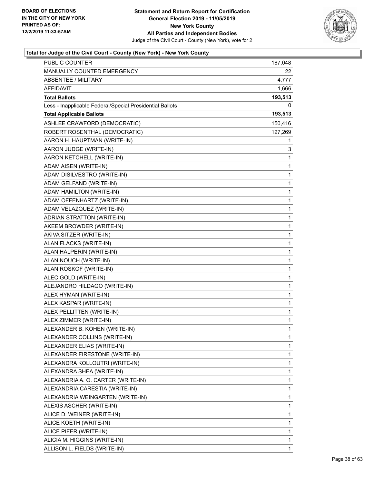

| PUBLIC COUNTER                                           | 187,048     |
|----------------------------------------------------------|-------------|
| MANUALLY COUNTED EMERGENCY                               | 22          |
| <b>ABSENTEE / MILITARY</b>                               | 4,777       |
| <b>AFFIDAVIT</b>                                         | 1,666       |
| <b>Total Ballots</b>                                     | 193,513     |
| Less - Inapplicable Federal/Special Presidential Ballots | 0           |
| <b>Total Applicable Ballots</b>                          | 193,513     |
| ASHLEE CRAWFORD (DEMOCRATIC)                             | 150,416     |
| ROBERT ROSENTHAL (DEMOCRATIC)                            | 127,269     |
| AARON H. HAUPTMAN (WRITE-IN)                             | 1           |
| AARON JUDGE (WRITE-IN)                                   | 3           |
| AARON KETCHELL (WRITE-IN)                                | 1           |
| ADAM AISEN (WRITE-IN)                                    | 1           |
| ADAM DISILVESTRO (WRITE-IN)                              | 1           |
| ADAM GELFAND (WRITE-IN)                                  | $\mathbf 1$ |
| ADAM HAMILTON (WRITE-IN)                                 | 1           |
| ADAM OFFENHARTZ (WRITE-IN)                               | 1           |
| ADAM VELAZQUEZ (WRITE-IN)                                | 1           |
| ADRIAN STRATTON (WRITE-IN)                               | 1           |
| AKEEM BROWDER (WRITE-IN)                                 | 1           |
| AKIVA SITZER (WRITE-IN)                                  | $\mathbf 1$ |
| ALAN FLACKS (WRITE-IN)                                   | 1           |
| ALAN HALPERIN (WRITE-IN)                                 | 1           |
| ALAN NOUCH (WRITE-IN)                                    | 1           |
| ALAN ROSKOF (WRITE-IN)                                   | 1           |
| ALEC GOLD (WRITE-IN)                                     | 1           |
| ALEJANDRO HILDAGO (WRITE-IN)                             | $\mathbf 1$ |
| ALEX HYMAN (WRITE-IN)                                    | 1           |
| ALEX KASPAR (WRITE-IN)                                   | 1           |
| ALEX PELLITTEN (WRITE-IN)                                | 1           |
| ALEX ZIMMER (WRITE-IN)                                   | 1           |
| ALEXANDER B. KOHEN (WRITE-IN)                            | 1           |
| ALEXANDER COLLINS (WRITE-IN)                             | 1           |
| ALEXANDER ELIAS (WRITE-IN)                               | 1           |
| ALEXANDER FIRESTONE (WRITE-IN)                           | 1           |
| ALEXANDRA KOLLOUTRI (WRITE-IN)                           | 1           |
| ALEXANDRA SHEA (WRITE-IN)                                | 1           |
| ALEXANDRIA A. O. CARTER (WRITE-IN)                       | 1           |
| ALEXANDRIA CARESTIA (WRITE-IN)                           | 1           |
| ALEXANDRIA WEINGARTEN (WRITE-IN)                         | 1           |
| ALEXIS ASCHER (WRITE-IN)                                 | 1           |
| ALICE D. WEINER (WRITE-IN)                               | 1           |
| ALICE KOETH (WRITE-IN)                                   | 1           |
| ALICE PIFER (WRITE-IN)                                   | 1           |
| ALICIA M. HIGGINS (WRITE-IN)                             | 1           |
| ALLISON L. FIELDS (WRITE-IN)                             | 1           |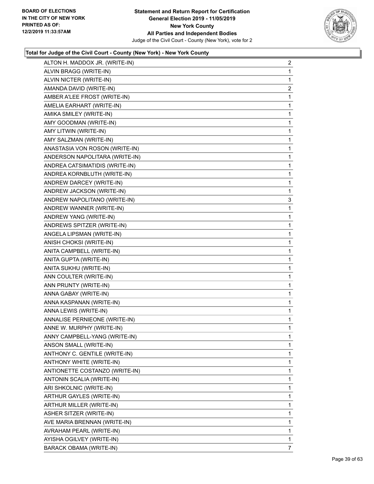

| ALTON H. MADDOX JR. (WRITE-IN) | $\overline{2}$ |
|--------------------------------|----------------|
| ALVIN BRAGG (WRITE-IN)         | 1              |
| ALVIN NICTER (WRITE-IN)        | 1              |
| AMANDA DAVID (WRITE-IN)        | $\overline{c}$ |
| AMBER A'LEE FROST (WRITE-IN)   | 1              |
| AMELIA EARHART (WRITE-IN)      | 1              |
| AMIKA SMILEY (WRITE-IN)        | $\mathbf{1}$   |
| AMY GOODMAN (WRITE-IN)         | $\mathbf{1}$   |
| AMY LITWIN (WRITE-IN)          | 1              |
| AMY SALZMAN (WRITE-IN)         | 1              |
| ANASTASIA VON ROSON (WRITE-IN) | 1              |
| ANDERSON NAPOLITARA (WRITE-IN) | 1              |
| ANDREA CATSIMATIDIS (WRITE-IN) | $\mathbf{1}$   |
| ANDREA KORNBLUTH (WRITE-IN)    | 1              |
| ANDREW DARCEY (WRITE-IN)       | 1              |
| ANDREW JACKSON (WRITE-IN)      | 1              |
| ANDREW NAPOLITANO (WRITE-IN)   | 3              |
| ANDREW WANNER (WRITE-IN)       | 1              |
| ANDREW YANG (WRITE-IN)         | $\mathbf{1}$   |
| ANDREWS SPITZER (WRITE-IN)     | 1              |
| ANGELA LIPSMAN (WRITE-IN)      | 1              |
| ANISH CHOKSI (WRITE-IN)        | 1              |
| ANITA CAMPBELL (WRITE-IN)      | 1              |
| ANITA GUPTA (WRITE-IN)         | 1              |
| ANITA SUKHU (WRITE-IN)         | 1              |
| ANN COULTER (WRITE-IN)         | 1              |
| ANN PRUNTY (WRITE-IN)          | 1              |
| ANNA GABAY (WRITE-IN)          | 1              |
| ANNA KASPANAN (WRITE-IN)       | 1              |
| ANNA LEWIS (WRITE-IN)          | 1              |
| ANNALISE PERNIEONE (WRITE-IN)  | $\mathbf{1}$   |
| ANNE W. MURPHY (WRITE-IN)      | 1              |
| ANNY CAMPBELL-YANG (WRITE-IN)  | 1              |
| ANSON SMALL (WRITE-IN)         | 1              |
| ANTHONY C. GENTILE (WRITE-IN)  | 1              |
| ANTHONY WHITE (WRITE-IN)       | 1              |
| ANTIONETTE COSTANZO (WRITE-IN) | 1              |
| ANTONIN SCALIA (WRITE-IN)      | 1              |
| ARI SHKOLNIC (WRITE-IN)        | 1              |
| ARTHUR GAYLES (WRITE-IN)       | 1              |
| ARTHUR MILLER (WRITE-IN)       | 1              |
| ASHER SITZER (WRITE-IN)        | 1              |
| AVE MARIA BRENNAN (WRITE-IN)   | 1              |
| AVRAHAM PEARL (WRITE-IN)       | 1              |
| AYISHA OGILVEY (WRITE-IN)      | 1              |
| BARACK OBAMA (WRITE-IN)        | 7              |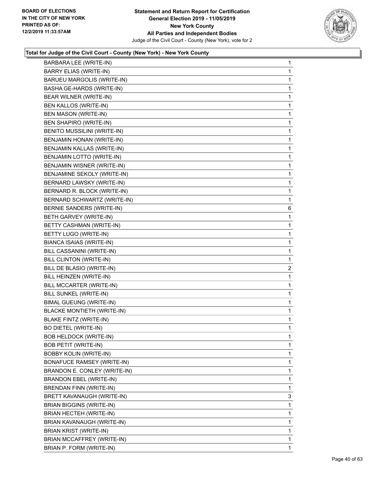

| BARBARA LEE (WRITE-IN)            | 1              |
|-----------------------------------|----------------|
| BARRY ELIAS (WRITE-IN)            | 1              |
| BARUEU MARGOLIS (WRITE-IN)        | 1              |
| BASHA GE-HARDS (WRITE-IN)         | 1              |
| BEAR WILNER (WRITE-IN)            | $\mathbf{1}$   |
| BEN KALLOS (WRITE-IN)             | 1              |
| <b>BEN MASON (WRITE-IN)</b>       | 1              |
| BEN SHAPIRO (WRITE-IN)            | $\mathbf{1}$   |
| BENITO MUSSILINI (WRITE-IN)       | 1              |
| BENJAMIN HONAN (WRITE-IN)         | 1              |
| BENJAMIN KALLAS (WRITE-IN)        | $\mathbf{1}$   |
| BENJAMIN LOTTO (WRITE-IN)         | 1              |
| BENJAMIN WISNER (WRITE-IN)        | 1              |
| BENJAMINE SEKOLY (WRITE-IN)       | $\mathbf{1}$   |
| BERNARD LAWSKY (WRITE-IN)         | $\mathbf{1}$   |
| BERNARD R. BLOCK (WRITE-IN)       | 1              |
| BERNARD SCHWARTZ (WRITE-IN)       | 1              |
| BERNIE SANDERS (WRITE-IN)         | 6              |
| BETH GARVEY (WRITE-IN)            | 1              |
| BETTY CASHMAN (WRITE-IN)          | $\mathbf{1}$   |
| BETTY LUGO (WRITE-IN)             | 1              |
| BIANCA ISAIAS (WRITE-IN)          | 1              |
| BILL CASSANINI (WRITE-IN)         | $\mathbf{1}$   |
| BILL CLINTON (WRITE-IN)           | $\mathbf{1}$   |
| BILL DE BLASIO (WRITE-IN)         | $\overline{2}$ |
| BILL HEINZEN (WRITE-IN)           | $\mathbf{1}$   |
| BILL MCCARTER (WRITE-IN)          | 1              |
| BILL SUNKEL (WRITE-IN)            | 1              |
| <b>BIMAL GUEUNG (WRITE-IN)</b>    | 1              |
| <b>BLACKE MONTIETH (WRITE-IN)</b> | 1              |
| <b>BLAKE FINTZ (WRITE-IN)</b>     | 1              |
| <b>BO DIETEL (WRITE-IN)</b>       | 1              |
| <b>BOB HELDOCK (WRITE-IN)</b>     | 1              |
| <b>BOB PETIT (WRITE-IN)</b>       | 1              |
| <b>BOBBY KOLIN (WRITE-IN)</b>     | 1              |
| <b>BONAFUCE RAMSEY (WRITE-IN)</b> | 1              |
| BRANDON E. CONLEY (WRITE-IN)      | 1              |
| <b>BRANDON EBEL (WRITE-IN)</b>    | 1              |
| BRENDAN FINN (WRITE-IN)           | 1              |
| BRETT KAVANAUGH (WRITE-IN)        | 3              |
| <b>BRIAN BIGGINS (WRITE-IN)</b>   | 1              |
| BRIAN HECTEH (WRITE-IN)           | 1              |
| BRIAN KAVANAUGH (WRITE-IN)        | 1              |
| BRIAN KRIST (WRITE-IN)            | 1              |
| BRIAN MCCAFFREY (WRITE-IN)        | 1              |
| BRIAN P. FORM (WRITE-IN)          | 1              |
|                                   |                |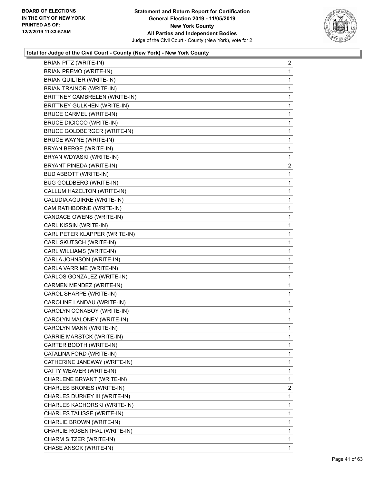

| BRIAN PITZ (WRITE-IN)           | $\overline{a}$ |
|---------------------------------|----------------|
| <b>BRIAN PREMO (WRITE-IN)</b>   | 1              |
| BRIAN QUILTER (WRITE-IN)        | 1              |
| <b>BRIAN TRAINOR (WRITE-IN)</b> | 1              |
| BRITTNEY CAMBRELEN (WRITE-IN)   | 1              |
| BRITTNEY GULKHEN (WRITE-IN)     | 1              |
| <b>BRUCE CARMEL (WRITE-IN)</b>  | 1              |
| <b>BRUCE DICICCO (WRITE-IN)</b> | 1              |
| BRUCE GOLDBERGER (WRITE-IN)     | 1              |
| <b>BRUCE WAYNE (WRITE-IN)</b>   | 1              |
| BRYAN BERGE (WRITE-IN)          | 1              |
| BRYAN WDYASKI (WRITE-IN)        | 1              |
| BRYANT PINEDA (WRITE-IN)        | $\overline{a}$ |
| <b>BUD ABBOTT (WRITE-IN)</b>    | 1              |
| <b>BUG GOLDBERG (WRITE-IN)</b>  | 1              |
| CALLUM HAZELTON (WRITE-IN)      | 1              |
| CALUDIA AGUIRRE (WRITE-IN)      | 1              |
| CAM RATHBORNE (WRITE-IN)        | 1              |
| CANDACE OWENS (WRITE-IN)        | 1              |
| CARL KISSIN (WRITE-IN)          | 1              |
| CARL PETER KLAPPER (WRITE-IN)   | 1              |
| CARL SKUTSCH (WRITE-IN)         | 1              |
| CARL WILLIAMS (WRITE-IN)        | 1              |
| CARLA JOHNSON (WRITE-IN)        | 1              |
| CARLA VARRIME (WRITE-IN)        | 1              |
| CARLOS GONZALEZ (WRITE-IN)      | 1              |
| CARMEN MENDEZ (WRITE-IN)        | 1              |
| CAROL SHARPE (WRITE-IN)         | 1              |
| CAROLINE LANDAU (WRITE-IN)      | $\mathbf{1}$   |
| CAROLYN CONABOY (WRITE-IN)      | 1              |
| CAROLYN MALONEY (WRITE-IN)      | 1              |
| CAROLYN MANN (WRITE-IN)         | 1              |
| CARRIE MARSTCK (WRITE-IN)       | 1              |
| CARTER BOOTH (WRITE-IN)         | 1              |
| CATALINA FORD (WRITE-IN)        | 1              |
| CATHERINE JANEWAY (WRITE-IN)    | 1              |
| CATTY WEAVER (WRITE-IN)         | 1              |
| CHARLENE BRYANT (WRITE-IN)      | 1              |
| CHARLES BRONES (WRITE-IN)       | $\overline{2}$ |
| CHARLES DURKEY III (WRITE-IN)   | 1              |
| CHARLES KACHORSKI (WRITE-IN)    | 1              |
| CHARLES TALISSE (WRITE-IN)      | 1              |
| CHARLIE BROWN (WRITE-IN)        | 1              |
| CHARLIE ROSENTHAL (WRITE-IN)    | 1              |
|                                 | 1              |
| CHARM SITZER (WRITE-IN)         |                |
| CHASE ANSOK (WRITE-IN)          | 1              |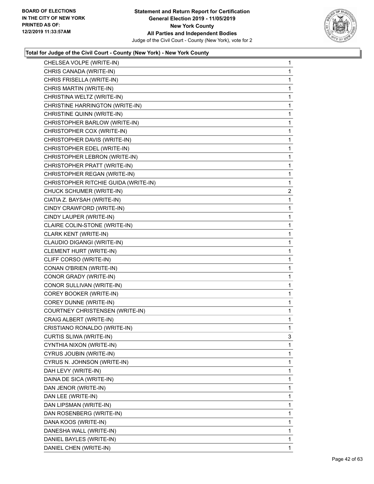

| CHELSEA VOLPE (WRITE-IN)             | 1              |
|--------------------------------------|----------------|
| CHRIS CANADA (WRITE-IN)              | 1              |
| CHRIS FRISELLA (WRITE-IN)            | 1              |
| CHRIS MARTIN (WRITE-IN)              | 1              |
| CHRISTINA WELTZ (WRITE-IN)           | 1              |
| CHRISTINE HARRINGTON (WRITE-IN)      | 1              |
| CHRISTINE QUINN (WRITE-IN)           | 1              |
| CHRISTOPHER BARLOW (WRITE-IN)        | 1              |
| CHRISTOPHER COX (WRITE-IN)           | 1              |
| CHRISTOPHER DAVIS (WRITE-IN)         | 1              |
| CHRISTOPHER EDEL (WRITE-IN)          | 1              |
| CHRISTOPHER LEBRON (WRITE-IN)        | 1              |
| CHRISTOPHER PRATT (WRITE-IN)         | 1              |
| CHRISTOPHER REGAN (WRITE-IN)         | 1              |
| CHRISTOPHER RITCHIE GUIDA (WRITE-IN) | 1              |
| CHUCK SCHUMER (WRITE-IN)             | $\overline{a}$ |
| CIATIA Z. BAYSAH (WRITE-IN)          | 1              |
| CINDY CRAWFORD (WRITE-IN)            | 1              |
| CINDY LAUPER (WRITE-IN)              | 1              |
| CLAIRE COLIN-STONE (WRITE-IN)        | 1              |
| CLARK KENT (WRITE-IN)                | 1              |
| CLAUDIO DIGANGI (WRITE-IN)           | 1              |
| CLEMENT HURT (WRITE-IN)              | 1              |
| CLIFF CORSO (WRITE-IN)               | 1              |
| CONAN O'BRIEN (WRITE-IN)             | 1              |
| CONOR GRADY (WRITE-IN)               | 1              |
| CONOR SULLIVAN (WRITE-IN)            | 1              |
| COREY BOOKER (WRITE-IN)              | 1              |
| COREY DUNNE (WRITE-IN)               | $\mathbf{1}$   |
| COURTNEY CHRISTENSEN (WRITE-IN)      | 1              |
| CRAIG ALBERT (WRITE-IN)              | 1              |
| CRISTIANO RONALDO (WRITE-IN)         | 1              |
| CURTIS SLIWA (WRITE-IN)              | 3              |
| CYNTHIA NIXON (WRITE-IN)             | 1              |
| CYRUS JOUBIN (WRITE-IN)              | 1              |
| CYRUS N. JOHNSON (WRITE-IN)          | 1              |
| DAH LEVY (WRITE-IN)                  | 1              |
| DAINA DE SICA (WRITE-IN)             | 1              |
| DAN JENOR (WRITE-IN)                 | 1              |
| DAN LEE (WRITE-IN)                   | 1              |
| DAN LIPSMAN (WRITE-IN)               | 1              |
| DAN ROSENBERG (WRITE-IN)             | 1              |
| DANA KOOS (WRITE-IN)                 | 1              |
| DANESHA WALL (WRITE-IN)              | 1              |
| DANIEL BAYLES (WRITE-IN)             | 1              |
| DANIEL CHEN (WRITE-IN)               | 1              |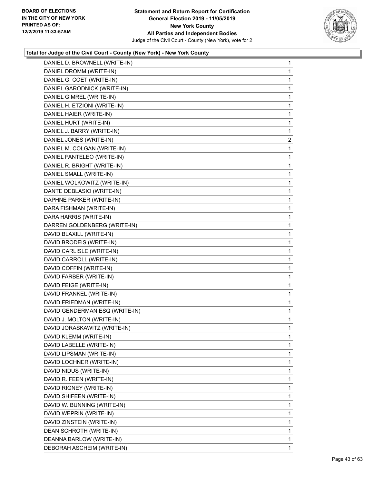

| DANIEL D. BROWNELL (WRITE-IN)  | 1              |
|--------------------------------|----------------|
| DANIEL DROMM (WRITE-IN)        | 1              |
| DANIEL G. COET (WRITE-IN)      | 1              |
| DANIEL GARODNICK (WRITE-IN)    | 1              |
| DANIEL GIMREL (WRITE-IN)       | 1              |
| DANIEL H. ETZIONI (WRITE-IN)   | 1              |
| DANIEL HAIER (WRITE-IN)        | 1              |
| DANIEL HURT (WRITE-IN)         | 1              |
| DANIEL J. BARRY (WRITE-IN)     | 1              |
| DANIEL JONES (WRITE-IN)        | $\overline{2}$ |
| DANIEL M. COLGAN (WRITE-IN)    | 1              |
| DANIEL PANTELEO (WRITE-IN)     | 1              |
| DANIEL R. BRIGHT (WRITE-IN)    | 1              |
| DANIEL SMALL (WRITE-IN)        | 1              |
| DANIEL WOLKOWITZ (WRITE-IN)    | 1              |
| DANTE DEBLASIO (WRITE-IN)      | 1              |
| DAPHNE PARKER (WRITE-IN)       | 1              |
| DARA FISHMAN (WRITE-IN)        | 1              |
| DARA HARRIS (WRITE-IN)         | 1              |
| DARREN GOLDENBERG (WRITE-IN)   | 1              |
| DAVID BLAXILL (WRITE-IN)       | 1              |
| DAVID BRODEIS (WRITE-IN)       | 1              |
| DAVID CARLISLE (WRITE-IN)      | 1              |
| DAVID CARROLL (WRITE-IN)       | 1              |
| DAVID COFFIN (WRITE-IN)        | 1              |
| DAVID FARBER (WRITE-IN)        | 1              |
| DAVID FEIGE (WRITE-IN)         | 1              |
| DAVID FRANKEL (WRITE-IN)       | 1              |
| DAVID FRIEDMAN (WRITE-IN)      | 1              |
| DAVID GENDERMAN ESQ (WRITE-IN) | 1              |
| DAVID J. MOLTON (WRITE-IN)     | 1              |
| DAVID JORASKAWITZ (WRITE-IN)   | 1              |
| DAVID KLEMM (WRITE-IN)         | 1              |
| DAVID LABELLE (WRITE-IN)       | 1              |
| DAVID LIPSMAN (WRITE-IN)       | 1              |
| DAVID LOCHNER (WRITE-IN)       | 1              |
| DAVID NIDUS (WRITE-IN)         | 1              |
| DAVID R. FEEN (WRITE-IN)       | 1              |
| DAVID RIGNEY (WRITE-IN)        | 1              |
| DAVID SHIFEEN (WRITE-IN)       | 1              |
| DAVID W. BUNNING (WRITE-IN)    | 1              |
| DAVID WEPRIN (WRITE-IN)        | 1              |
| DAVID ZINSTEIN (WRITE-IN)      | 1              |
| DEAN SCHROTH (WRITE-IN)        | 1              |
| DEANNA BARLOW (WRITE-IN)       | 1              |
| DEBORAH ASCHEIM (WRITE-IN)     | 1              |
|                                |                |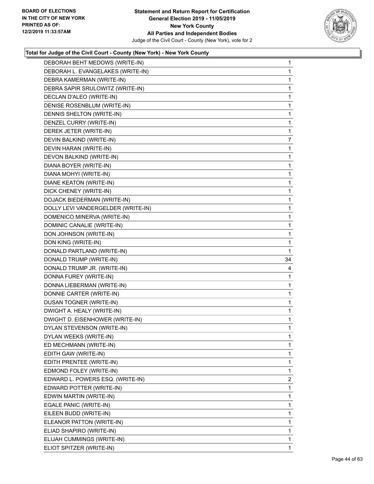

| DEBORAH BEHT MEDOWS (WRITE-IN)     | $\mathbf{1}$   |
|------------------------------------|----------------|
| DEBORAH L. EVANGELAKES (WRITE-IN)  | 1              |
| DEBRA KAMERMAN (WRITE-IN)          | 1              |
| DEBRA SAPIR SRULOWITZ (WRITE-IN)   | 1              |
| DECLAN D'ALEO (WRITE-IN)           | 1              |
| DENISE ROSENBLUM (WRITE-IN)        | 1              |
| DENNIS SHELTON (WRITE-IN)          | 1              |
| DENZEL CURRY (WRITE-IN)            | 1              |
| DEREK JETER (WRITE-IN)             | 1              |
| DEVIN BALKIND (WRITE-IN)           | 7              |
| DEVIN HARAN (WRITE-IN)             | 1              |
| DEVON BALKIND (WRITE-IN)           | 1              |
| DIANA BOYER (WRITE-IN)             | 1              |
| DIANA MOHYI (WRITE-IN)             | 1              |
| DIANE KEATON (WRITE-IN)            | 1              |
| DICK CHENEY (WRITE-IN)             | 1              |
| DOJACK BIEDERMAN (WRITE-IN)        | 1              |
| DOLLY LEVI VANDERGELDER (WRITE-IN) | 1              |
| DOMENICO MINERVA (WRITE-IN)        | 1              |
| DOMINIC CANALIE (WRITE-IN)         | 1              |
| DON JOHNSON (WRITE-IN)             | 1              |
| DON KING (WRITE-IN)                | 1              |
| DONALD PARTLAND (WRITE-IN)         | 1              |
| DONALD TRUMP (WRITE-IN)            | 34             |
| DONALD TRUMP JR. (WRITE-IN)        | 4              |
| DONNA FUREY (WRITE-IN)             | 1              |
| DONNA LIEBERMAN (WRITE-IN)         | 1              |
| DONNIE CARTER (WRITE-IN)           | 1              |
| DUSAN TOGNER (WRITE-IN)            | 1              |
| DWIGHT A. HEALY (WRITE-IN)         | 1              |
| DWIGHT D. EISENHOWER (WRITE-IN)    | 1              |
| DYLAN STEVENSON (WRITE-IN)         | 1              |
| DYLAN WEEKS (WRITE-IN)             | 1              |
| ED MECHMANN (WRITE-IN)             | 1              |
| EDITH GAW (WRITE-IN)               | 1              |
| EDITH PRENTEE (WRITE-IN)           | 1              |
| EDMOND FOLEY (WRITE-IN)            | 1              |
| EDWARD L. POWERS ESQ. (WRITE-IN)   | $\overline{2}$ |
| EDWARD POTTER (WRITE-IN)           | 1              |
| EDWIN MARTIN (WRITE-IN)            | 1              |
| EGALE PANIC (WRITE-IN)             | 1              |
| EILEEN BUDD (WRITE-IN)             | 1              |
| ELEANOR PATTON (WRITE-IN)          | 1              |
| ELIAD SHAPIRO (WRITE-IN)           | 1              |
| ELIJAH CUMMINGS (WRITE-IN)         | 1              |
| ELIOT SPITZER (WRITE-IN)           | 1              |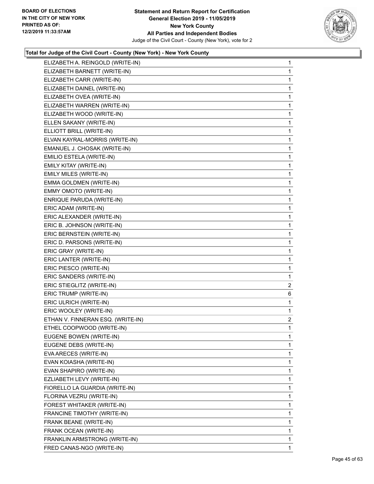

| ELIZABETH A. REINGOLD (WRITE-IN)  | $\mathbf{1}$   |
|-----------------------------------|----------------|
| ELIZABETH BARNETT (WRITE-IN)      | 1              |
| ELIZABETH CARR (WRITE-IN)         | 1              |
| ELIZABETH DAINEL (WRITE-IN)       | 1              |
| ELIZABETH OVEA (WRITE-IN)         | 1              |
| ELIZABETH WARREN (WRITE-IN)       | 1              |
| ELIZABETH WOOD (WRITE-IN)         | 1              |
| ELLEN SAKANY (WRITE-IN)           | 1              |
| ELLIOTT BRILL (WRITE-IN)          | 1              |
| ELVAN KAYRAL-MORRIS (WRITE-IN)    | 1              |
| EMANUEL J. CHOSAK (WRITE-IN)      | 1              |
| EMILIO ESTELA (WRITE-IN)          | 1              |
| EMILY KITAY (WRITE-IN)            | 1              |
| EMILY MILES (WRITE-IN)            | 1              |
| EMMA GOLDMEN (WRITE-IN)           | 1              |
| EMMY OMOTO (WRITE-IN)             | 1              |
| ENRIQUE PARUDA (WRITE-IN)         | 1              |
| ERIC ADAM (WRITE-IN)              | 1              |
| ERIC ALEXANDER (WRITE-IN)         | 1              |
| ERIC B. JOHNSON (WRITE-IN)        | 1              |
| ERIC BERNSTEIN (WRITE-IN)         | 1              |
| ERIC D. PARSONS (WRITE-IN)        | 1              |
| ERIC GRAY (WRITE-IN)              | 1              |
| ERIC LANTER (WRITE-IN)            | 1              |
| ERIC PIESCO (WRITE-IN)            | 1              |
| ERIC SANDERS (WRITE-IN)           | 1              |
| ERIC STIEGLITZ (WRITE-IN)         | $\overline{2}$ |
| ERIC TRUMP (WRITE-IN)             | 6              |
| ERIC ULRICH (WRITE-IN)            | 1              |
| ERIC WOOLEY (WRITE-IN)            | 1              |
| ETHAN V. FINNERAN ESQ. (WRITE-IN) | $\overline{a}$ |
| ETHEL COOPWOOD (WRITE-IN)         | 1              |
| EUGENE BOWEN (WRITE-IN)           | 1              |
| EUGENE DEBS (WRITE-IN)            | 1              |
| EVA ARECES (WRITE-IN)             | 1              |
| EVAN KOIASHA (WRITE-IN)           | 1              |
| EVAN SHAPIRO (WRITE-IN)           | 1              |
| EZLIABETH LEVY (WRITE-IN)         | 1              |
| FIORELLO LA GUARDIA (WRITE-IN)    | 1              |
| FLORINA VEZRU (WRITE-IN)          | 1              |
| FOREST WHITAKER (WRITE-IN)        | 1              |
| FRANCINE TIMOTHY (WRITE-IN)       | 1              |
| FRANK BEANE (WRITE-IN)            | 1              |
| FRANK OCEAN (WRITE-IN)            | 1              |
| FRANKLIN ARMSTRONG (WRITE-IN)     | 1              |
|                                   |                |
| FRED CANAS-NGO (WRITE-IN)         | 1              |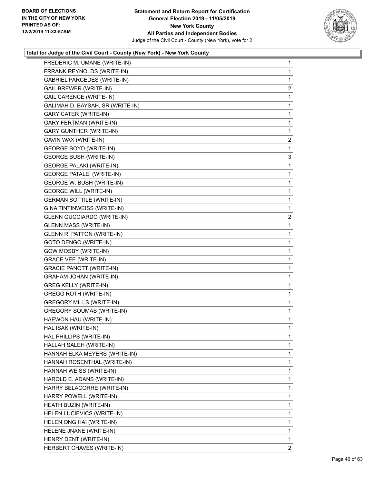

| FREDERIC M. UMANE (WRITE-IN)      | 1              |
|-----------------------------------|----------------|
| FRRANK REYNOLDS (WRITE-IN)        | 1              |
| GABRIEL PARCEDES (WRITE-IN)       | 1              |
| <b>GAIL BREWER (WRITE-IN)</b>     | $\overline{2}$ |
| <b>GAIL CARENCE (WRITE-IN)</b>    | 1              |
| GALIMAH D. BAYSAH, SR (WRITE-IN)  | 1              |
| <b>GARY CATER (WRITE-IN)</b>      | 1              |
| <b>GARY FERTMAN (WRITE-IN)</b>    | 1              |
| <b>GARY GUNTHER (WRITE-IN)</b>    | 1              |
| GAVIN WAX (WRITE-IN)              | $\overline{2}$ |
| <b>GEORGE BOYD (WRITE-IN)</b>     | 1              |
| <b>GEORGE BUSH (WRITE-IN)</b>     | 3              |
| <b>GEORGE PALAKI (WRITE-IN)</b>   | 1              |
| <b>GEORGE PATALEI (WRITE-IN)</b>  | 1              |
| GEORGE W. BUSH (WRITE-IN)         | 1              |
| <b>GEORGE WILL (WRITE-IN)</b>     | 1              |
| <b>GERMAN SOTTILE (WRITE-IN)</b>  | 1              |
| GINA TINTINWEISS (WRITE-IN)       | 1              |
| <b>GLENN GUCCIARDO (WRITE-IN)</b> | $\overline{2}$ |
| <b>GLENN MASS (WRITE-IN)</b>      | 1              |
| <b>GLENN R. PATTON (WRITE-IN)</b> | 1              |
| GOTO DENGO (WRITE-IN)             | 1              |
| GOW MOSBY (WRITE-IN)              | 1              |
| <b>GRACE VEE (WRITE-IN)</b>       | 1              |
| <b>GRACIE PANOTT (WRITE-IN)</b>   | 1              |
| <b>GRAHAM JOHAN (WRITE-IN)</b>    | 1              |
| <b>GREG KELLY (WRITE-IN)</b>      | 1              |
| <b>GREGG ROTH (WRITE-IN)</b>      | 1              |
| <b>GREGORY MILLS (WRITE-IN)</b>   | 1              |
| <b>GREGORY SOUMAS (WRITE-IN)</b>  | 1              |
| HAEWON HAU (WRITE-IN)             | 1              |
| HAL ISAK (WRITE-IN)               | 1              |
| HAL PHILLIPS (WRITE-IN)           | 1              |
| HALLAH SALEH (WRITE-IN)           | 1.             |
| HANNAH ELKA MEYERS (WRITE-IN)     | 1              |
| HANNAH ROSENTHAL (WRITE-IN)       | 1              |
| HANNAH WEISS (WRITE-IN)           | 1              |
| HAROLD E. ADANS (WRITE-IN)        | 1              |
| HARRY BELACORRE (WRITE-IN)        | 1              |
| HARRY POWELL (WRITE-IN)           | 1              |
| HEATH BUZIN (WRITE-IN)            | 1              |
| HELEN LUCIEVICS (WRITE-IN)        | 1              |
| HELEN ONG HAI (WRITE-IN)          | 1              |
| HELENE JNANE (WRITE-IN)           | 1              |
| HENRY DENT (WRITE-IN)             | $\mathbf{1}$   |
| HERBERT CHAVES (WRITE-IN)         | 2              |
|                                   |                |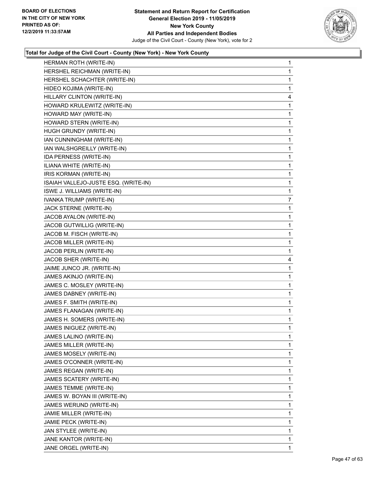

|                                      | 1            |
|--------------------------------------|--------------|
| HERSHEL REICHMAN (WRITE-IN)          | 1            |
| HERSHEL SCHACHTER (WRITE-IN)         | 1            |
| HIDEO KOJIMA (WRITE-IN)              | 1            |
| HILLARY CLINTON (WRITE-IN)           | 4            |
| HOWARD KRULEWITZ (WRITE-IN)          | 1            |
| HOWARD MAY (WRITE-IN)                | 1            |
| HOWARD STERN (WRITE-IN)              | 1            |
| HUGH GRUNDY (WRITE-IN)               | 1            |
| IAN CUNNINGHAM (WRITE-IN)            | 1            |
| IAN WALSHGREILLY (WRITE-IN)          | 1            |
| IDA PERNESS (WRITE-IN)               | $\mathbf{1}$ |
| ILIANA WHITE (WRITE-IN)              | 1            |
| IRIS KORMAN (WRITE-IN)               | $\mathbf{1}$ |
| ISAIAH VALLEJO-JUSTE ESQ. (WRITE-IN) | 1            |
| ISWE J. WILLIAMS (WRITE-IN)          | 1            |
| IVANKA TRUMP (WRITE-IN)              | 7            |
| JACK STERNE (WRITE-IN)               | 1            |
| JACOB AYALON (WRITE-IN)              | 1            |
| JACOB GUTWILLIG (WRITE-IN)           | $\mathbf{1}$ |
| JACOB M. FISCH (WRITE-IN)            | 1            |
| JACOB MILLER (WRITE-IN)              | 1            |
| JACOB PERLIN (WRITE-IN)              | 1            |
| JACOB SHER (WRITE-IN)                | 4            |
| JAIME JUNCO JR. (WRITE-IN)           | 1            |
| JAMES AKINJO (WRITE-IN)              | 1            |
| JAMES C. MOSLEY (WRITE-IN)           | 1            |
|                                      | 1            |
| JAMES DABNEY (WRITE-IN)              |              |
| JAMES F. SMITH (WRITE-IN)            | 1            |
| JAMES FLANAGAN (WRITE-IN)            | $\mathbf{1}$ |
| JAMES H. SOMERS (WRITE-IN)           | 1            |
| JAMES INIGUEZ (WRITE-IN)             | 1            |
| JAMES LALINO (WRITE-IN)              | 1            |
| JAMES MILLER (WRITE-IN)              | 1            |
| JAMES MOSELY (WRITE-IN)              | 1            |
| JAMES O'CONNER (WRITE-IN)            | 1            |
| JAMES REGAN (WRITE-IN)               | 1            |
| JAMES SCATERY (WRITE-IN)             | 1            |
| JAMES TEMME (WRITE-IN)               | 1            |
| JAMES W. BOYAN III (WRITE-IN)        | 1            |
| JAMES WERUND (WRITE-IN)              | 1            |
| JAMIE MILLER (WRITE-IN)              | 1            |
| JAMIE PECK (WRITE-IN)                | 1            |
| JAN STYLEE (WRITE-IN)                | 1            |
| JANE KANTOR (WRITE-IN)               | 1            |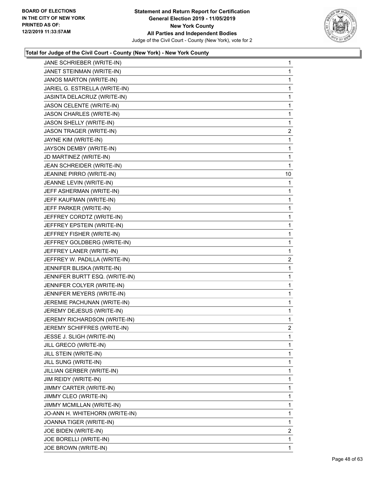

| JANE SCHRIEBER (WRITE-IN)      | $\mathbf{1}$            |
|--------------------------------|-------------------------|
| JANET STEINMAN (WRITE-IN)      | 1                       |
| JANOS MARTON (WRITE-IN)        | 1                       |
| JARIEL G. ESTRELLA (WRITE-IN)  | $\mathbf{1}$            |
| JASINTA DELACRUZ (WRITE-IN)    | 1                       |
| JASON CELENTE (WRITE-IN)       | 1                       |
| JASON CHARLES (WRITE-IN)       | 1                       |
| JASON SHELLY (WRITE-IN)        | 1                       |
| JASON TRAGER (WRITE-IN)        | 2                       |
| JAYNE KIM (WRITE-IN)           | $\mathbf{1}$            |
| JAYSON DEMBY (WRITE-IN)        | 1                       |
| JD MARTINEZ (WRITE-IN)         | 1                       |
| JEAN SCHREIDER (WRITE-IN)      | $\mathbf{1}$            |
| JEANINE PIRRO (WRITE-IN)       | 10                      |
| JEANNE LEVIN (WRITE-IN)        | 1                       |
| JEFF ASHERMAN (WRITE-IN)       | 1                       |
| JEFF KAUFMAN (WRITE-IN)        | 1                       |
| JEFF PARKER (WRITE-IN)         | 1                       |
| JEFFREY CORDTZ (WRITE-IN)      | 1                       |
| JEFFREY EPSTEIN (WRITE-IN)     | 1                       |
| JEFFREY FISHER (WRITE-IN)      | 1                       |
| JEFFREY GOLDBERG (WRITE-IN)    | $\mathbf{1}$            |
| JEFFREY LANER (WRITE-IN)       | 1                       |
| JEFFREY W. PADILLA (WRITE-IN)  | 2                       |
| JENNIFER BLISKA (WRITE-IN)     | $\mathbf{1}$            |
| JENNIFER BURTT ESQ. (WRITE-IN) | 1                       |
| JENNIFER COLYER (WRITE-IN)     | 1                       |
| JENNIFER MEYERS (WRITE-IN)     | $\mathbf{1}$            |
| JEREMIE PACHUNAN (WRITE-IN)    | 1                       |
| JEREMY DEJESUS (WRITE-IN)      | 1                       |
| JEREMY RICHARDSON (WRITE-IN)   | $\mathbf{1}$            |
| JEREMY SCHIFFRES (WRITE-IN)    | $\overline{2}$          |
| JESSE J. SLIGH (WRITE-IN)      | 1                       |
| JILL GRECO (WRITE-IN)          | 1                       |
| JILL STEIN (WRITE-IN)          | 1                       |
| JILL SUNG (WRITE-IN)           | 1                       |
| JILLIAN GERBER (WRITE-IN)      | 1                       |
| JIM REIDY (WRITE-IN)           | 1                       |
| JIMMY CARTER (WRITE-IN)        | 1                       |
| JIMMY CLEO (WRITE-IN)          | 1                       |
| JIMMY MCMILLAN (WRITE-IN)      | 1                       |
| JO-ANN H. WHITEHORN (WRITE-IN) | 1                       |
| JOANNA TIGER (WRITE-IN)        | 1                       |
| JOE BIDEN (WRITE-IN)           | $\overline{\mathbf{c}}$ |
| JOE BORELLI (WRITE-IN)         | 1                       |
| JOE BROWN (WRITE-IN)           | 1                       |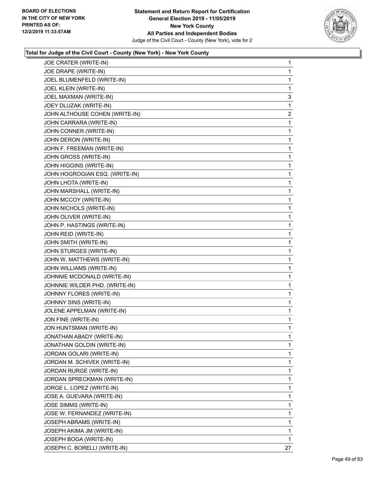

| JOE CRATER (WRITE-IN)          | 1              |
|--------------------------------|----------------|
| JOE DRAPE (WRITE-IN)           | 1              |
| JOEL BLUMENFELD (WRITE-IN)     | 1              |
| JOEL KLEIN (WRITE-IN)          | 1              |
| JOEL MAXMAN (WRITE-IN)         | 3              |
| JOEY DLUZAK (WRITE-IN)         | 1              |
| JOHN ALTHOUSE COHEN (WRITE-IN) | $\overline{a}$ |
| JOHN CARRARA (WRITE-IN)        | 1              |
| JOHN CONNER (WRITE-IN)         | 1              |
| JOHN DERON (WRITE-IN)          | 1              |
| JOHN F. FREEMAN (WRITE-IN)     | 1              |
| JOHN GROSS (WRITE-IN)          | 1              |
| JOHN HIGGINS (WRITE-IN)        | 1              |
| JOHN HOGROGIAN ESQ. (WRITE-IN) | 1              |
| <b>JOHN LHOTA (WRITE-IN)</b>   | 1              |
| JOHN MARSHALL (WRITE-IN)       | 1              |
| JOHN MCCOY (WRITE-IN)          | 1              |
| JOHN NICHOLS (WRITE-IN)        | 1              |
| JOHN OLIVER (WRITE-IN)         | 1              |
| JOHN P. HASTINGS (WRITE-IN)    | 1              |
| JOHN REID (WRITE-IN)           | 1              |
| JOHN SMITH (WRITE-IN)          | 1              |
| JOHN STURGES (WRITE-IN)        | 1              |
| JOHN W. MATTHEWS (WRITE-IN)    | 1              |
| JOHN WILLIAMS (WRITE-IN)       | 1              |
| JOHNNIE MCDONALD (WRITE-IN)    | 1              |
| JOHNNIE WILDER PHD. (WRITE-IN) | 1              |
| JOHNNY FLORES (WRITE-IN)       | 1              |
| JOHNNY SINS (WRITE-IN)         | 1              |
| JOLENE APPELMAN (WRITE-IN)     | 1              |
| JON FINE (WRITE-IN)            | 1              |
| JON HUNTSMAN (WRITE-IN)        | 1              |
| JONATHAN ABADY (WRITE-IN)      | 1              |
| JONATHAN GOLDIN (WRITE-IN)     | 1              |
| JORDAN GOLARI (WRITE-IN)       | 1              |
| JORDAN M. SCHIVEK (WRITE-IN)   | 1              |
| JORDAN RURGE (WRITE-IN)        | 1              |
| JORDAN SPRECKMAN (WRITE-IN)    | 1              |
| JORGE L. LOPEZ (WRITE-IN)      | 1              |
| JOSE A. GUEVARA (WRITE-IN)     | 1              |
| JOSE SIMMS (WRITE-IN)          | 1              |
| JOSE W. FERNANDEZ (WRITE-IN)   | 1              |
| JOSEPH ABRAMS (WRITE-IN)       | 1              |
| JOSEPH AKIMA JM (WRITE-IN)     | 1              |
| JOSEPH BOGA (WRITE-IN)         | 1              |
| JOSEPH C. BORELLI (WRITE-IN)   | 27             |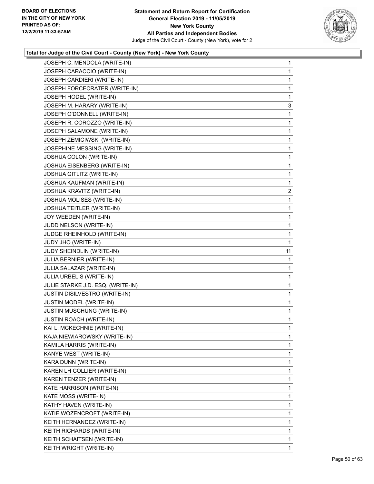

| JOSEPH CARACCIO (WRITE-IN)<br>JOSEPH CARDIERI (WRITE-IN)<br>JOSEPH FORCECRATER (WRITE-IN)<br>JOSEPH HODEL (WRITE-IN)<br>JOSEPH M. HARARY (WRITE-IN)<br>JOSEPH O'DONNELL (WRITE-IN)<br>JOSEPH R. COROZZO (WRITE-IN)<br>JOSEPH SALAMONE (WRITE-IN)<br>JOSEPH ZEMICIWSKI (WRITE-IN)<br>JOSEPHINE MESSING (WRITE-IN)<br>JOSHUA COLON (WRITE-IN)<br>JOSHUA EISENBERG (WRITE-IN)<br>JOSHUA GITLITZ (WRITE-IN)<br>JOSHUA KAUFMAN (WRITE-IN)<br>JOSHUA KRAVITZ (WRITE-IN)<br>JOSHUA MOLISES (WRITE-IN)<br>JOSHUA TEITLER (WRITE-IN)<br>JOY WEEDEN (WRITE-IN)<br>JUDD NELSON (WRITE-IN)<br>JUDGE RHEINHOLD (WRITE-IN)<br>JUDY JHO (WRITE-IN)<br>JUDY SHEINDLIN (WRITE-IN)<br>JULIA BERNIER (WRITE-IN)<br>JULIA SALAZAR (WRITE-IN)<br>JULIA URBELIS (WRITE-IN)<br>JULIE STARKE J.D. ESQ. (WRITE-IN)<br>JUSTIN DISILVESTRO (WRITE-IN)<br>JUSTIN MODEL (WRITE-IN)<br>JUSTIN MUSCHUNG (WRITE-IN)<br><b>JUSTIN ROACH (WRITE-IN)</b><br>KAI L. MCKECHNIE (WRITE-IN)<br>KAJA NIEWIAROWSKY (WRITE-IN)<br>KAMILA HARRIS (WRITE-IN)<br>KANYE WEST (WRITE-IN)<br>KARA DUNN (WRITE-IN)<br>KAREN LH COLLIER (WRITE-IN)<br>KAREN TENZER (WRITE-IN)<br>KATE HARRISON (WRITE-IN)<br>KATE MOSS (WRITE-IN)<br>KATHY HAVEN (WRITE-IN)<br>KATIE WOZENCROFT (WRITE-IN)<br>KEITH HERNANDEZ (WRITE-IN)<br>KEITH RICHARDS (WRITE-IN) | JOSEPH C. MENDOLA (WRITE-IN) | 1                       |
|-----------------------------------------------------------------------------------------------------------------------------------------------------------------------------------------------------------------------------------------------------------------------------------------------------------------------------------------------------------------------------------------------------------------------------------------------------------------------------------------------------------------------------------------------------------------------------------------------------------------------------------------------------------------------------------------------------------------------------------------------------------------------------------------------------------------------------------------------------------------------------------------------------------------------------------------------------------------------------------------------------------------------------------------------------------------------------------------------------------------------------------------------------------------------------------------------------------------------------------------------------------------------------------------------------|------------------------------|-------------------------|
|                                                                                                                                                                                                                                                                                                                                                                                                                                                                                                                                                                                                                                                                                                                                                                                                                                                                                                                                                                                                                                                                                                                                                                                                                                                                                                     |                              | 1                       |
|                                                                                                                                                                                                                                                                                                                                                                                                                                                                                                                                                                                                                                                                                                                                                                                                                                                                                                                                                                                                                                                                                                                                                                                                                                                                                                     |                              | 1                       |
|                                                                                                                                                                                                                                                                                                                                                                                                                                                                                                                                                                                                                                                                                                                                                                                                                                                                                                                                                                                                                                                                                                                                                                                                                                                                                                     |                              | 1                       |
|                                                                                                                                                                                                                                                                                                                                                                                                                                                                                                                                                                                                                                                                                                                                                                                                                                                                                                                                                                                                                                                                                                                                                                                                                                                                                                     |                              | 1                       |
|                                                                                                                                                                                                                                                                                                                                                                                                                                                                                                                                                                                                                                                                                                                                                                                                                                                                                                                                                                                                                                                                                                                                                                                                                                                                                                     |                              | 3                       |
|                                                                                                                                                                                                                                                                                                                                                                                                                                                                                                                                                                                                                                                                                                                                                                                                                                                                                                                                                                                                                                                                                                                                                                                                                                                                                                     |                              | 1                       |
|                                                                                                                                                                                                                                                                                                                                                                                                                                                                                                                                                                                                                                                                                                                                                                                                                                                                                                                                                                                                                                                                                                                                                                                                                                                                                                     |                              | 1                       |
|                                                                                                                                                                                                                                                                                                                                                                                                                                                                                                                                                                                                                                                                                                                                                                                                                                                                                                                                                                                                                                                                                                                                                                                                                                                                                                     |                              | 1                       |
|                                                                                                                                                                                                                                                                                                                                                                                                                                                                                                                                                                                                                                                                                                                                                                                                                                                                                                                                                                                                                                                                                                                                                                                                                                                                                                     |                              | 1                       |
|                                                                                                                                                                                                                                                                                                                                                                                                                                                                                                                                                                                                                                                                                                                                                                                                                                                                                                                                                                                                                                                                                                                                                                                                                                                                                                     |                              | 1                       |
|                                                                                                                                                                                                                                                                                                                                                                                                                                                                                                                                                                                                                                                                                                                                                                                                                                                                                                                                                                                                                                                                                                                                                                                                                                                                                                     |                              | 1                       |
|                                                                                                                                                                                                                                                                                                                                                                                                                                                                                                                                                                                                                                                                                                                                                                                                                                                                                                                                                                                                                                                                                                                                                                                                                                                                                                     |                              | 1                       |
|                                                                                                                                                                                                                                                                                                                                                                                                                                                                                                                                                                                                                                                                                                                                                                                                                                                                                                                                                                                                                                                                                                                                                                                                                                                                                                     |                              | 1                       |
|                                                                                                                                                                                                                                                                                                                                                                                                                                                                                                                                                                                                                                                                                                                                                                                                                                                                                                                                                                                                                                                                                                                                                                                                                                                                                                     |                              | 1                       |
|                                                                                                                                                                                                                                                                                                                                                                                                                                                                                                                                                                                                                                                                                                                                                                                                                                                                                                                                                                                                                                                                                                                                                                                                                                                                                                     |                              | $\overline{\mathbf{c}}$ |
|                                                                                                                                                                                                                                                                                                                                                                                                                                                                                                                                                                                                                                                                                                                                                                                                                                                                                                                                                                                                                                                                                                                                                                                                                                                                                                     |                              | 1                       |
|                                                                                                                                                                                                                                                                                                                                                                                                                                                                                                                                                                                                                                                                                                                                                                                                                                                                                                                                                                                                                                                                                                                                                                                                                                                                                                     |                              | 1                       |
|                                                                                                                                                                                                                                                                                                                                                                                                                                                                                                                                                                                                                                                                                                                                                                                                                                                                                                                                                                                                                                                                                                                                                                                                                                                                                                     |                              | 1                       |
|                                                                                                                                                                                                                                                                                                                                                                                                                                                                                                                                                                                                                                                                                                                                                                                                                                                                                                                                                                                                                                                                                                                                                                                                                                                                                                     |                              | 1                       |
|                                                                                                                                                                                                                                                                                                                                                                                                                                                                                                                                                                                                                                                                                                                                                                                                                                                                                                                                                                                                                                                                                                                                                                                                                                                                                                     |                              | 1                       |
|                                                                                                                                                                                                                                                                                                                                                                                                                                                                                                                                                                                                                                                                                                                                                                                                                                                                                                                                                                                                                                                                                                                                                                                                                                                                                                     |                              | 1                       |
|                                                                                                                                                                                                                                                                                                                                                                                                                                                                                                                                                                                                                                                                                                                                                                                                                                                                                                                                                                                                                                                                                                                                                                                                                                                                                                     |                              | 11                      |
|                                                                                                                                                                                                                                                                                                                                                                                                                                                                                                                                                                                                                                                                                                                                                                                                                                                                                                                                                                                                                                                                                                                                                                                                                                                                                                     |                              | 1                       |
|                                                                                                                                                                                                                                                                                                                                                                                                                                                                                                                                                                                                                                                                                                                                                                                                                                                                                                                                                                                                                                                                                                                                                                                                                                                                                                     |                              | 1                       |
|                                                                                                                                                                                                                                                                                                                                                                                                                                                                                                                                                                                                                                                                                                                                                                                                                                                                                                                                                                                                                                                                                                                                                                                                                                                                                                     |                              | 1                       |
|                                                                                                                                                                                                                                                                                                                                                                                                                                                                                                                                                                                                                                                                                                                                                                                                                                                                                                                                                                                                                                                                                                                                                                                                                                                                                                     |                              | 1                       |
|                                                                                                                                                                                                                                                                                                                                                                                                                                                                                                                                                                                                                                                                                                                                                                                                                                                                                                                                                                                                                                                                                                                                                                                                                                                                                                     |                              | 1                       |
|                                                                                                                                                                                                                                                                                                                                                                                                                                                                                                                                                                                                                                                                                                                                                                                                                                                                                                                                                                                                                                                                                                                                                                                                                                                                                                     |                              | $\mathbf{1}$            |
|                                                                                                                                                                                                                                                                                                                                                                                                                                                                                                                                                                                                                                                                                                                                                                                                                                                                                                                                                                                                                                                                                                                                                                                                                                                                                                     |                              | 1                       |
|                                                                                                                                                                                                                                                                                                                                                                                                                                                                                                                                                                                                                                                                                                                                                                                                                                                                                                                                                                                                                                                                                                                                                                                                                                                                                                     |                              | 1                       |
|                                                                                                                                                                                                                                                                                                                                                                                                                                                                                                                                                                                                                                                                                                                                                                                                                                                                                                                                                                                                                                                                                                                                                                                                                                                                                                     |                              | 1                       |
|                                                                                                                                                                                                                                                                                                                                                                                                                                                                                                                                                                                                                                                                                                                                                                                                                                                                                                                                                                                                                                                                                                                                                                                                                                                                                                     |                              | 1                       |
|                                                                                                                                                                                                                                                                                                                                                                                                                                                                                                                                                                                                                                                                                                                                                                                                                                                                                                                                                                                                                                                                                                                                                                                                                                                                                                     |                              | 1                       |
|                                                                                                                                                                                                                                                                                                                                                                                                                                                                                                                                                                                                                                                                                                                                                                                                                                                                                                                                                                                                                                                                                                                                                                                                                                                                                                     |                              | 1                       |
|                                                                                                                                                                                                                                                                                                                                                                                                                                                                                                                                                                                                                                                                                                                                                                                                                                                                                                                                                                                                                                                                                                                                                                                                                                                                                                     |                              | 1                       |
|                                                                                                                                                                                                                                                                                                                                                                                                                                                                                                                                                                                                                                                                                                                                                                                                                                                                                                                                                                                                                                                                                                                                                                                                                                                                                                     |                              | 1                       |
|                                                                                                                                                                                                                                                                                                                                                                                                                                                                                                                                                                                                                                                                                                                                                                                                                                                                                                                                                                                                                                                                                                                                                                                                                                                                                                     |                              | 1                       |
|                                                                                                                                                                                                                                                                                                                                                                                                                                                                                                                                                                                                                                                                                                                                                                                                                                                                                                                                                                                                                                                                                                                                                                                                                                                                                                     |                              | 1                       |
|                                                                                                                                                                                                                                                                                                                                                                                                                                                                                                                                                                                                                                                                                                                                                                                                                                                                                                                                                                                                                                                                                                                                                                                                                                                                                                     |                              | 1                       |
|                                                                                                                                                                                                                                                                                                                                                                                                                                                                                                                                                                                                                                                                                                                                                                                                                                                                                                                                                                                                                                                                                                                                                                                                                                                                                                     |                              | 1                       |
|                                                                                                                                                                                                                                                                                                                                                                                                                                                                                                                                                                                                                                                                                                                                                                                                                                                                                                                                                                                                                                                                                                                                                                                                                                                                                                     |                              | 1                       |
|                                                                                                                                                                                                                                                                                                                                                                                                                                                                                                                                                                                                                                                                                                                                                                                                                                                                                                                                                                                                                                                                                                                                                                                                                                                                                                     |                              |                         |
|                                                                                                                                                                                                                                                                                                                                                                                                                                                                                                                                                                                                                                                                                                                                                                                                                                                                                                                                                                                                                                                                                                                                                                                                                                                                                                     |                              | 1                       |
|                                                                                                                                                                                                                                                                                                                                                                                                                                                                                                                                                                                                                                                                                                                                                                                                                                                                                                                                                                                                                                                                                                                                                                                                                                                                                                     |                              | 1                       |
| KEITH WRIGHT (WRITE-IN)                                                                                                                                                                                                                                                                                                                                                                                                                                                                                                                                                                                                                                                                                                                                                                                                                                                                                                                                                                                                                                                                                                                                                                                                                                                                             | KEITH SCHAITSEN (WRITE-IN)   | 1                       |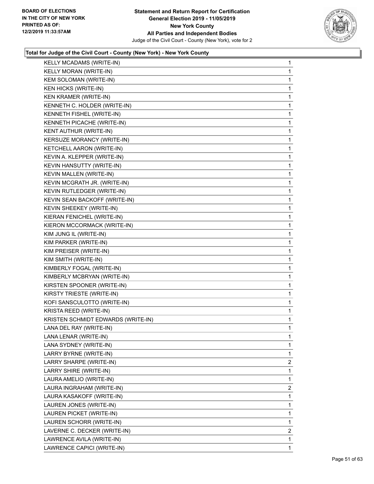

| KELLY MCADAMS (WRITE-IN)           | 1              |
|------------------------------------|----------------|
| KELLY MORAN (WRITE-IN)             | 1              |
| KEM SOLOMAN (WRITE-IN)             | 1              |
| <b>KEN HICKS (WRITE-IN)</b>        | 1              |
| KEN KRAMER (WRITE-IN)              | 1              |
| KENNETH C. HOLDER (WRITE-IN)       | 1              |
| KENNETH FISHEL (WRITE-IN)          | 1              |
| KENNETH PICACHE (WRITE-IN)         | 1              |
| KENT AUTHUR (WRITE-IN)             | 1              |
| KERSUZE MORANCY (WRITE-IN)         | 1              |
| KETCHELL AARON (WRITE-IN)          | 1              |
| KEVIN A. KLEPPER (WRITE-IN)        | 1              |
| KEVIN HANSUTTY (WRITE-IN)          | 1              |
| KEVIN MALLEN (WRITE-IN)            | 1              |
| KEVIN MCGRATH JR. (WRITE-IN)       | 1              |
| KEVIN RUTLEDGER (WRITE-IN)         | 1              |
| KEVIN SEAN BACKOFF (WRITE-IN)      | 1              |
| KEVIN SHEEKEY (WRITE-IN)           | 1              |
| KIERAN FENICHEL (WRITE-IN)         | 1              |
| KIERON MCCORMACK (WRITE-IN)        | 1              |
| KIM JUNG IL (WRITE-IN)             | 1              |
| KIM PARKER (WRITE-IN)              | 1              |
| KIM PREISER (WRITE-IN)             | 1              |
| KIM SMITH (WRITE-IN)               | 1              |
| KIMBERLY FOGAL (WRITE-IN)          | 1              |
| KIMBERLY MCBRYAN (WRITE-IN)        | 1              |
| KIRSTEN SPOONER (WRITE-IN)         | 1              |
| KIRSTY TRIESTE (WRITE-IN)          | 1              |
| KOFI SANSCULOTTO (WRITE-IN)        | 1              |
| KRISTA REED (WRITE-IN)             | 1              |
| KRISTEN SCHMIDT EDWARDS (WRITE-IN) | 1              |
| LANA DEL RAY (WRITE-IN)            | 1              |
| LANA LENAR (WRITE-IN)              | 1              |
| LANA SYDNEY (WRITE-IN)             | 1              |
| LARRY BYRNE (WRITE-IN)             | 1              |
| LARRY SHARPE (WRITE-IN)            | $\overline{2}$ |
| LARRY SHIRE (WRITE-IN)             | 1              |
| LAURA AMELIO (WRITE-IN)            | 1              |
| LAURA INGRAHAM (WRITE-IN)          | 2              |
| LAURA KASAKOFF (WRITE-IN)          | 1              |
| LAUREN JONES (WRITE-IN)            | 1              |
| LAUREN PICKET (WRITE-IN)           | 1              |
| LAUREN SCHORR (WRITE-IN)           | 1              |
| LAVERNE C. DECKER (WRITE-IN)       | 2              |
| LAWRENCE AVILA (WRITE-IN)          | 1              |
| LAWRENCE CAPICI (WRITE-IN)         | 1              |
|                                    |                |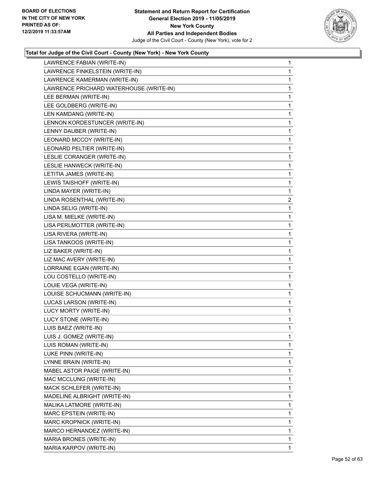

| LAWRENCE FABIAN (WRITE-IN)              | $\mathbf{1}$   |
|-----------------------------------------|----------------|
| LAWRENCE FINKELSTEIN (WRITE-IN)         | 1              |
| LAWRENCE KAMERMAN (WRITE-IN)            | 1              |
| LAWRENCE PRICHARD WATERHOUSE (WRITE-IN) | 1              |
| LEE BERMAN (WRITE-IN)                   | 1              |
| LEE GOLDBERG (WRITE-IN)                 | 1              |
| LEN KAMDANG (WRITE-IN)                  | 1              |
| LENNON KORDESTUNCER (WRITE-IN)          | 1              |
| LENNY DAUBER (WRITE-IN)                 | 1              |
| LEONARD MCCOY (WRITE-IN)                | 1              |
| LEONARD PELTIER (WRITE-IN)              | 1              |
| LESLIE CORANGER (WRITE-IN)              | 1              |
| LESLIE HANWECK (WRITE-IN)               | 1              |
| LETITIA JAMES (WRITE-IN)                | 1              |
| LEWIS TAISHOFF (WRITE-IN)               | 1              |
| LINDA MAYER (WRITE-IN)                  | 1              |
| LINDA ROSENTHAL (WRITE-IN)              | $\overline{c}$ |
| LINDA SELIG (WRITE-IN)                  | 1              |
| LISA M. MIELKE (WRITE-IN)               | 1              |
| LISA PERLMOTTER (WRITE-IN)              | 1              |
| LISA RIVERA (WRITE-IN)                  | 1              |
| LISA TANKOOS (WRITE-IN)                 | 1              |
| LIZ BAKER (WRITE-IN)                    | 1              |
| LIZ MAC AVERY (WRITE-IN)                | 1              |
| LORRAINE EGAN (WRITE-IN)                | 1              |
| LOU COSTELLO (WRITE-IN)                 | 1              |
| LOUIE VEGA (WRITE-IN)                   | 1              |
| LOUISE SCHUCMANN (WRITE-IN)             | 1              |
| LUCAS LARSON (WRITE-IN)                 | 1              |
| LUCY MORTY (WRITE-IN)                   | 1              |
| LUCY STONE (WRITE-IN)                   | 1              |
| LUIS BAEZ (WRITE-IN)                    | 1              |
| LUIS J. GOMEZ (WRITE-IN)                | 1              |
| LUIS ROMAN (WRITE-IN)                   | 1              |
| LUKE PINN (WRITE-IN)                    | 1              |
| LYNNE BRAIN (WRITE-IN)                  | 1              |
| MABEL ASTOR PAIGE (WRITE-IN)            | 1              |
| MAC MCCLUNG (WRITE-IN)                  | 1              |
| MACK SCHLEFER (WRITE-IN)                | 1              |
| MADELINE ALBRIGHT (WRITE-IN)            | 1              |
| MALIKA LATMORE (WRITE-IN)               | 1              |
| MARC EPSTEIN (WRITE-IN)                 | 1              |
| MARC KROPNICK (WRITE-IN)                | 1              |
| MARCO HERNANDEZ (WRITE-IN)              | 1              |
| MARIA BRONES (WRITE-IN)                 | 1              |
| MARIA KARPOV (WRITE-IN)                 | 1.             |
|                                         |                |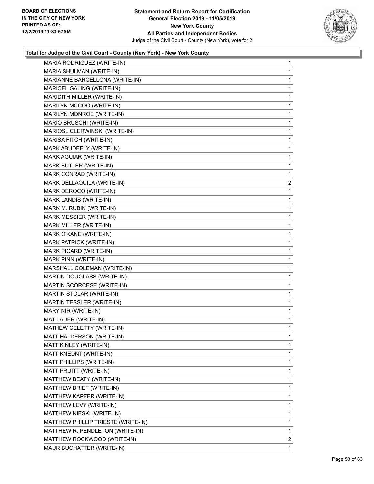

| MARIA RODRIGUEZ (WRITE-IN)         | 1              |
|------------------------------------|----------------|
| MARIA SHULMAN (WRITE-IN)           | 1              |
| MARIANNE BARCELLONA (WRITE-IN)     | 1              |
| MARICEL GALING (WRITE-IN)          | 1              |
| MARIDITH MILLER (WRITE-IN)         | 1              |
| MARILYN MCCOO (WRITE-IN)           | 1              |
| MARILYN MONROE (WRITE-IN)          | 1              |
| MARIO BRUSCHI (WRITE-IN)           | 1              |
| MARIOSL CLERWINSKI (WRITE-IN)      | 1              |
| MARISA FITCH (WRITE-IN)            | 1              |
| MARK ABUDEELY (WRITE-IN)           | 1              |
| MARK AGUIAR (WRITE-IN)             | 1              |
| MARK BUTLER (WRITE-IN)             | 1              |
| MARK CONRAD (WRITE-IN)             | 1              |
| MARK DELLAQUILA (WRITE-IN)         | $\overline{2}$ |
| MARK DEROCO (WRITE-IN)             | 1              |
| MARK LANDIS (WRITE-IN)             | 1              |
| MARK M. RUBIN (WRITE-IN)           | 1              |
| <b>MARK MESSIER (WRITE-IN)</b>     | 1              |
| MARK MILLER (WRITE-IN)             | 1              |
| MARK O'KANE (WRITE-IN)             | 1              |
| MARK PATRICK (WRITE-IN)            | 1              |
| MARK PICARD (WRITE-IN)             | 1              |
| MARK PINN (WRITE-IN)               | 1              |
| MARSHALL COLEMAN (WRITE-IN)        | 1              |
| MARTIN DOUGLASS (WRITE-IN)         | 1              |
| MARTIN SCORCESE (WRITE-IN)         | 1              |
| MARTIN STOLAR (WRITE-IN)           | 1              |
| MARTIN TESSLER (WRITE-IN)          | 1              |
| MARY NIR (WRITE-IN)                | 1              |
| MAT LAUER (WRITE-IN)               | 1              |
| MATHEW CELETTY (WRITE-IN)          | 1              |
| MATT HALDERSON (WRITE-IN)          | 1              |
| MATT KINLEY (WRITE-IN)             | 1              |
| MATT KNEDNT (WRITE-IN)             | 1              |
| MATT PHILLIPS (WRITE-IN)           | 1              |
| MATT PRUITT (WRITE-IN)             | 1              |
| MATTHEW BEATY (WRITE-IN)           | 1              |
| MATTHEW BRIEF (WRITE-IN)           | 1              |
| MATTHEW KAPFER (WRITE-IN)          | $\mathbf{1}$   |
| MATTHEW LEVY (WRITE-IN)            | 1              |
| MATTHEW NIESKI (WRITE-IN)          | 1              |
| MATTHEW PHILLIP TRIESTE (WRITE-IN) | 1              |
| MATTHEW R. PENDLETON (WRITE-IN)    | 1              |
| MATTHEW ROCKWOOD (WRITE-IN)        | 2              |
| MAUR BUCHATTER (WRITE-IN)          | 1              |
|                                    |                |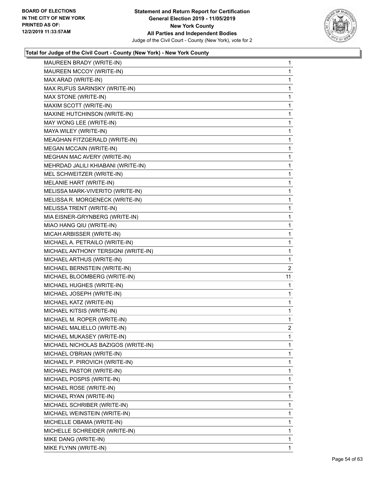

| MAUREEN BRADY (WRITE-IN)            | 1              |
|-------------------------------------|----------------|
| MAUREEN MCCOY (WRITE-IN)            | 1              |
| MAX ARAD (WRITE-IN)                 | 1              |
| MAX RUFUS SARINSKY (WRITE-IN)       | 1              |
| MAX STONE (WRITE-IN)                | 1              |
| MAXIM SCOTT (WRITE-IN)              | 1              |
| MAXINE HUTCHINSON (WRITE-IN)        | 1              |
| MAY WONG LEE (WRITE-IN)             | 1              |
| MAYA WILEY (WRITE-IN)               | 1              |
| MEAGHAN FITZGERALD (WRITE-IN)       | 1              |
| <b>MEGAN MCCAIN (WRITE-IN)</b>      | 1              |
| MEGHAN MAC AVERY (WRITE-IN)         | 1              |
| MEHRDAD JALILI KHIABANI (WRITE-IN)  | 1              |
| MEL SCHWEITZER (WRITE-IN)           | 1              |
| MELANIE HART (WRITE-IN)             | 1              |
| MELISSA MARK-VIVERITO (WRITE-IN)    | 1              |
| MELISSA R. MORGENECK (WRITE-IN)     | 1              |
| MELISSA TRENT (WRITE-IN)            | 1              |
| MIA EISNER-GRYNBERG (WRITE-IN)      | 1              |
| MIAO HANG QIU (WRITE-IN)            | 1              |
| MICAH ARBISSER (WRITE-IN)           | 1              |
| MICHAEL A. PETRAILO (WRITE-IN)      | 1              |
| MICHAEL ANTHONY TERSIGNI (WRITE-IN) | 1              |
| MICHAEL ARTHUS (WRITE-IN)           | 1              |
| MICHAEL BERNSTEIN (WRITE-IN)        | $\overline{2}$ |
| MICHAEL BLOOMBERG (WRITE-IN)        | 11             |
| MICHAEL HUGHES (WRITE-IN)           | 1              |
| MICHAEL JOSEPH (WRITE-IN)           | 1              |
| MICHAEL KATZ (WRITE-IN)             | 1              |
| MICHAEL KITSIS (WRITE-IN)           | 1              |
| MICHAEL M. ROPER (WRITE-IN)         | 1              |
| MICHAEL MALIELLO (WRITE-IN)         | $\overline{2}$ |
| MICHAEL MUKASEY (WRITE-IN)          | 1              |
| MICHAEL NICHOLAS BAZIGOS (WRITE-IN) | 1              |
| MICHAEL O'BRIAN (WRITE-IN)          | 1              |
| MICHAEL P. PIROVICH (WRITE-IN)      | 1              |
| MICHAEL PASTOR (WRITE-IN)           | 1              |
| MICHAEL POSPIS (WRITE-IN)           | 1              |
| MICHAEL ROSE (WRITE-IN)             | 1              |
|                                     |                |
| MICHAEL RYAN (WRITE-IN)             | 1              |
| MICHAEL SCHRIBER (WRITE-IN)         | 1              |
| MICHAEL WEINSTEIN (WRITE-IN)        | 1              |
| MICHELLE OBAMA (WRITE-IN)           | 1              |
| MICHELLE SCHREIDER (WRITE-IN)       | 1              |
| MIKE DANG (WRITE-IN)                | 1              |
| MIKE FLYNN (WRITE-IN)               | 1              |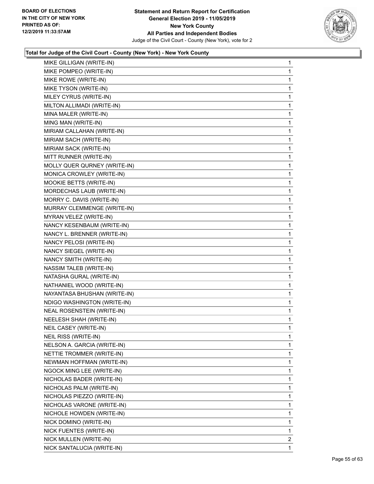

| MIKE GILLIGAN (WRITE-IN)     | 1              |
|------------------------------|----------------|
| MIKE POMPEO (WRITE-IN)       | 1              |
| MIKE ROWE (WRITE-IN)         | 1              |
| MIKE TYSON (WRITE-IN)        | 1              |
| MILEY CYRUS (WRITE-IN)       | 1              |
| MILTON ALLIMADI (WRITE-IN)   | 1              |
| MINA MALER (WRITE-IN)        | 1              |
| MING MAN (WRITE-IN)          | 1              |
| MIRIAM CALLAHAN (WRITE-IN)   | 1              |
| MIRIAM SACH (WRITE-IN)       | 1              |
| MIRIAM SACK (WRITE-IN)       | 1              |
| MITT RUNNER (WRITE-IN)       | 1              |
| MOLLY QUER QURNEY (WRITE-IN) | 1              |
| MONICA CROWLEY (WRITE-IN)    | 1              |
| MOOKIE BETTS (WRITE-IN)      | 1              |
| MORDECHAS LAUB (WRITE-IN)    | 1              |
| MORRY C. DAVIS (WRITE-IN)    | 1              |
| MURRAY CLEMMENGE (WRITE-IN)  | 1              |
| MYRAN VELEZ (WRITE-IN)       | 1              |
| NANCY KESENBAUM (WRITE-IN)   | 1              |
| NANCY L. BRENNER (WRITE-IN)  | 1              |
| NANCY PELOSI (WRITE-IN)      | 1              |
| NANCY SIEGEL (WRITE-IN)      | 1              |
| NANCY SMITH (WRITE-IN)       | 1              |
| NASSIM TALEB (WRITE-IN)      | 1              |
| NATASHA GURAL (WRITE-IN)     | 1              |
| NATHANIEL WOOD (WRITE-IN)    | 1              |
| NAYANTASA BHUSHAN (WRITE-IN) | 1              |
| NDIGO WASHINGTON (WRITE-IN)  | $\mathbf{1}$   |
| NEAL ROSENSTEIN (WRITE-IN)   | 1              |
| NEELESH SHAH (WRITE-IN)      | 1              |
| NEIL CASEY (WRITE-IN)        | 1              |
| NEIL RISS (WRITE-IN)         | 1              |
| NELSON A. GARCIA (WRITE-IN)  | 1              |
| NETTIE TROMMER (WRITE-IN)    | 1              |
| NEWMAN HOFFMAN (WRITE-IN)    | 1              |
| NGOCK MING LEE (WRITE-IN)    | 1              |
| NICHOLAS BADER (WRITE-IN)    | 1              |
| NICHOLAS PALM (WRITE-IN)     | 1              |
| NICHOLAS PIEZZO (WRITE-IN)   | 1              |
| NICHOLAS VARONE (WRITE-IN)   | 1              |
| NICHOLE HOWDEN (WRITE-IN)    | 1              |
| NICK DOMINO (WRITE-IN)       | 1              |
| NICK FUENTES (WRITE-IN)      | 1              |
| NICK MULLEN (WRITE-IN)       | $\overline{2}$ |
| NICK SANTALUCIA (WRITE-IN)   | 1              |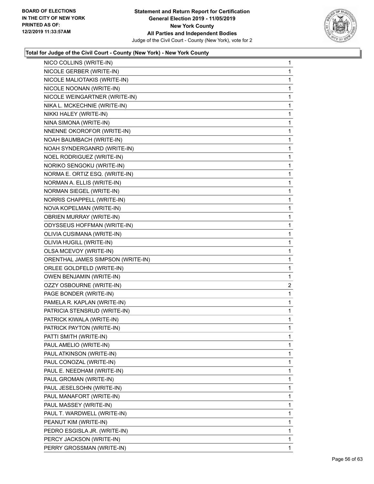

|                                   | $\mathbf{1}$   |
|-----------------------------------|----------------|
| NICOLE GERBER (WRITE-IN)          | 1              |
| NICOLE MALIOTAKIS (WRITE-IN)      | 1              |
| NICOLE NOONAN (WRITE-IN)          | $\mathbf 1$    |
| NICOLE WEINGARTNER (WRITE-IN)     | 1              |
| NIKA L. MCKECHNIE (WRITE-IN)      | 1              |
| NIKKI HALEY (WRITE-IN)            | $\mathbf{1}$   |
| NINA SIMONA (WRITE-IN)            | 1              |
| NNENNE OKOROFOR (WRITE-IN)        | 1              |
| NOAH BAUMBACH (WRITE-IN)          | 1              |
| NOAH SYNDERGANRD (WRITE-IN)       | 1              |
| NOEL RODRIGUEZ (WRITE-IN)         | 1              |
| NORIKO SENGOKU (WRITE-IN)         | $\mathbf{1}$   |
| NORMA E. ORTIZ ESQ. (WRITE-IN)    | 1              |
| NORMAN A. ELLIS (WRITE-IN)        | 1              |
| NORMAN SIEGEL (WRITE-IN)          | 1              |
| NORRIS CHAPPELL (WRITE-IN)        | 1              |
| NOVA KOPELMAN (WRITE-IN)          | 1              |
| <b>OBRIEN MURRAY (WRITE-IN)</b>   | $\mathbf{1}$   |
| ODYSSEUS HOFFMAN (WRITE-IN)       | 1              |
| OLIVIA CUSIMANA (WRITE-IN)        | 1              |
| OLIVIA HUGILL (WRITE-IN)          | 1              |
| OLSA MCEVOY (WRITE-IN)            | 1              |
| ORENTHAL JAMES SIMPSON (WRITE-IN) | 1              |
| ORLEE GOLDFELD (WRITE-IN)         | $\mathbf{1}$   |
| OWEN BENJAMIN (WRITE-IN)          | 1              |
| OZZY OSBOURNE (WRITE-IN)          | $\overline{2}$ |
|                                   |                |
| PAGE BONDER (WRITE-IN)            | 1              |
| PAMELA R. KAPLAN (WRITE-IN)       | 1              |
| PATRICIA STENSRUD (WRITE-IN)      | 1              |
| PATRICK KIWALA (WRITE-IN)         | $\mathbf{1}$   |
| PATRICK PAYTON (WRITE-IN)         | 1              |
| PATTI SMITH (WRITE-IN)            | 1              |
| PAUL AMELIO (WRITE-IN)            | 1              |
| PAUL ATKINSON (WRITE-IN)          | 1              |
| PAUL CONOZAL (WRITE-IN)           | 1              |
| PAUL E. NEEDHAM (WRITE-IN)        | 1              |
| PAUL GROMAN (WRITE-IN)            | 1              |
| PAUL JESELSOHN (WRITE-IN)         | 1              |
| PAUL MANAFORT (WRITE-IN)          | 1              |
| PAUL MASSEY (WRITE-IN)            | 1              |
| PAUL T. WARDWELL (WRITE-IN)       | 1              |
| PEANUT KIM (WRITE-IN)             | 1              |
| PEDRO ESGISLA JR. (WRITE-IN)      | 1              |
| PERCY JACKSON (WRITE-IN)          | 1              |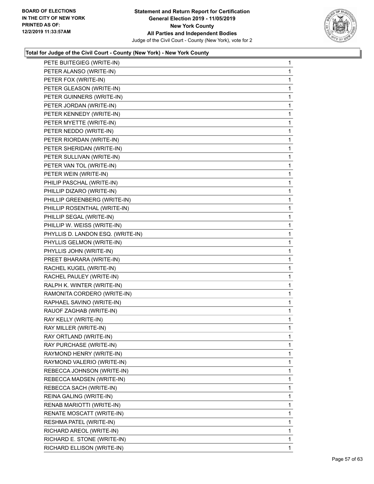

| PETE BUITEGIEG (WRITE-IN)         | $\mathbf{1}$ |
|-----------------------------------|--------------|
| PETER ALANSO (WRITE-IN)           | 1            |
| PETER FOX (WRITE-IN)              | 1            |
| PETER GLEASON (WRITE-IN)          | 1            |
| PETER GUINNERS (WRITE-IN)         | 1            |
| PETER JORDAN (WRITE-IN)           | 1            |
| PETER KENNEDY (WRITE-IN)          | 1            |
| PETER MYETTE (WRITE-IN)           | 1            |
| PETER NEDDO (WRITE-IN)            | 1            |
| PETER RIORDAN (WRITE-IN)          | 1            |
| PETER SHERIDAN (WRITE-IN)         | 1            |
| PETER SULLIVAN (WRITE-IN)         | 1            |
| PETER VAN TOL (WRITE-IN)          | 1            |
| PETER WEIN (WRITE-IN)             | 1            |
| PHILIP PASCHAL (WRITE-IN)         | 1            |
| PHILLIP DIZARO (WRITE-IN)         | 1            |
| PHILLIP GREENBERG (WRITE-IN)      | 1            |
| PHILLIP ROSENTHAL (WRITE-IN)      | 1            |
| PHILLIP SEGAL (WRITE-IN)          | 1            |
| PHILLIP W. WEISS (WRITE-IN)       | 1            |
| PHYLLIS D. LANDON ESQ. (WRITE-IN) | 1            |
| PHYLLIS GELMON (WRITE-IN)         | 1            |
| PHYLLIS JOHN (WRITE-IN)           | 1            |
| PREET BHARARA (WRITE-IN)          | 1            |
| RACHEL KUGEL (WRITE-IN)           | 1            |
| RACHEL PAULEY (WRITE-IN)          | 1            |
| RALPH K. WINTER (WRITE-IN)        | 1            |
| RAMONITA CORDERO (WRITE-IN)       | 1            |
| RAPHAEL SAVINO (WRITE-IN)         | $\mathbf{1}$ |
| RAUOF ZAGHAB (WRITE-IN)           | 1            |
| RAY KELLY (WRITE-IN)              | 1            |
| RAY MILLER (WRITE-IN)             | 1            |
| RAY ORTLAND (WRITE-IN)            | 1            |
| RAY PURCHASE (WRITE-IN)           | 1            |
| RAYMOND HENRY (WRITE-IN)          | 1            |
| RAYMOND VALERIO (WRITE-IN)        | 1            |
| REBECCA JOHNSON (WRITE-IN)        | 1            |
| REBECCA MADSEN (WRITE-IN)         | 1            |
| REBECCA SACH (WRITE-IN)           | 1            |
| REINA GALING (WRITE-IN)           | 1            |
| RENAB MARIOTTI (WRITE-IN)         | 1            |
| RENATE MOSCATT (WRITE-IN)         | 1            |
| RESHMA PATEL (WRITE-IN)           | 1            |
| RICHARD AREOL (WRITE-IN)          | 1            |
| RICHARD E. STONE (WRITE-IN)       | 1            |
| RICHARD ELLISON (WRITE-IN)        | 1            |
|                                   |              |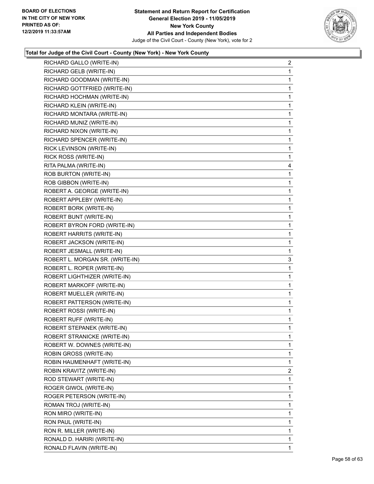

| RICHARD GALLO (WRITE-IN)        | $\overline{a}$ |
|---------------------------------|----------------|
| RICHARD GELB (WRITE-IN)         | 1              |
| RICHARD GOODMAN (WRITE-IN)      | 1              |
| RICHARD GOTTFRIED (WRITE-IN)    | 1              |
| RICHARD HOCHMAN (WRITE-IN)      | 1              |
| RICHARD KLEIN (WRITE-IN)        | 1              |
| RICHARD MONTARA (WRITE-IN)      | 1              |
| RICHARD MUNIZ (WRITE-IN)        | 1              |
| RICHARD NIXON (WRITE-IN)        | 1              |
| RICHARD SPENCER (WRITE-IN)      | 1              |
| RICK LEVINSON (WRITE-IN)        | 1              |
| RICK ROSS (WRITE-IN)            | 1              |
| RITA PALMA (WRITE-IN)           | 4              |
| ROB BURTON (WRITE-IN)           | 1              |
| ROB GIBBON (WRITE-IN)           | 1              |
| ROBERT A. GEORGE (WRITE-IN)     | 1              |
| ROBERT APPLEBY (WRITE-IN)       | 1              |
| ROBERT BORK (WRITE-IN)          | 1              |
| ROBERT BUNT (WRITE-IN)          | 1              |
| ROBERT BYRON FORD (WRITE-IN)    | 1              |
| ROBERT HARRITS (WRITE-IN)       | 1              |
| ROBERT JACKSON (WRITE-IN)       | 1              |
| ROBERT JESMALL (WRITE-IN)       | 1              |
| ROBERT L. MORGAN SR. (WRITE-IN) | 3              |
| ROBERT L. ROPER (WRITE-IN)      | 1              |
| ROBERT LIGHTHIZER (WRITE-IN)    | 1              |
| ROBERT MARKOFF (WRITE-IN)       | 1              |
| ROBERT MUELLER (WRITE-IN)       | 1              |
| ROBERT PATTERSON (WRITE-IN)     | 1              |
| ROBERT ROSSI (WRITE-IN)         | $\mathbf{1}$   |
| ROBERT RUFF (WRITE-IN)          | 1              |
| ROBERT STEPANEK (WRITE-IN)      | 1              |
| ROBERT STRANICKE (WRITE-IN)     | 1              |
| ROBERT W. DOWNES (WRITE-IN)     | 1              |
| ROBIN GROSS (WRITE-IN)          | 1              |
| ROBIN HAUMENHAFT (WRITE-IN)     | 1              |
| ROBIN KRAVITZ (WRITE-IN)        | $\overline{2}$ |
| ROD STEWART (WRITE-IN)          | 1              |
| ROGER GIWOL (WRITE-IN)          | 1              |
| ROGER PETERSON (WRITE-IN)       | 1              |
| ROMAN TROJ (WRITE-IN)           | 1              |
| RON MIRO (WRITE-IN)             | 1              |
| RON PAUL (WRITE-IN)             | 1              |
| RON R. MILLER (WRITE-IN)        | 1              |
| RONALD D. HARIRI (WRITE-IN)     | 1              |
| RONALD FLAVIN (WRITE-IN)        | 1.             |
|                                 |                |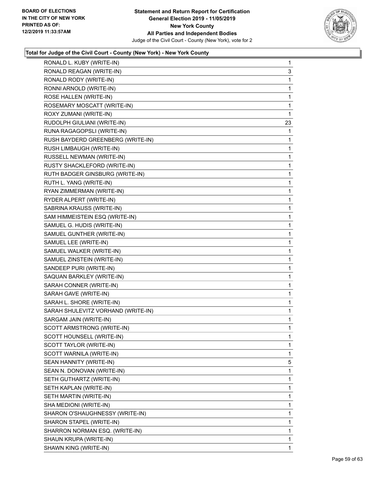

| RONALD L. KUBY (WRITE-IN)          | $\mathbf{1}$ |
|------------------------------------|--------------|
| RONALD REAGAN (WRITE-IN)           | 3            |
| RONALD RODY (WRITE-IN)             | 1            |
| RONNI ARNOLD (WRITE-IN)            | 1            |
| ROSE HALLEN (WRITE-IN)             | 1            |
| ROSEMARY MOSCATT (WRITE-IN)        | 1            |
| ROXY ZUMANI (WRITE-IN)             | 1            |
| RUDOLPH GIULIANI (WRITE-IN)        | 23           |
| RUNA RAGAGOPSLI (WRITE-IN)         | 1            |
| RUSH BAYDERD GREENBERG (WRITE-IN)  | 1            |
| RUSH LIMBAUGH (WRITE-IN)           | 1            |
| RUSSELL NEWMAN (WRITE-IN)          | 1            |
| RUSTY SHACKLEFORD (WRITE-IN)       | $\mathbf{1}$ |
| RUTH BADGER GINSBURG (WRITE-IN)    | 1            |
| RUTH L. YANG (WRITE-IN)            | 1            |
| RYAN ZIMMERMAN (WRITE-IN)          | $\mathbf{1}$ |
| RYDER ALPERT (WRITE-IN)            | 1            |
| SABRINA KRAUSS (WRITE-IN)          | 1            |
| SAM HIMMEISTEIN ESQ (WRITE-IN)     | $\mathbf{1}$ |
| SAMUEL G. HUDIS (WRITE-IN)         | 1            |
| SAMUEL GUNTHER (WRITE-IN)          | 1            |
| SAMUEL LEE (WRITE-IN)              | $\mathbf{1}$ |
| SAMUEL WALKER (WRITE-IN)           | 1            |
| SAMUEL ZINSTEIN (WRITE-IN)         | 1            |
| SANDEEP PURI (WRITE-IN)            | $\mathbf{1}$ |
| SAQUAN BARKLEY (WRITE-IN)          | 1            |
| SARAH CONNER (WRITE-IN)            | 1            |
| SARAH GAVE (WRITE-IN)              | $\mathbf{1}$ |
| SARAH L. SHORE (WRITE-IN)          | 1            |
| SARAH SHULEVITZ VORHAND (WRITE-IN) | 1            |
| SARGAM JAIN (WRITE-IN)             | $\mathbf{1}$ |
| SCOTT ARMSTRONG (WRITE-IN)         | 1            |
| SCOTT HOUNSELL (WRITE-IN)          | $\mathbf{1}$ |
| SCOTT TAYLOR (WRITE-IN)            | 1            |
| SCOTT WARNILA (WRITE-IN)           | 1            |
| SEAN HANNITY (WRITE-IN)            | 5            |
| SEAN N. DONOVAN (WRITE-IN)         | 1            |
| SETH GUTHARTZ (WRITE-IN)           | 1            |
| SETH KAPLAN (WRITE-IN)             | 1            |
| SETH MARTIN (WRITE-IN)             | 1            |
| SHA MEDIONI (WRITE-IN)             | 1            |
| SHARON O'SHAUGHNESSY (WRITE-IN)    | 1            |
| SHARON STAPEL (WRITE-IN)           | 1            |
| SHARRON NORMAN ESQ. (WRITE-IN)     | 1            |
| SHAUN KRUPA (WRITE-IN)             | 1            |
| SHAWN KING (WRITE-IN)              | 1            |
|                                    |              |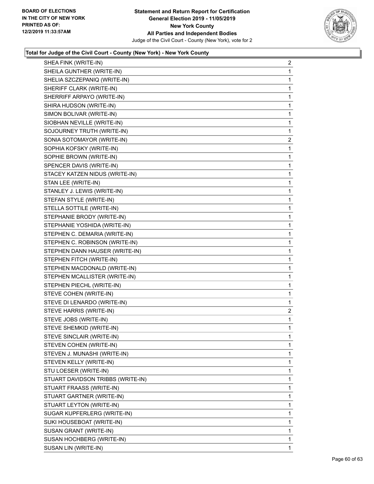

| SHEA FINK (WRITE-IN)              | $\overline{2}$ |
|-----------------------------------|----------------|
| SHEILA GUNTHER (WRITE-IN)         | 1              |
| SHELIA SZCZEPANIQ (WRITE-IN)      | 1              |
| SHERIFF CLARK (WRITE-IN)          | $\mathbf 1$    |
| SHERRIFF ARPAYO (WRITE-IN)        | 1              |
| SHIRA HUDSON (WRITE-IN)           | 1              |
| SIMON BOLIVAR (WRITE-IN)          | 1              |
| SIOBHAN NEVILLE (WRITE-IN)        | $\mathbf{1}$   |
| SOJOURNEY TRUTH (WRITE-IN)        | 1              |
| SONIA SOTOMAYOR (WRITE-IN)        | $\overline{c}$ |
| SOPHIA KOFSKY (WRITE-IN)          | 1              |
| SOPHIE BROWN (WRITE-IN)           | 1              |
| SPENCER DAVIS (WRITE-IN)          | $\mathbf{1}$   |
| STACEY KATZEN NIDUS (WRITE-IN)    | $\mathbf{1}$   |
| STAN LEE (WRITE-IN)               | 1              |
| STANLEY J. LEWIS (WRITE-IN)       | $\mathbf 1$    |
| STEFAN STYLE (WRITE-IN)           | 1              |
| STELLA SOTTILE (WRITE-IN)         | 1              |
| STEPHANIE BRODY (WRITE-IN)        | $\mathbf 1$    |
| STEPHANIE YOSHIDA (WRITE-IN)      | $\mathbf{1}$   |
| STEPHEN C. DEMARIA (WRITE-IN)     | 1              |
| STEPHEN C. ROBINSON (WRITE-IN)    | $\mathbf 1$    |
| STEPHEN DANN HAUSER (WRITE-IN)    | 1              |
| STEPHEN FITCH (WRITE-IN)          | 1              |
| STEPHEN MACDONALD (WRITE-IN)      | $\mathbf 1$    |
| STEPHEN MCALLISTER (WRITE-IN)     | 1              |
| STEPHEN PIECHL (WRITE-IN)         | 1              |
| STEVE COHEN (WRITE-IN)            | $\mathbf 1$    |
| STEVE DI LENARDO (WRITE-IN)       | 1              |
| STEVE HARRIS (WRITE-IN)           | $\overline{2}$ |
| STEVE JOBS (WRITE-IN)             | $\mathbf{1}$   |
| STEVE SHEMKID (WRITE-IN)          | 1              |
| STEVE SINCLAIR (WRITE-IN)         | 1              |
| STEVEN COHEN (WRITE-IN)           | 1              |
| STEVEN J. MUNASHI (WRITE-IN)      | 1              |
| STEVEN KELLY (WRITE-IN)           | 1              |
| STU LOESER (WRITE-IN)             | 1              |
| STUART DAVIDSON TRIBBS (WRITE-IN) | 1              |
| STUART FRAASS (WRITE-IN)          | 1              |
| STUART GARTNER (WRITE-IN)         | 1              |
| STUART LEYTON (WRITE-IN)          | 1              |
| SUGAR KUPFERLERG (WRITE-IN)       | 1              |
| SUKI HOUSEBOAT (WRITE-IN)         | 1              |
| SUSAN GRANT (WRITE-IN)            | 1              |
| SUSAN HOCHBERG (WRITE-IN)         | 1              |
| SUSAN LIN (WRITE-IN)              | 1              |
|                                   |                |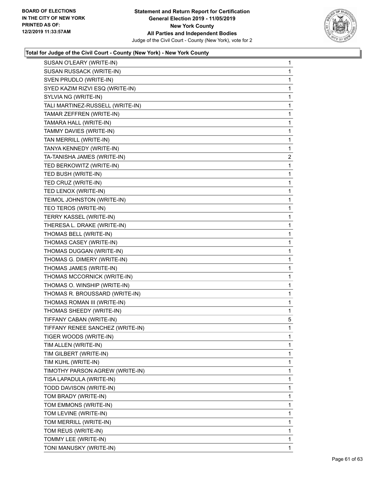

| SUSAN O'LEARY (WRITE-IN)         | 1              |
|----------------------------------|----------------|
| SUSAN RUSSACK (WRITE-IN)         | 1              |
| SVEN PRUDLO (WRITE-IN)           | 1              |
| SYED KAZIM RIZVI ESQ (WRITE-IN)  | 1              |
| SYLVIA NG (WRITE-IN)             | 1              |
| TALI MARTINEZ-RUSSELL (WRITE-IN) | 1              |
| TAMAR ZEFFREN (WRITE-IN)         | 1              |
| TAMARA HALL (WRITE-IN)           | 1              |
| TAMMY DAVIES (WRITE-IN)          | 1              |
| TAN MERRILL (WRITE-IN)           | 1              |
| TANYA KENNEDY (WRITE-IN)         | 1              |
| TA-TANISHA JAMES (WRITE-IN)      | $\overline{c}$ |
| TED BERKOWITZ (WRITE-IN)         | 1              |
| TED BUSH (WRITE-IN)              | 1              |
| TED CRUZ (WRITE-IN)              | 1              |
| TED LENOX (WRITE-IN)             | 1              |
| TEIMOL JOHNSTON (WRITE-IN)       | 1              |
| TEO TEROS (WRITE-IN)             | 1              |
| TERRY KASSEL (WRITE-IN)          | 1              |
| THERESA L. DRAKE (WRITE-IN)      | 1              |
| THOMAS BELL (WRITE-IN)           | 1              |
| THOMAS CASEY (WRITE-IN)          | 1              |
| THOMAS DUGGAN (WRITE-IN)         | 1              |
| THOMAS G. DIMERY (WRITE-IN)      | 1              |
| THOMAS JAMES (WRITE-IN)          | 1              |
| THOMAS MCCORNICK (WRITE-IN)      | 1              |
| THOMAS O. WINSHIP (WRITE-IN)     | 1              |
| THOMAS R. BROUSSARD (WRITE-IN)   | 1              |
| THOMAS ROMAN III (WRITE-IN)      | 1              |
| THOMAS SHEEDY (WRITE-IN)         | 1              |
| TIFFANY CABAN (WRITE-IN)         | 5              |
| TIFFANY RENEE SANCHEZ (WRITE-IN) | 1              |
| TIGER WOODS (WRITE-IN)           | 1              |
| TIM ALLEN (WRITE-IN)             | 1              |
| TIM GILBERT (WRITE-IN)           | 1              |
| TIM KUHL (WRITE-IN)              | 1              |
| TIMOTHY PARSON AGREW (WRITE-IN)  | 1              |
| TISA LAPADULA (WRITE-IN)         | 1              |
| TODD DAVISON (WRITE-IN)          | 1              |
| TOM BRADY (WRITE-IN)             | 1              |
| TOM EMMONS (WRITE-IN)            | 1              |
| TOM LEVINE (WRITE-IN)            | 1              |
| TOM MERRILL (WRITE-IN)           | 1              |
| TOM REUS (WRITE-IN)              | 1              |
| TOMMY LEE (WRITE-IN)             | 1              |
| TONI MANUSKY (WRITE-IN)          | $\mathbf{1}$   |
|                                  |                |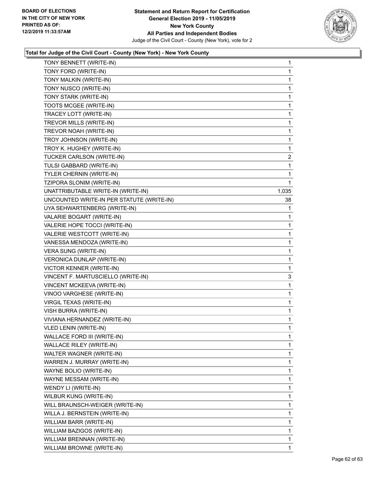

| TONY BENNETT (WRITE-IN)                   | 1            |
|-------------------------------------------|--------------|
| TONY FORD (WRITE-IN)                      | 1            |
| TONY MALKIN (WRITE-IN)                    | 1            |
| TONY NUSCO (WRITE-IN)                     | 1            |
| TONY STARK (WRITE-IN)                     | 1            |
| TOOTS MCGEE (WRITE-IN)                    | 1            |
| TRACEY LOTT (WRITE-IN)                    | 1            |
| TREVOR MILLS (WRITE-IN)                   | 1            |
| TREVOR NOAH (WRITE-IN)                    | 1            |
| TROY JOHNSON (WRITE-IN)                   | 1            |
| TROY K. HUGHEY (WRITE-IN)                 | 1            |
| TUCKER CARLSON (WRITE-IN)                 | 2            |
| TULSI GABBARD (WRITE-IN)                  | 1            |
| TYLER CHERNIN (WRITE-IN)                  | 1            |
| TZIPORA SLONIM (WRITE-IN)                 | $\mathbf 1$  |
| UNATTRIBUTABLE WRITE-IN (WRITE-IN)        | 1,035        |
| UNCOUNTED WRITE-IN PER STATUTE (WRITE-IN) | 38           |
| UYA SEHWARTENBERG (WRITE-IN)              | 1            |
| VALARIE BOGART (WRITE-IN)                 | 1            |
| VALERIE HOPE TOCCI (WRITE-IN)             | 1            |
| VALERIE WESTCOTT (WRITE-IN)               | 1            |
| VANESSA MENDOZA (WRITE-IN)                | 1            |
| VERA SUNG (WRITE-IN)                      | 1            |
| VERONICA DUNLAP (WRITE-IN)                | 1            |
| VICTOR KENNER (WRITE-IN)                  | 1            |
| VINCENT F. MARTUSCIELLO (WRITE-IN)        | 3            |
| VINCENT MCKEEVA (WRITE-IN)                | 1            |
| VINOO VARGHESE (WRITE-IN)                 | 1            |
| <b>VIRGIL TEXAS (WRITE-IN)</b>            | 1            |
| VISH BURRA (WRITE-IN)                     | 1            |
| VIVIANA HERNANDEZ (WRITE-IN)              | 1            |
| VLED LENIN (WRITE-IN)                     | 1            |
| WALLACE FORD III (WRITE-IN)               | 1            |
| WALLACE RILEY (WRITE-IN)                  | 1            |
| WALTER WAGNER (WRITE-IN)                  | 1            |
| WARREN J. MURRAY (WRITE-IN)               | $\mathbf 1$  |
| WAYNE BOLIO (WRITE-IN)                    | 1            |
| WAYNE MESSAM (WRITE-IN)                   | 1            |
| WENDY LI (WRITE-IN)                       | 1            |
| WILBUR KUNG (WRITE-IN)                    | 1            |
| WILL BRAUNSCH-WEIGER (WRITE-IN)           | 1            |
| WILLA J. BERNSTEIN (WRITE-IN)             | 1            |
| WILLIAM BARR (WRITE-IN)                   | 1            |
| WILLIAM BAZIGOS (WRITE-IN)                | 1            |
| WILLIAM BRENNAN (WRITE-IN)                | $\mathbf{1}$ |
| WILLIAM BROWNE (WRITE-IN)                 | 1            |
|                                           |              |